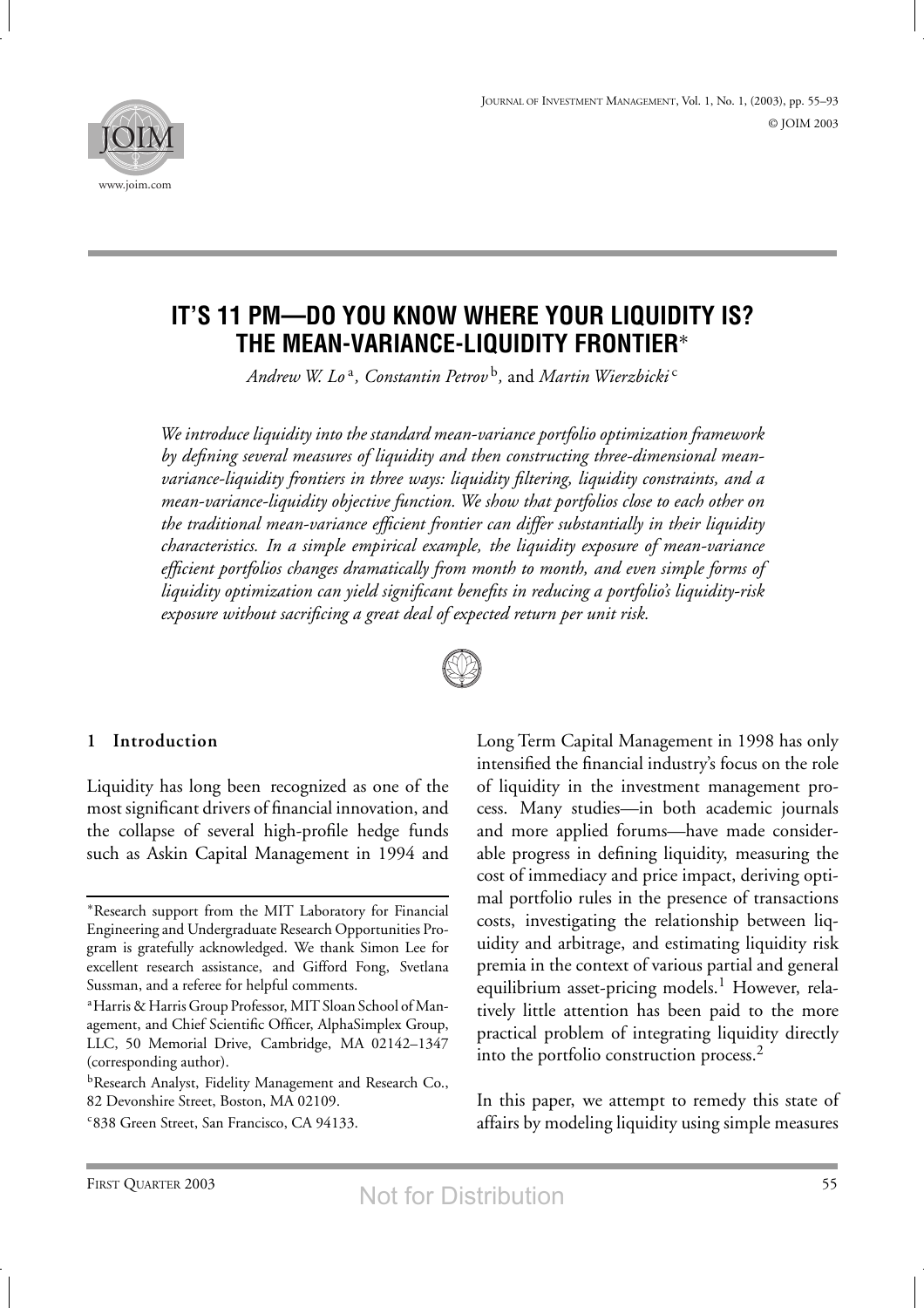



# **IT'S 11 PM—DO YOU KNOW WHERE YOUR LIQUIDITY IS? THE MEAN-VARIANCE-LIQUIDITY FRONTIER**<sup>∗</sup>

*Andrew W. Lo* <sup>a</sup>*, Constantin Petrov* <sup>b</sup>*,* and *Martin Wierzbicki* <sup>c</sup>

*We introduce liquidity into the standard mean-variance portfolio optimization framework by defining several measures of liquidity and then constructing three-dimensional meanvariance-liquidity frontiers in three ways: liquidity filtering, liquidity constraints, and a mean-variance-liquidity objective function. We show that portfolios close to each other on the traditional mean-variance efficient frontier can differ substantially in their liquidity characteristics. In a simple empirical example, the liquidity exposure of mean-variance efficient portfolios changes dramatically from month to month, and even simple forms of liquidity optimization can yield significant benefits in reducing a portfolio's liquidity-risk exposure without sacrificing a great deal of expected return per unit risk.*



#### **1 Introduction**

Liquidity has long been recognized as one of the most significant drivers of financial innovation, and the collapse of several high-profile hedge funds such as Askin Capital Management in 1994 and Long Term Capital Management in 1998 has only intensified the financial industry's focus on the role of liquidity in the investment management process. Many studies—in both academic journals and more applied forums—have made considerable progress in defining liquidity, measuring the cost of immediacy and price impact, deriving optimal portfolio rules in the presence of transactions costs, investigating the relationship between liquidity and arbitrage, and estimating liquidity risk premia in the context of various partial and general equilibrium asset-pricing models.<sup>1</sup> However, relatively little attention has been paid to the more practical problem of integrating liquidity directly into the portfolio construction process.<sup>2</sup>

In this paper, we attempt to remedy this state of affairs by modeling liquidity using simple measures

<sup>∗</sup>Research support from the MIT Laboratory for Financial Engineering and Undergraduate Research Opportunities Program is gratefully acknowledged. We thank Simon Lee for excellent research assistance, and Gifford Fong, Svetlana Sussman, and a referee for helpful comments.

a Harris & Harris Group Professor, MIT Sloan School of Management, and Chief Scientific Officer, AlphaSimplex Group, LLC, 50 Memorial Drive, Cambridge, MA 02142–1347 (corresponding author).

**bResearch Analyst, Fidelity Management and Research Co.,** 82 Devonshire Street, Boston, MA 02109.

c 838 Green Street, San Francisco, CA 94133.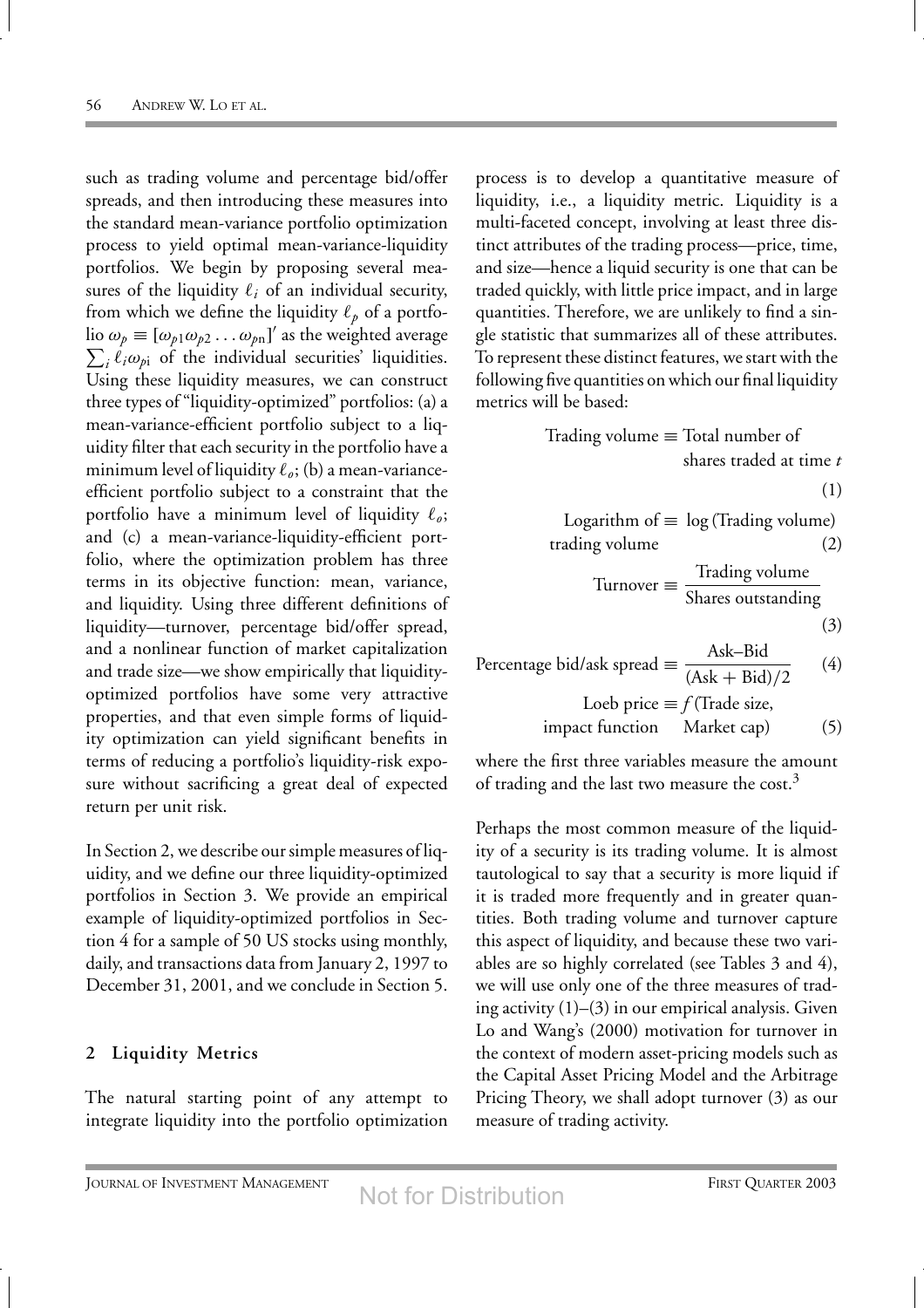such as trading volume and percentage bid/offer spreads, and then introducing these measures into the standard mean-variance portfolio optimization process to yield optimal mean-variance-liquidity portfolios. We begin by proposing several measures of the liquidity  $\ell_i$  of an individual security, from which we define the liquidity  $\ell_p$  of a portfolio  $\omega_p \equiv [\omega_{p1} \omega_{p2} \dots \omega_{pn}]'$  as the weighted average  $\sum_i \ell_i \omega_{pi}$  of the individual securities' liquidities. Using these liquidity measures, we can construct three types of "liquidity-optimized" portfolios: (a) a mean-variance-efficient portfolio subject to a liquidity filter that each security in the portfolio have a minimum level of liquidity  $\ell_o$ ; (b) a mean-varianceefficient portfolio subject to a constraint that the portfolio have a minimum level of liquidity  $\ell_{\rho}$ ; and (c) a mean-variance-liquidity-efficient portfolio, where the optimization problem has three terms in its objective function: mean, variance, and liquidity. Using three different definitions of liquidity—turnover, percentage bid/offer spread, and a nonlinear function of market capitalization and trade size—we show empirically that liquidityoptimized portfolios have some very attractive properties, and that even simple forms of liquidity optimization can yield significant benefits in terms of reducing a portfolio's liquidity-risk exposure without sacrificing a great deal of expected return per unit risk.

In Section 2, we describe our simple measures of liquidity, and we define our three liquidity-optimized portfolios in Section 3. We provide an empirical example of liquidity-optimized portfolios in Section 4 for a sample of 50 US stocks using monthly, daily, and transactions data from January 2, 1997 to December 31, 2001, and we conclude in Section 5.

## **2 Liquidity Metrics**

The natural starting point of any attempt to integrate liquidity into the portfolio optimization

process is to develop a quantitative measure of liquidity, i.e., a liquidity metric. Liquidity is a multi-faceted concept, involving at least three distinct attributes of the trading process—price, time, and size—hence a liquid security is one that can be traded quickly, with little price impact, and in large quantities. Therefore, we are unlikely to find a single statistic that summarizes all of these attributes. To represent these distinct features, we start with the following five quantities on which our final liquidity metrics will be based:

Trading volume 
$$
\equiv
$$
 Total number of shares traded at time *t*.

\n**Output**

\n**Description:**

$$
\left( 1\right)
$$

Logarithm of 
$$
\equiv \log(\text{Trading volume})
$$
  
trading volume (2)

$$
Turnover \equiv \frac{Trading \, volume}{Shares \, outstanding}
$$

$$
(\mathfrak{Z})
$$

Percentage bid/ask spread 
$$
\equiv \frac{Ask-Bid}{(Ask+Bid)/2}
$$
 (4)  
Loeb price  $\equiv f$  (Trade size,  
impact function Market cap) (5)

where the first three variables measure the amount of trading and the last two measure the cost.<sup>3</sup>

Perhaps the most common measure of the liquidity of a security is its trading volume. It is almost tautological to say that a security is more liquid if it is traded more frequently and in greater quantities. Both trading volume and turnover capture this aspect of liquidity, and because these two variables are so highly correlated (see Tables 3 and 4), we will use only one of the three measures of trading activity  $(1)$ – $(3)$  in our empirical analysis. Given Lo and Wang's (2000) motivation for turnover in the context of modern asset-pricing models such as the Capital Asset Pricing Model and the Arbitrage Pricing Theory, we shall adopt turnover (3) as our measure of trading activity.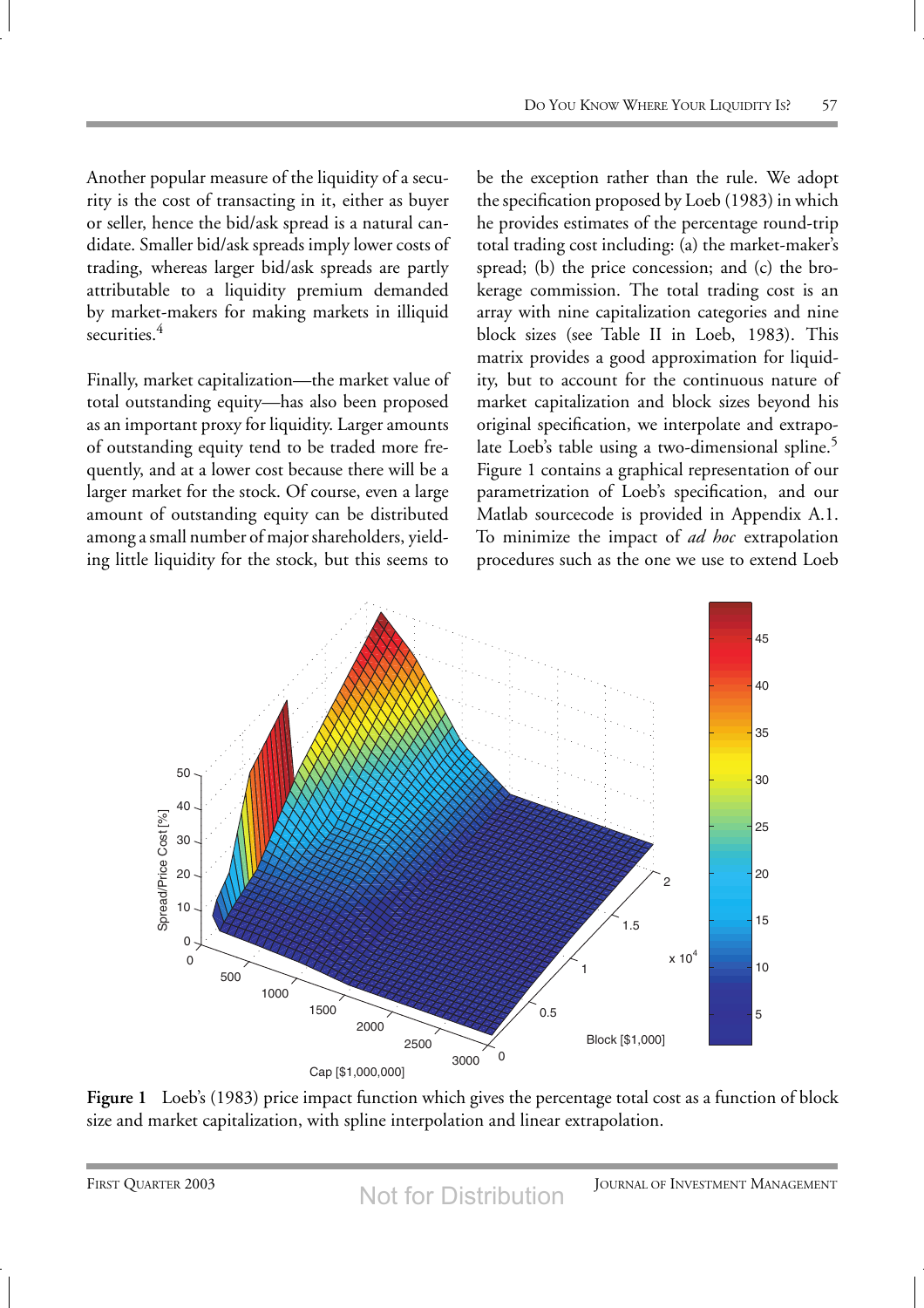Another popular measure of the liquidity of a security is the cost of transacting in it, either as buyer or seller, hence the bid/ask spread is a natural candidate. Smaller bid/ask spreads imply lower costs of trading, whereas larger bid/ask spreads are partly attributable to a liquidity premium demanded by market-makers for making markets in illiquid securities.<sup>4</sup>

Finally, market capitalization—the market value of total outstanding equity—has also been proposed as an important proxy for liquidity. Larger amounts of outstanding equity tend to be traded more frequently, and at a lower cost because there will be a larger market for the stock. Of course, even a large amount of outstanding equity can be distributed among a small number of major shareholders, yielding little liquidity for the stock, but this seems to

be the exception rather than the rule. We adopt the specification proposed by Loeb (1983) in which he provides estimates of the percentage round-trip total trading cost including: (a) the market-maker's spread; (b) the price concession; and (c) the brokerage commission. The total trading cost is an array with nine capitalization categories and nine block sizes (see Table II in Loeb, 1983). This matrix provides a good approximation for liquidity, but to account for the continuous nature of market capitalization and block sizes beyond his original specification, we interpolate and extrapolate Loeb's table using a two-dimensional spline.<sup>5</sup> Figure 1 contains a graphical representation of our parametrization of Loeb's specification, and our Matlab sourcecode is provided in Appendix A.1. To minimize the impact of *ad hoc* extrapolation procedures such as the one we use to extend Loeb



**Figure 1** Loeb's (1983) price impact function which gives the percentage total cost as a function of block size and market capitalization, with spline interpolation and linear extrapolation.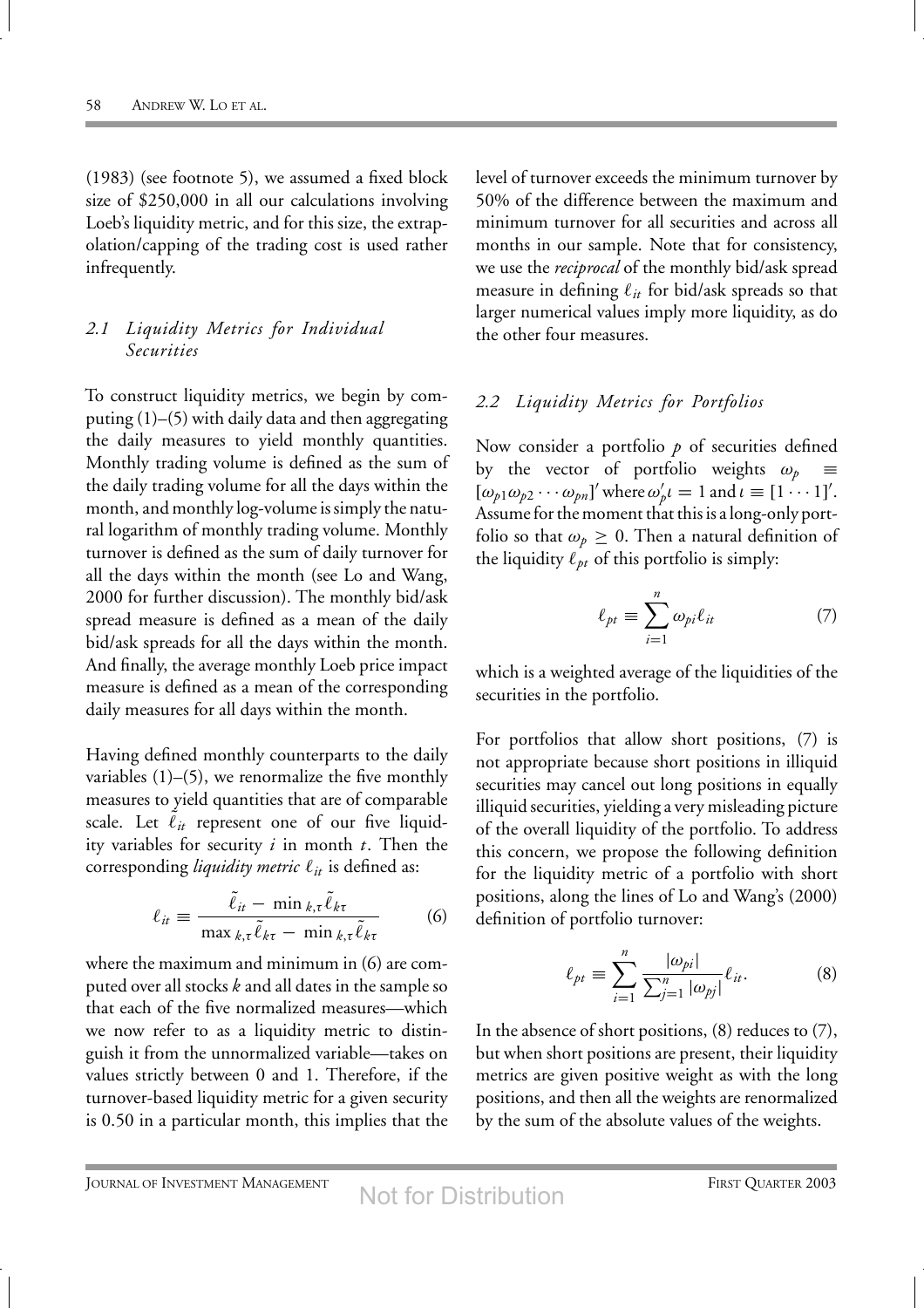(1983) (see footnote 5), we assumed a fixed block size of \$250,000 in all our calculations involving Loeb's liquidity metric, and for this size, the extrapolation/capping of the trading cost is used rather infrequently.

## *2.1 Liquidity Metrics for Individual Securities*

To construct liquidity metrics, we begin by computing (1)–(5) with daily data and then aggregating the daily measures to yield monthly quantities. Monthly trading volume is defined as the sum of the daily trading volume for all the days within the month, and monthly log-volume is simply the natural logarithm of monthly trading volume. Monthly turnover is defined as the sum of daily turnover for all the days within the month (see Lo and Wang, 2000 for further discussion). The monthly bid/ask spread measure is defined as a mean of the daily bid/ask spreads for all the days within the month. And finally, the average monthly Loeb price impact measure is defined as a mean of the corresponding daily measures for all days within the month.

Having defined monthly counterparts to the daily variables  $(1)$ – $(5)$ , we renormalize the five monthly measures to yield quantities that are of comparable scale. Let  $\tilde{\ell}_{it}$  represent one of our five liquidity variables for security *i* in month *t*. Then the corresponding *liquidity metric*  $\ell_{it}$  is defined as:

$$
\ell_{it} \equiv \frac{\tilde{\ell}_{it} - \min_{k,\tau} \tilde{\ell}_{k\tau}}{\max_{k,\tau} \tilde{\ell}_{k\tau} - \min_{k,\tau} \tilde{\ell}_{k\tau}}
$$
(6)

where the maximum and minimum in (6) are computed over all stocks *k* and all dates in the sample so that each of the five normalized measures—which we now refer to as a liquidity metric to distinguish it from the unnormalized variable—takes on values strictly between 0 and 1. Therefore, if the turnover-based liquidity metric for a given security is 0.50 in a particular month, this implies that the level of turnover exceeds the minimum turnover by 50% of the difference between the maximum and minimum turnover for all securities and across all months in our sample. Note that for consistency, we use the *reciprocal* of the monthly bid/ask spread measure in defining  $\ell_{it}$  for bid/ask spreads so that larger numerical values imply more liquidity, as do the other four measures.

## *2.2 Liquidity Metrics for Portfolios*

Now consider a portfolio p of securities defined by the vector of portfolio weights  $\omega_p \equiv$  $[\omega_{p1}\omega_{p2}\cdots\omega_{pn}]'$  where  $\omega'_{p}\iota = 1$  and  $\iota \equiv [1\cdots1]'.$ Assume for the moment that this is a long-only portfolio so that  $\omega_p \geq 0$ . Then a natural definition of the liquidity  $\ell_{pt}$  of this portfolio is simply:

$$
\ell_{pt} \equiv \sum_{i=1}^{n} \omega_{pi} \ell_{it} \tag{7}
$$

which is a weighted average of the liquidities of the securities in the portfolio.

For portfolios that allow short positions, (7) is not appropriate because short positions in illiquid securities may cancel out long positions in equally illiquid securities, yielding a very misleading picture of the overall liquidity of the portfolio. To address this concern, we propose the following definition for the liquidity metric of a portfolio with short positions, along the lines of Lo and Wang's (2000) definition of portfolio turnover:

$$
\ell_{pt} \equiv \sum_{i=1}^{n} \frac{|\omega_{pi}|}{\sum_{j=1}^{n} |\omega_{pj}|} \ell_{it}.
$$
 (8)

In the absence of short positions, (8) reduces to (7), but when short positions are present, their liquidity metrics are given positive weight as with the long positions, and then all the weights are renormalized by the sum of the absolute values of the weights.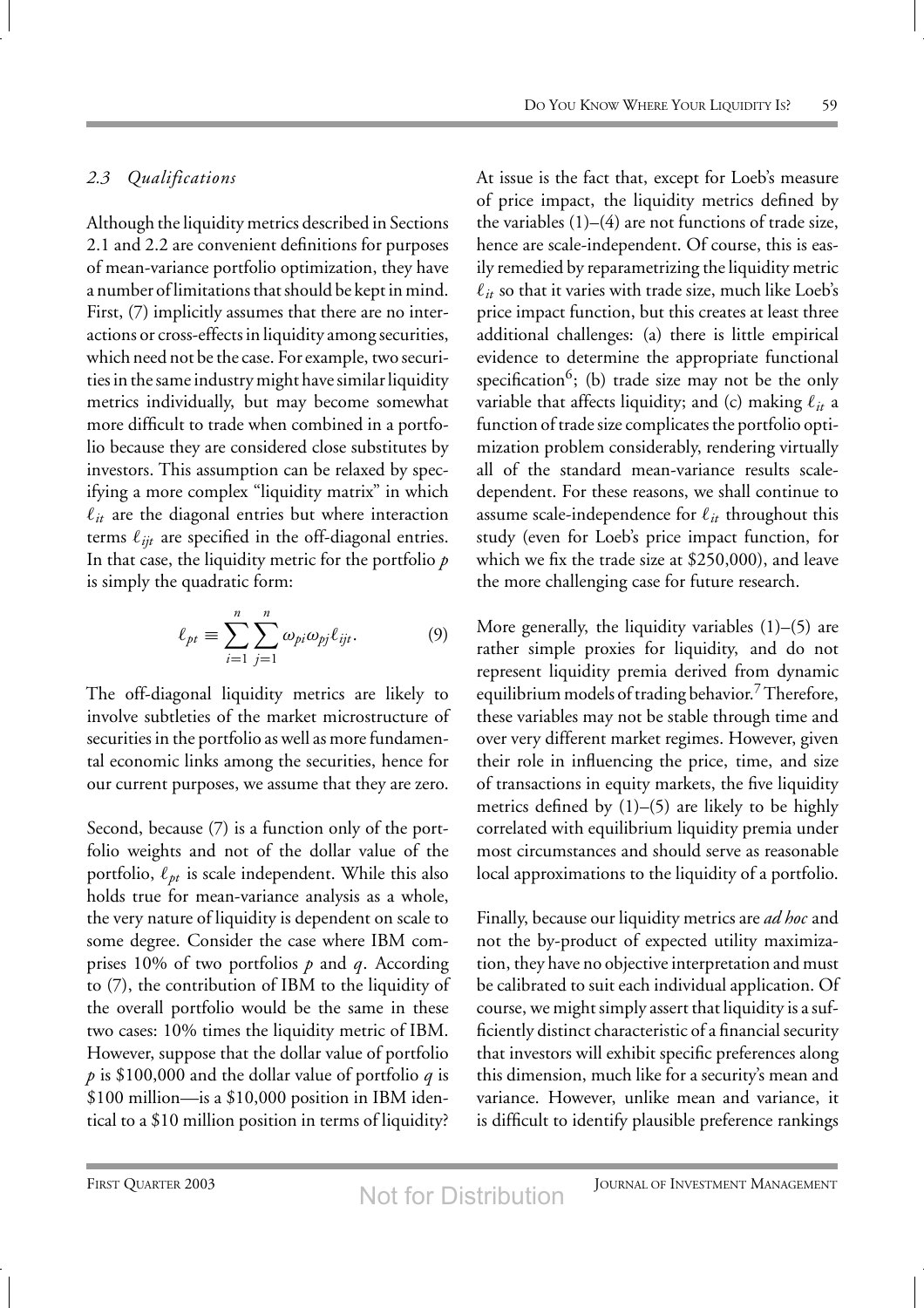#### *2.3 Qualifications*

Although the liquidity metrics described in Sections 2.1 and 2.2 are convenient definitions for purposes of mean-variance portfolio optimization, they have a number of limitations that should be kept in mind. First, (7) implicitly assumes that there are no interactions or cross-effects in liquidity among securities, which need not be the case. For example, two securities in the same industry might have similar liquidity metrics individually, but may become somewhat more difficult to trade when combined in a portfolio because they are considered close substitutes by investors. This assumption can be relaxed by specifying a more complex "liquidity matrix" in which  $\ell_{it}$  are the diagonal entries but where interaction terms  $\ell_{ijt}$  are specified in the off-diagonal entries. In that case, the liquidity metric for the portfolio *p* is simply the quadratic form:

$$
\ell_{pt} \equiv \sum_{i=1}^{n} \sum_{j=1}^{n} \omega_{pi} \omega_{pj} \ell_{ijt}.
$$
 (9)

The off-diagonal liquidity metrics are likely to involve subtleties of the market microstructure of securities in the portfolio as well as more fundamental economic links among the securities, hence for our current purposes, we assume that they are zero.

Second, because (7) is a function only of the portfolio weights and not of the dollar value of the portfolio,  $\ell_{pt}$  is scale independent. While this also holds true for mean-variance analysis as a whole, the very nature of liquidity is dependent on scale to some degree. Consider the case where IBM comprises 10% of two portfolios *p* and *q*. According to (7), the contribution of IBM to the liquidity of the overall portfolio would be the same in these two cases: 10% times the liquidity metric of IBM. However, suppose that the dollar value of portfolio *p* is \$100,000 and the dollar value of portfolio *q* is \$100 million—is a \$10,000 position in IBM identical to a \$10 million position in terms of liquidity? At issue is the fact that, except for Loeb's measure of price impact, the liquidity metrics defined by the variables  $(1)$ – $(4)$  are not functions of trade size, hence are scale-independent. Of course, this is easily remedied by reparametrizing the liquidity metric  $\ell_{it}$  so that it varies with trade size, much like Loeb's price impact function, but this creates at least three additional challenges: (a) there is little empirical evidence to determine the appropriate functional specification<sup>6</sup>; (b) trade size may not be the only variable that affects liquidity; and (c) making  $\ell_{it}$  a function of trade size complicates the portfolio optimization problem considerably, rendering virtually all of the standard mean-variance results scaledependent. For these reasons, we shall continue to assume scale-independence for  $\ell_{it}$  throughout this study (even for Loeb's price impact function, for which we fix the trade size at \$250,000), and leave the more challenging case for future research.

More generally, the liquidity variables  $(1)$ – $(5)$  are rather simple proxies for liquidity, and do not represent liquidity premia derived from dynamic equilibrium models of trading behavior. Therefore, these variables may not be stable through time and over very different market regimes. However, given their role in influencing the price, time, and size of transactions in equity markets, the five liquidity metrics defined by (1)–(5) are likely to be highly correlated with equilibrium liquidity premia under most circumstances and should serve as reasonable local approximations to the liquidity of a portfolio.

Finally, because our liquidity metrics are *ad hoc* and not the by-product of expected utility maximization, they have no objective interpretation and must be calibrated to suit each individual application. Of course, we might simply assert that liquidity is a sufficiently distinct characteristic of a financial security that investors will exhibit specific preferences along this dimension, much like for a security's mean and variance. However, unlike mean and variance, it is difficult to identify plausible preference rankings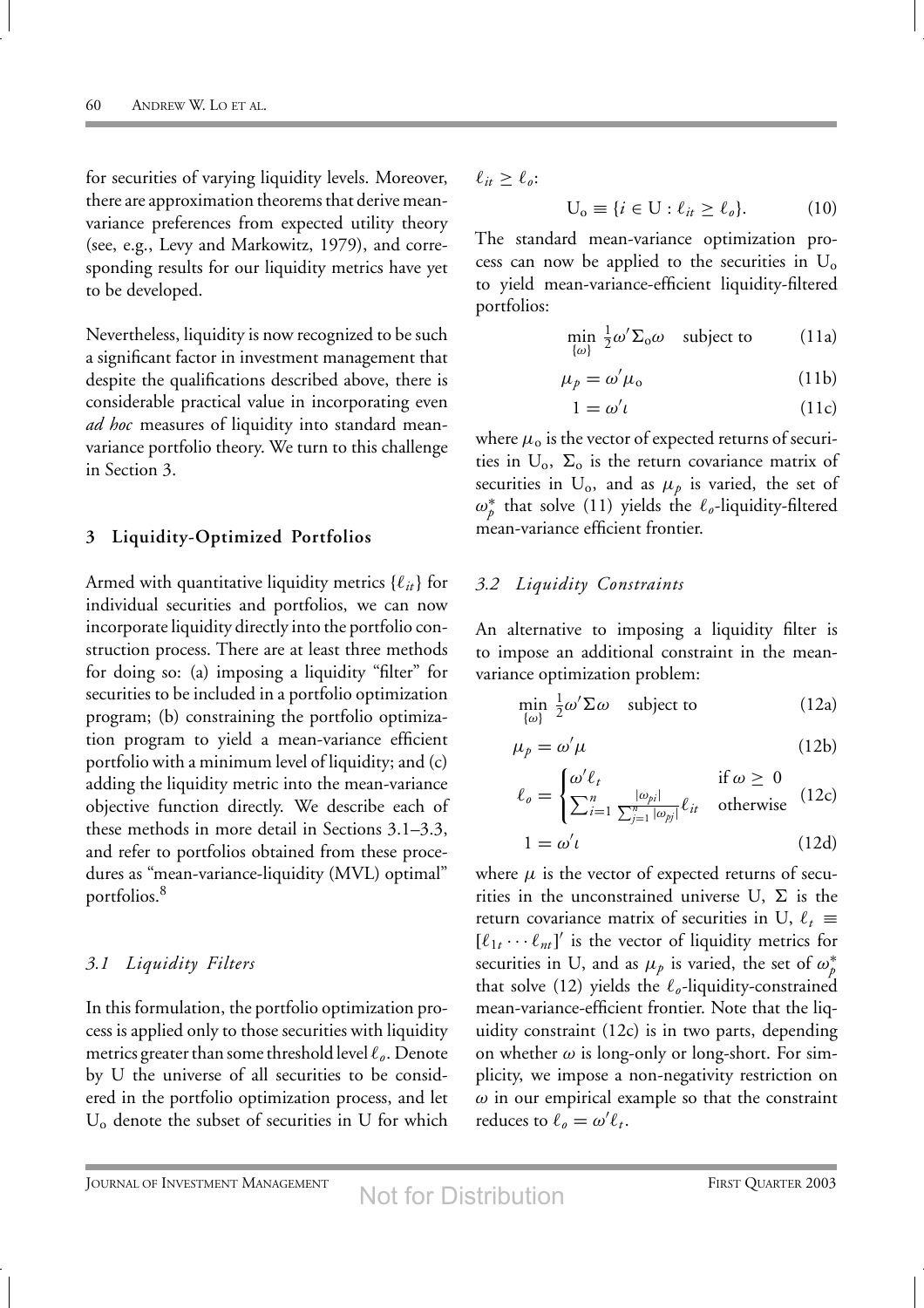for securities of varying liquidity levels. Moreover, there are approximation theorems that derive meanvariance preferences from expected utility theory (see, e.g., Levy and Markowitz, 1979), and corresponding results for our liquidity metrics have yet to be developed.

Nevertheless, liquidity is now recognized to be such a significant factor in investment management that despite the qualifications described above, there is considerable practical value in incorporating even *ad hoc* measures of liquidity into standard meanvariance portfolio theory. We turn to this challenge in Section 3.

#### **3 Liquidity-Optimized Portfolios**

Armed with quantitative liquidity metrics  $\{\ell_{it}\}\$ for individual securities and portfolios, we can now incorporate liquidity directly into the portfolio construction process. There are at least three methods for doing so: (a) imposing a liquidity "filter" for securities to be included in a portfolio optimization program; (b) constraining the portfolio optimization program to yield a mean-variance efficient portfolio with a minimum level of liquidity; and (c) adding the liquidity metric into the mean-variance objective function directly. We describe each of these methods in more detail in Sections 3.1–3.3, and refer to portfolios obtained from these procedures as "mean-variance-liquidity (MVL) optimal" portfolios.<sup>8</sup>

#### *3.1 Liquidity Filters*

In this formulation, the portfolio optimization process is applied only to those securities with liquidity metrics greater than some threshold level  $\ell_o$ . Denote by U the universe of all securities to be considered in the portfolio optimization process, and let  $U_0$  denote the subset of securities in U for which

 $\ell_{it} \geq \ell_{o}$ :

$$
U_o \equiv \{ i \in U : \ell_{it} \ge \ell_o \}. \tag{10}
$$

The standard mean-variance optimization process can now be applied to the securities in  $U_0$ to yield mean-variance-efficient liquidity-filtered portfolios:

$$
\min_{\{\omega\}} \frac{1}{2} \omega' \Sigma_0 \omega \quad \text{subject to} \tag{11a}
$$

$$
\mu_p = \omega' \mu_o \tag{11b}
$$

$$
1 = \omega' \iota \tag{11c}
$$

where  $\mu_{o}$  is the vector of expected returns of securities in  $U_0$ ,  $\Sigma_0$  is the return covariance matrix of securities in  $U_0$ , and as  $\mu_p$  is varied, the set of *ω*∗ *<sup>p</sup>* that solve (11) yields the *o*-liquidity-filtered mean-variance efficient frontier.

#### *3.2 Liquidity Constraints*

An alternative to imposing a liquidity filter is to impose an additional constraint in the meanvariance optimization problem:

$$
\min_{\{\omega\}} \frac{1}{2} \omega' \Sigma \omega \quad \text{subject to} \tag{12a}
$$

$$
\mu_p = \omega' \mu \tag{12b}
$$

$$
\ell_o = \begin{cases} \omega' \ell_t & \text{if } \omega \ge 0\\ \sum_{i=1}^n \frac{|\omega_{pi}|}{\sum_{j=1}^n |\omega_{pj}|} \ell_{it} & \text{otherwise} \end{cases}
$$
 (12c)

$$
1 = \omega' \iota \tag{12d}
$$

where  $\mu$  is the vector of expected returns of securities in the unconstrained universe U,  $\Sigma$  is the return covariance matrix of securities in U,  $\ell_t \equiv$  $[\ell_{1t} \cdots \ell_{nt}]'$  is the vector of liquidity metrics for securities in U, and as  $\mu_p$  is varied, the set of  $\omega_p^*$ that solve (12) yields the  $\ell_{o}$ -liquidity-constrained mean-variance-efficient frontier. Note that the liquidity constraint (12c) is in two parts, depending on whether  $\omega$  is long-only or long-short. For simplicity, we impose a non-negativity restriction on *ω* in our empirical example so that the constraint reduces to  $\ell_o = \omega' \ell_t$ .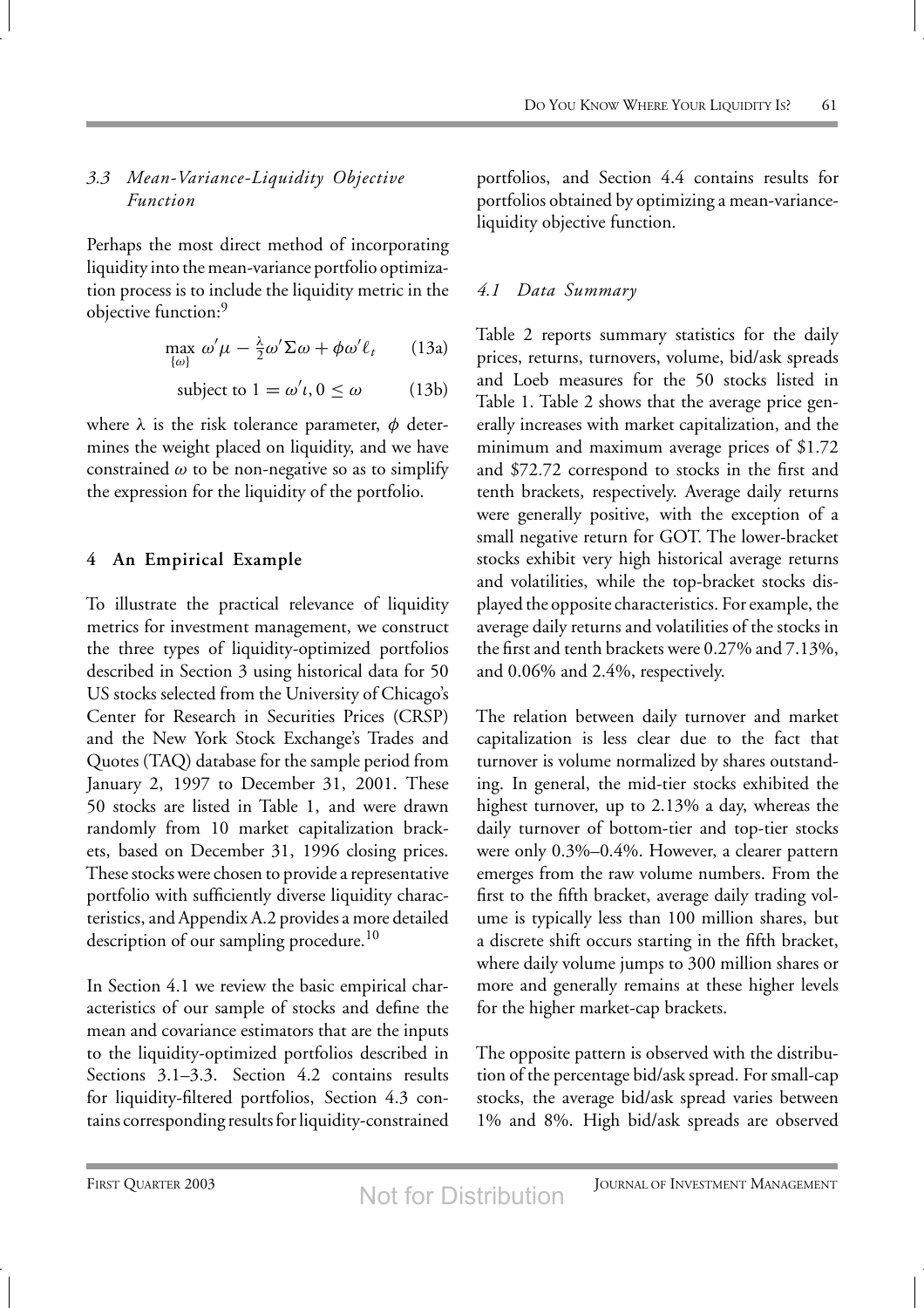# *3.3 Mean-Variance-Liquidity Objective Function*

Perhaps the most direct method of incorporating liquidity into the mean-variance portfolio optimization process is to include the liquidity metric in the objective function:<sup>9</sup>

$$
\max_{\{\omega\}} \omega' \mu - \frac{\lambda}{2} \omega' \Sigma \omega + \phi \omega' \ell_t \qquad (13a)
$$

subject to 
$$
1 = \omega' \iota, 0 \le \omega
$$
 (13b)

where  $\lambda$  is the risk tolerance parameter,  $\phi$  determines the weight placed on liquidity, and we have constrained  $\omega$  to be non-negative so as to simplify the expression for the liquidity of the portfolio.

# **4 An Empirical Example**

To illustrate the practical relevance of liquidity metrics for investment management, we construct the three types of liquidity-optimized portfolios described in Section 3 using historical data for 50 US stocks selected from the University of Chicago's Center for Research in Securities Prices (CRSP) and the New York Stock Exchange's Trades and Quotes (TAQ) database for the sample period from January 2, 1997 to December 31, 2001. These 50 stocks are listed in Table 1, and were drawn randomly from 10 market capitalization brackets, based on December 31, 1996 closing prices. These stocks were chosen to provide a representative portfolio with sufficiently diverse liquidity characteristics, and Appendix A.2 provides a more detailed description of our sampling procedure.<sup>10</sup>

In Section 4.1 we review the basic empirical characteristics of our sample of stocks and define the mean and covariance estimators that are the inputs to the liquidity-optimized portfolios described in Sections 3.1–3.3. Section 4.2 contains results for liquidity-filtered portfolios, Section 4.3 contains corresponding results for liquidity-constrained

portfolios, and Section 4.4 contains results for portfolios obtained by optimizing a mean-varianceliquidity objective function.

# *4.1 Data Summary*

Table 2 reports summary statistics for the daily prices, returns, turnovers, volume, bid/ask spreads and Loeb measures for the 50 stocks listed in Table 1. Table 2 shows that the average price generally increases with market capitalization, and the minimum and maximum average prices of \$1.72 and \$72.72 correspond to stocks in the first and tenth brackets, respectively. Average daily returns were generally positive, with the exception of a small negative return for GOT. The lower-bracket stocks exhibit very high historical average returns and volatilities, while the top-bracket stocks displayed the opposite characteristics. For example, the average daily returns and volatilities of the stocks in the first and tenth brackets were 0.27% and 7.13%, and 0.06% and 2.4%, respectively.

The relation between daily turnover and market capitalization is less clear due to the fact that turnover is volume normalized by shares outstanding. In general, the mid-tier stocks exhibited the highest turnover, up to 2.13% a day, whereas the daily turnover of bottom-tier and top-tier stocks were only 0.3%–0.4%. However, a clearer pattern emerges from the raw volume numbers. From the first to the fifth bracket, average daily trading volume is typically less than 100 million shares, but a discrete shift occurs starting in the fifth bracket, where daily volume jumps to 300 million shares or more and generally remains at these higher levels for the higher market-cap brackets.

The opposite pattern is observed with the distribution of the percentage bid/ask spread. For small-cap stocks, the average bid/ask spread varies between 1% and 8%. High bid/ask spreads are observed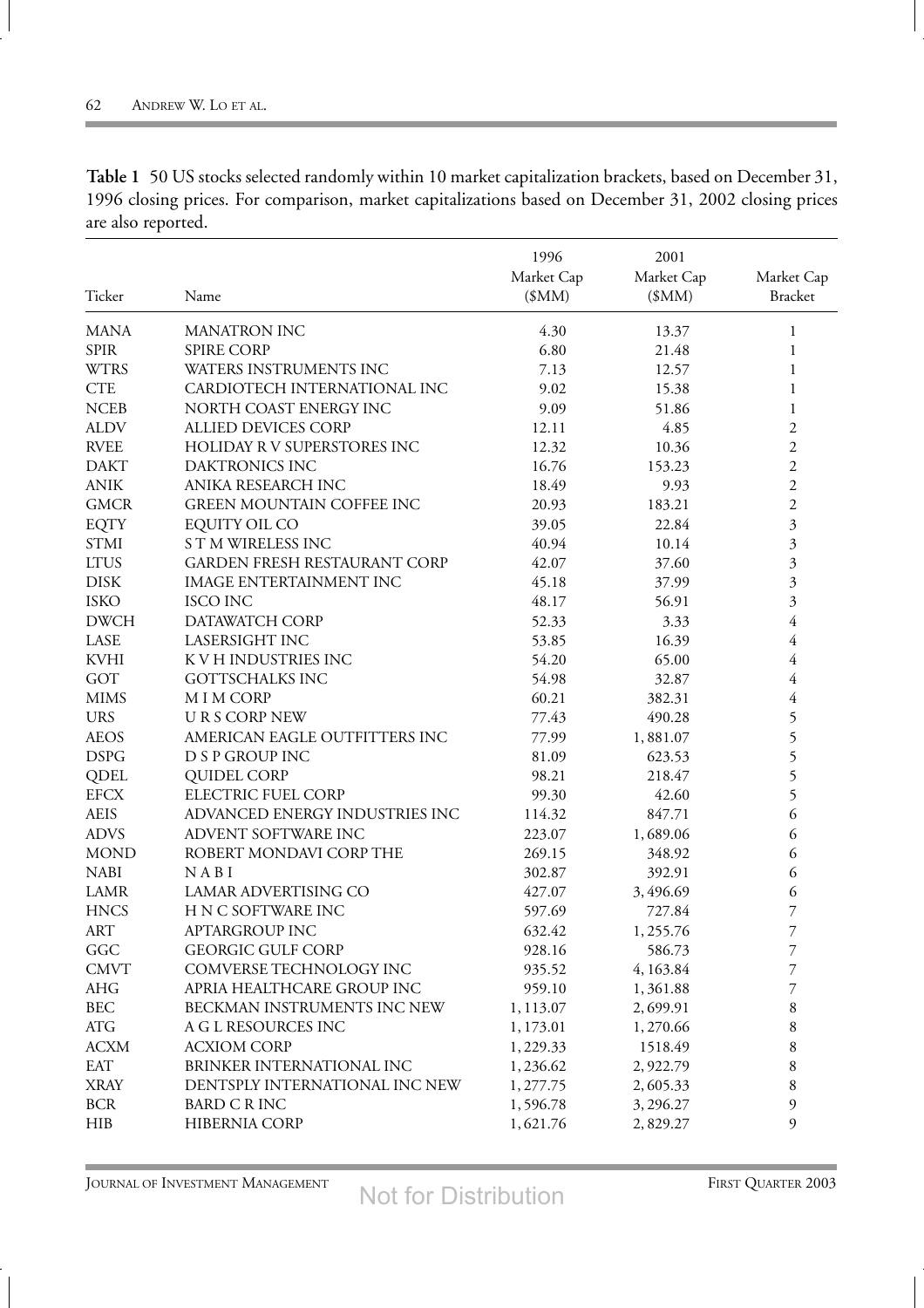| Ticker      | Name                                | 1996<br>Market Cap<br>\$MM) | 2001<br>Market Cap<br>\$MM | Market Cap<br><b>Bracket</b>  |
|-------------|-------------------------------------|-----------------------------|----------------------------|-------------------------------|
| <b>MANA</b> | <b>MANATRON INC</b>                 | 4.30                        | 13.37                      | 1                             |
| <b>SPIR</b> | <b>SPIRE CORP</b>                   | 6.80                        | 21.48                      | 1                             |
| <b>WTRS</b> | WATERS INSTRUMENTS INC              | 7.13                        | 12.57                      | 1                             |
| <b>CTE</b>  | CARDIOTECH INTERNATIONAL INC        | 9.02                        | 15.38                      | 1                             |
| <b>NCEB</b> | NORTH COAST ENERGY INC              | 9.09                        | 51.86                      | 1                             |
| <b>ALDV</b> | ALLIED DEVICES CORP                 | 12.11                       | 4.85                       | $\overline{c}$                |
| <b>RVEE</b> | HOLIDAY R V SUPERSTORES INC         | 12.32                       | 10.36                      | $\overline{c}$                |
| <b>DAKT</b> | DAKTRONICS INC                      | 16.76                       | 153.23                     | $\overline{c}$                |
| <b>ANIK</b> | ANIKA RESEARCH INC                  | 18.49                       | 9.93                       | $\overline{c}$                |
| <b>GMCR</b> | <b>GREEN MOUNTAIN COFFEE INC</b>    | 20.93                       | 183.21                     | $\overline{c}$                |
| <b>EQTY</b> | <b>EQUITY OIL CO</b>                | 39.05                       | 22.84                      | $\overline{\mathbf{3}}$       |
| <b>STMI</b> | <b>STM WIRELESS INC</b>             | 40.94                       | 10.14                      | $\overline{\mathbf{3}}$       |
| <b>LTUS</b> | <b>GARDEN FRESH RESTAURANT CORP</b> | 42.07                       | 37.60                      | $\mathfrak{Z}_{\mathfrak{p}}$ |
| <b>DISK</b> | <b>IMAGE ENTERTAINMENT INC</b>      | 45.18                       | 37.99                      | 3                             |
| <b>ISKO</b> | <b>ISCO INC</b>                     | 48.17                       | 56.91                      | 3                             |
| <b>DWCH</b> | DATAWATCH CORP                      | 52.33                       | 3.33                       | $\overline{4}$                |
| LASE        | LASERSIGHT INC                      | 53.85                       | 16.39                      | $\overline{4}$                |
| <b>KVHI</b> | K V H INDUSTRIES INC                | 54.20                       | 65.00                      | $\overline{4}$                |
| GOT         | <b>GOTTSCHALKS INC</b>              | 54.98                       | 32.87                      | 4                             |
| <b>MIMS</b> | M I M CORP                          | 60.21                       | 382.31                     | $\overline{4}$                |
| <b>URS</b>  | <b>URS CORP NEW</b>                 | 77.43                       | 490.28                     | 5                             |
| <b>AEOS</b> | AMERICAN EAGLE OUTFITTERS INC       | 77.99                       | 1,881.07                   |                               |
| <b>DSPG</b> | D S P GROUP INC                     | 81.09                       | 623.53                     | 5555                          |
| <b>QDEL</b> | <b>QUIDEL CORP</b>                  | 98.21                       | 218.47                     |                               |
| <b>EFCX</b> | ELECTRIC FUEL CORP                  | 99.30                       | 42.60                      |                               |
| <b>AEIS</b> | ADVANCED ENERGY INDUSTRIES INC      | 114.32                      | 847.71                     | 6                             |
| <b>ADVS</b> | ADVENT SOFTWARE INC                 | 223.07                      | 1,689.06                   | 6                             |
| <b>MOND</b> | ROBERT MONDAVI CORP THE             | 269.15                      | 348.92                     | 6                             |
| <b>NABI</b> | NABI                                | 302.87                      | 392.91                     | 6                             |
| <b>LAMR</b> | LAMAR ADVERTISING CO                | 427.07                      | 3,496.69                   | 6                             |
| <b>HNCS</b> | H N C SOFTWARE INC                  | 597.69                      | 727.84                     | 7                             |
| <b>ART</b>  | APTARGROUP INC                      | 632.42                      | 1,255.76                   | 7                             |
| GGC         | <b>GEORGIC GULF CORP</b>            | 928.16                      | 586.73                     | 7                             |
| <b>CMVT</b> | COMVERSE TECHNOLOGY INC             | 935.52                      | 4,163.84                   | 7                             |
| AHG         | APRIA HEALTHCARE GROUP INC          | 959.10                      | 1,361.88                   | 7                             |
| <b>BEC</b>  | BECKMAN INSTRUMENTS INC NEW         | 1,113.07                    | 2,699.91                   | 8                             |
| <b>ATG</b>  | A G L RESOURCES INC                 | 1, 173.01                   | 1,270.66                   | 8                             |
| <b>ACXM</b> | <b>ACXIOM CORP</b>                  | 1,229.33                    | 1518.49                    | 8                             |
| <b>EAT</b>  | BRINKER INTERNATIONAL INC           | 1,236.62                    | 2,922.79                   | 8                             |
| <b>XRAY</b> | DENTSPLY INTERNATIONAL INC NEW      | 1, 277.75                   | 2,605.33                   | 8                             |
| <b>BCR</b>  | <b>BARD C R INC</b>                 | 1,596.78                    | 3,296.27                   | 9                             |
| <b>HIB</b>  | HIBERNIA CORP                       | 1,621.76                    | 2,829.27                   | 9                             |

**Table 1** 50 US stocks selected randomly within 10 market capitalization brackets, based on December 31, 1996 closing prices. For comparison, market capitalizations based on December 31, 2002 closing prices are also reported.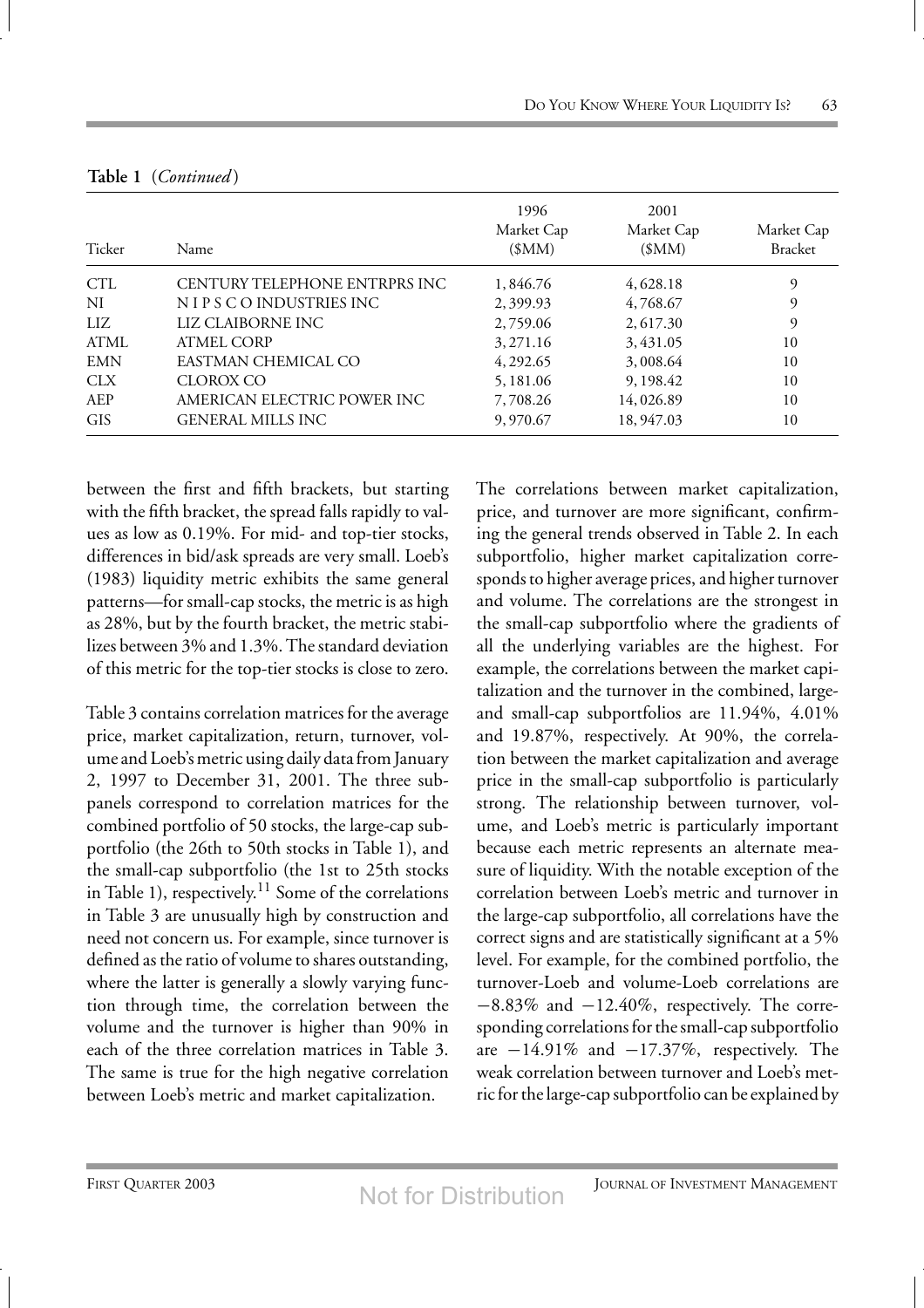| Ticker     | Name                           | 1996<br>Market Cap<br>(SMM) | 2001<br>Market Cap<br>(SMM) | Market Cap<br><b>Bracket</b> |
|------------|--------------------------------|-----------------------------|-----------------------------|------------------------------|
| CTL        | CENTURY TELEPHONE ENTRPRS INC. | 1,846.76                    | 4,628.18                    | 9                            |
| NI         | NIPS CO INDUSTRIES INC.        | 2,399.93                    | 4,768.67                    | 9                            |
| LIZ.       | LIZ CLAIBORNE INC              | 2,759.06                    | 2, 617.30                   | 9                            |
| ATML       | ATMEL CORP                     | 3, 271.16                   | 3,431.05                    | 10                           |
| <b>EMN</b> | EASTMAN CHEMICAL CO            | 4, 292.65                   | 3,008.64                    | 10                           |
| <b>CLX</b> | CLOROX CO                      | 5, 181.06                   | 9, 198.42                   | 10                           |
| AEP        | AMERICAN ELECTRIC POWER INC    | 7,708.26                    | 14,026.89                   | 10                           |
| <b>GIS</b> | <b>GENERAL MILLS INC.</b>      | 9,970.67                    | 18, 947.03                  | 10                           |

**Table 1** (*Continued* )

between the first and fifth brackets, but starting with the fifth bracket, the spread falls rapidly to values as low as 0.19%. For mid- and top-tier stocks, differences in bid/ask spreads are very small. Loeb's (1983) liquidity metric exhibits the same general patterns—for small-cap stocks, the metric is as high as 28%, but by the fourth bracket, the metric stabilizes between 3% and 1.3%. The standard deviation of this metric for the top-tier stocks is close to zero.

Table 3 contains correlation matrices for the average price, market capitalization, return, turnover, volume and Loeb's metric using daily datafrom January 2, 1997 to December 31, 2001. The three subpanels correspond to correlation matrices for the combined portfolio of 50 stocks, the large-cap subportfolio (the 26th to 50th stocks in Table 1), and the small-cap subportfolio (the 1st to 25th stocks in Table 1), respectively.<sup>11</sup> Some of the correlations in Table 3 are unusually high by construction and need not concern us. For example, since turnover is defined as the ratio of volume to shares outstanding, where the latter is generally a slowly varying function through time, the correlation between the volume and the turnover is higher than 90% in each of the three correlation matrices in Table 3. The same is true for the high negative correlation between Loeb's metric and market capitalization.

The correlations between market capitalization, price, and turnover are more significant, confirming the general trends observed in Table 2. In each subportfolio, higher market capitalization corresponds to higher average prices, and higher turnover and volume. The correlations are the strongest in the small-cap subportfolio where the gradients of all the underlying variables are the highest. For example, the correlations between the market capitalization and the turnover in the combined, largeand small-cap subportfolios are 11.94%, 4.01% and 19.87%, respectively. At 90%, the correlation between the market capitalization and average price in the small-cap subportfolio is particularly strong. The relationship between turnover, volume, and Loeb's metric is particularly important because each metric represents an alternate measure of liquidity. With the notable exception of the correlation between Loeb's metric and turnover in the large-cap subportfolio, all correlations have the correct signs and are statistically significant at a 5% level. For example, for the combined portfolio, the turnover-Loeb and volume-Loeb correlations are −8.83% and −12.40%, respectively. The corresponding correlations for the small-cap subportfolio are  $-14.91\%$  and  $-17.37\%$ , respectively. The weak correlation between turnover and Loeb's metric for the large-cap subportfolio can be explained by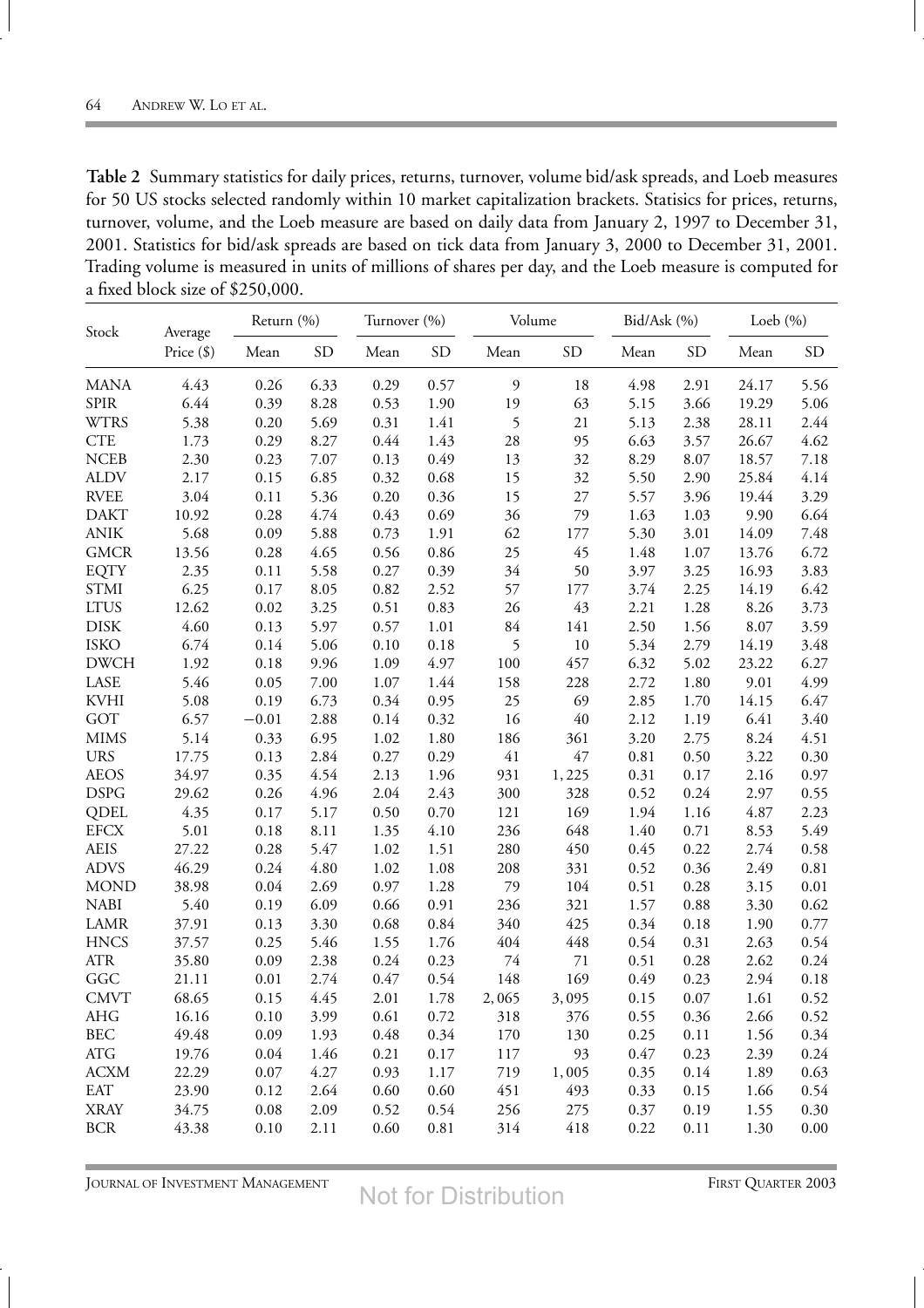| Table 2 Summary statistics for daily prices, returns, turnover, volume bid/ask spreads, and Loeb measures   |
|-------------------------------------------------------------------------------------------------------------|
| for 50 US stocks selected randomly within 10 market capitalization brackets. Statisics for prices, returns, |
| turnover, volume, and the Loeb measure are based on daily data from January 2, 1997 to December 31,         |
| 2001. Statistics for bid/ask spreads are based on tick data from January 3, 2000 to December 31, 2001.      |
| Trading volume is measured in units of millions of shares per day, and the Loeb measure is computed for     |
| a fixed block size of \$250,000.                                                                            |

| Stock        | Average      | Return (%) |           | Turnover (%) |           | Volume         |           | Bid/Ask (%) |           | Loeb $(\% )$ |           |
|--------------|--------------|------------|-----------|--------------|-----------|----------------|-----------|-------------|-----------|--------------|-----------|
|              | Price $(\$)$ | Mean       | <b>SD</b> | Mean         | <b>SD</b> | Mean           | <b>SD</b> | Mean        | <b>SD</b> | Mean         | <b>SD</b> |
| <b>MANA</b>  | 4.43         | 0.26       | 6.33      | 0.29         | 0.57      | $\mathfrak{g}$ | 18        | 4.98        | 2.91      | 24.17        | 5.56      |
| <b>SPIR</b>  | 6.44         | 0.39       | 8.28      | 0.53         | 1.90      | 19             | 63        | 5.15        | 3.66      | 19.29        | 5.06      |
| <b>WTRS</b>  | 5.38         | 0.20       | 5.69      | 0.31         | 1.41      | 5              | 21        | 5.13        | 2.38      | 28.11        | 2.44      |
| <b>CTE</b>   | 1.73         | 0.29       | 8.27      | 0.44         | 1.43      | 28             | 95        | 6.63        | 3.57      | 26.67        | 4.62      |
| <b>NCEB</b>  | 2.30         | 0.23       | 7.07      | 0.13         | 0.49      | 13             | 32        | 8.29        | 8.07      | 18.57        | 7.18      |
| <b>ALDV</b>  | 2.17         | 0.15       | 6.85      | 0.32         | 0.68      | 15             | 32        | 5.50        | 2.90      | 25.84        | 4.14      |
| <b>RVEE</b>  | 3.04         | 0.11       | 5.36      | 0.20         | 0.36      | 15             | $27\,$    | 5.57        | 3.96      | 19.44        | 3.29      |
| <b>DAKT</b>  | 10.92        | 0.28       | 4.74      | 0.43         | 0.69      | 36             | 79        | 1.63        | 1.03      | 9.90         | 6.64      |
| <b>ANIK</b>  | 5.68         | 0.09       | 5.88      | 0.73         | 1.91      | 62             | 177       | 5.30        | 3.01      | 14.09        | 7.48      |
| <b>GMCR</b>  | 13.56        | 0.28       | 4.65      | 0.56         | 0.86      | 25             | 45        | 1.48        | 1.07      | 13.76        | 6.72      |
| <b>EQTY</b>  | 2.35         | 0.11       | 5.58      | 0.27         | 0.39      | 34             | 50        | 3.97        | 3.25      | 16.93        | 3.83      |
| <b>STMI</b>  | 6.25         | 0.17       | 8.05      | 0.82         | 2.52      | 57             | $177\,$   | 3.74        | 2.25      | 14.19        | 6.42      |
| <b>LTUS</b>  | 12.62        | 0.02       | 3.25      | 0.51         | 0.83      | 26             | 43        | 2.21        | 1.28      | 8.26         | 3.73      |
| <b>DISK</b>  | 4.60         | 0.13       | 5.97      | 0.57         | 1.01      | 84             | 141       | 2.50        | 1.56      | $8.07\,$     | 3.59      |
| <b>ISKO</b>  | 6.74         | 0.14       | 5.06      | 0.10         | 0.18      | 5              | $10\,$    | 5.34        | 2.79      | 14.19        | 3.48      |
| <b>DWCH</b>  | 1.92         | 0.18       | 9.96      | 1.09         | 4.97      | $100\,$        | 457       | 6.32        | 5.02      | 23.22        | 6.27      |
| LASE         | 5.46         | 0.05       | $7.00\,$  | 1.07         | 1.44      | 158            | 228       | 2.72        | 1.80      | 9.01         | 4.99      |
| <b>KVHI</b>  | 5.08         | 0.19       | 6.73      | 0.34         | 0.95      | 25             | 69        | 2.85        | 1.70      | 14.15        | 6.47      |
| GOT          | 6.57         | $-0.01$    | 2.88      | 0.14         | 0.32      | 16             | $40\,$    | 2.12        | 1.19      | 6.41         | 3.40      |
| <b>MIMS</b>  | 5.14         | 0.33       | 6.95      | 1.02         | 1.80      | 186            | 361       | 3.20        | 2.75      | 8.24         | 4.51      |
| <b>URS</b>   | 17.75        | 0.13       | 2.84      | 0.27         | 0.29      | 41             | $47\,$    | $0.81\,$    | 0.50      | 3.22         | 0.30      |
| <b>AEOS</b>  | 34.97        | 0.35       | 4.54      | 2.13         | 1.96      | 931            | 1,225     | 0.31        | 0.17      | 2.16         | 0.97      |
| <b>DSPG</b>  | 29.62        | 0.26       | 4.96      | 2.04         | 2.43      | 300            | 328       | 0.52        | 0.24      | 2.97         | 0.55      |
| QDEL         | 4.35         | 0.17       | 5.17      | 0.50         | 0.70      | 121            | 169       | 1.94        | 1.16      | 4.87         | 2.23      |
| <b>EFCX</b>  | 5.01         | 0.18       | 8.11      | 1.35         | 4.10      | 236            | 648       | 1.40        | 0.71      | 8.53         | 5.49      |
| <b>AEIS</b>  | 27.22        | 0.28       | 5.47      | $1.02\,$     | 1.51      | 280            | 450       | 0.45        | 0.22      | 2.74         | 0.58      |
| <b>ADVS</b>  | 46.29        | 0.24       | 4.80      | 1.02         | 1.08      | 208            | 331       | 0.52        | 0.36      | 2.49         | $0.81\,$  |
| <b>MOND</b>  | 38.98        | 0.04       | 2.69      | 0.97         | 1.28      | 79             | 104       | 0.51        | 0.28      | 3.15         | 0.01      |
| <b>NABI</b>  | 5.40         | 0.19       | 6.09      | 0.66         | 0.91      | 236            | 321       | 1.57        | 0.88      | 3.30         | 0.62      |
| <b>LAMR</b>  | 37.91        | 0.13       | 3.30      | 0.68         | 0.84      | 340            | 425       | 0.34        | 0.18      | 1.90         | 0.77      |
| <b>HNCS</b>  | 37.57        | 0.25       | 5.46      | 1.55         | 1.76      | 404            | 448       | 0.54        | 0.31      | 2.63         | 0.54      |
| <b>ATR</b>   | 35.80        | 0.09       | 2.38      | 0.24         | 0.23      | 74             | $71\,$    | 0.51        | 0.28      | 2.62         | 0.24      |
| GGC          | 21.11        | 0.01       | 2.74      | 0.47         | 0.54      | 148            | 169       | 0.49        | 0.23      | 2.94         | 0.18      |
| <b>CMVT</b>  | 68.65        | 0.15       | 4.45      | 2.01         | 1.78      | 2,065          | 3,095     | 0.15        | 0.07      | 1.61         | 0.52      |
| AHG          | 16.16        | 0.10       | 3.99      | 0.61         | 0.72      | 318            | 376       | 0.55        | 0.36      | 2.66         | 0.52      |
| <b>BEC</b>   | 49.48        | 0.09       | 1.93      | 0.48         | 0.34      | 170            | 130       | 0.25        | 0.11      | 1.56         | 0.34      |
| $\rm{ATG}$   | 19.76        | 0.04       | 1.46      | 0.21         | 0.17      | 117            | 93        | 0.47        | 0.23      | 2.39         | 0.24      |
| <b>ACXM</b>  | 22.29        | 0.07       | 4.27      | 0.93         | 1.17      | 719            | 1,005     | 0.35        | 0.14      | 1.89         | 0.63      |
| <b>EAT</b>   | 23.90        | 0.12       | 2.64      | 0.60         | 0.60      | 451            | 493       | 0.33        | 0.15      | 1.66         | 0.54      |
| <b>XRAY</b>  | 34.75        | 0.08       | 2.09      | 0.52         | 0.54      | 256            | 275       | 0.37        | 0.19      | 1.55         | 0.30      |
| $_{\rm BCR}$ | 43.38        | 0.10       | 2.11      | 0.60         | $0.81\,$  | 314            | 418       | 0.22        | 0.11      | 1.30         | $0.00\,$  |

JOURNAL OF INVESTMENT MANAGEMENT **FIRST QUARTER 2003** 

Not for Distribution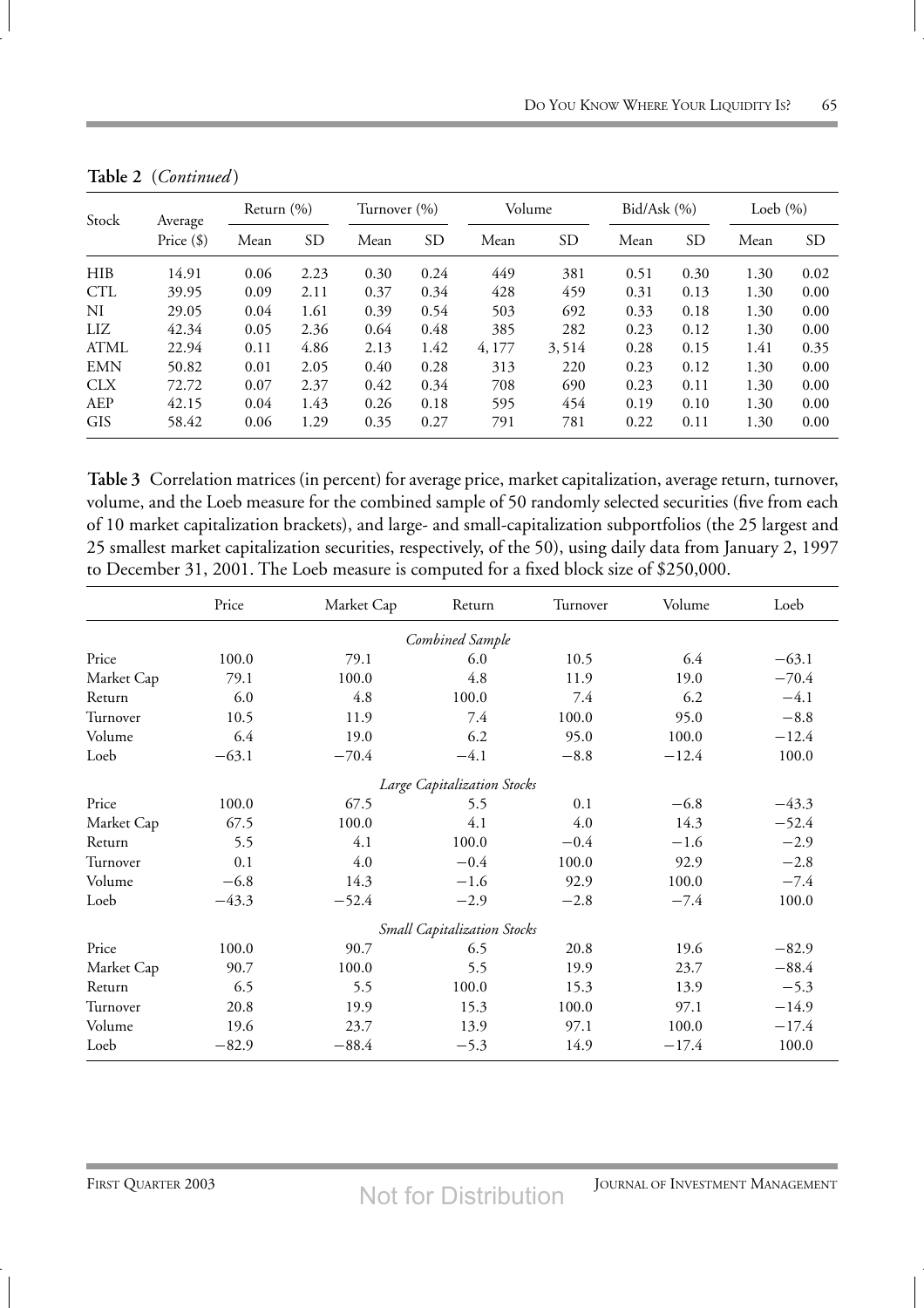| Stock       | Average      | Return $(\% )$ |           |      | Turnover (%) |        | Volume    |      | Bid/Ask(%) |      | Loeb $(\% )$ |  |
|-------------|--------------|----------------|-----------|------|--------------|--------|-----------|------|------------|------|--------------|--|
|             | Price $(\$)$ | Mean           | <b>SD</b> | Mean | <b>SD</b>    | Mean   | <b>SD</b> | Mean | <b>SD</b>  | Mean | SD.          |  |
| <b>HIB</b>  | 14.91        | 0.06           | 2.23      | 0.30 | 0.24         | 449    | 381       | 0.51 | 0.30       | 1.30 | 0.02         |  |
| <b>CTL</b>  | 39.95        | 0.09           | 2.11      | 0.37 | 0.34         | 428    | 459       | 0.31 | 0.13       | 1.30 | 0.00         |  |
| NI          | 29.05        | 0.04           | 1.61      | 0.39 | 0.54         | 503    | 692       | 0.33 | 0.18       | 1.30 | 0.00         |  |
| LIZ         | 42.34        | 0.05           | 2.36      | 0.64 | 0.48         | 385    | 282       | 0.23 | 0.12       | 1.30 | 0.00         |  |
| <b>ATML</b> | 22.94        | 0.11           | 4.86      | 2.13 | 1.42         | 4, 177 | 3,514     | 0.28 | 0.15       | 1.41 | 0.35         |  |
| <b>EMN</b>  | 50.82        | 0.01           | 2.05      | 0.40 | 0.28         | 313    | 220       | 0.23 | 0.12       | 1.30 | 0.00         |  |
| <b>CLX</b>  | 72.72        | 0.07           | 2.37      | 0.42 | 0.34         | 708    | 690       | 0.23 | 0.11       | 1.30 | 0.00         |  |
| AEP         | 42.15        | 0.04           | 1.43      | 0.26 | 0.18         | 595    | 454       | 0.19 | 0.10       | 1.30 | 0.00         |  |
| <b>GIS</b>  | 58.42        | 0.06           | 1.29      | 0.35 | 0.27         | 791    | 781       | 0.22 | 0.11       | 1.30 | 0.00         |  |

**Table 2** (*Continued* )

**Table 3** Correlation matrices (in percent) for average price, market capitalization, average return, turnover, volume, and the Loeb measure for the combined sample of 50 randomly selected securities (five from each of 10 market capitalization brackets), and large- and small-capitalization subportfolios (the 25 largest and 25 smallest market capitalization securities, respectively, of the 50), using daily data from January 2, 1997 to December 31, 2001. The Loeb measure is computed for a fixed block size of \$250,000.

|            | Price   | Market Cap | Return                             | Turnover | Volume  | Loeb    |
|------------|---------|------------|------------------------------------|----------|---------|---------|
|            |         |            | Combined Sample                    |          |         |         |
| Price      | 100.0   | 79.1       | 6.0                                | 10.5     | 6.4     | $-63.1$ |
| Market Cap | 79.1    | 100.0      | 4.8                                | 11.9     | 19.0    | $-70.4$ |
| Return     | 6.0     | 4.8        | 100.0                              | 7.4      | 6.2     | $-4.1$  |
| Turnover   | 10.5    | 11.9       | 7.4                                | 100.0    | 95.0    | $-8.8$  |
| Volume     | 6.4     | 19.0       | 6.2                                | 95.0     | 100.0   | $-12.4$ |
| Loeb       | $-63.1$ | $-70.4$    | $-4.1$                             | $-8.8$   | $-12.4$ | 100.0   |
|            |         |            | Large Capitalization Stocks        |          |         |         |
| Price      | 100.0   | 67.5       | 5.5                                | 0.1      | $-6.8$  | $-43.3$ |
| Market Cap | 67.5    | 100.0      | 4.1                                | 4.0      | 14.3    | $-52.4$ |
| Return     | 5.5     | 4.1        | 100.0                              | $-0.4$   | $-1.6$  | $-2.9$  |
| Turnover   | 0.1     | 4.0        | $-0.4$                             | 100.0    | 92.9    | $-2.8$  |
| Volume     | $-6.8$  | 14.3       | $-1.6$                             | 92.9     | 100.0   | $-7.4$  |
| Loeb       | $-43.3$ | $-52.4$    | $-2.9$                             | $-2.8$   | $-7.4$  | 100.0   |
|            |         |            | <b>Small Capitalization Stocks</b> |          |         |         |
| Price      | 100.0   | 90.7       | 6.5                                | 20.8     | 19.6    | $-82.9$ |
| Market Cap | 90.7    | 100.0      | 5.5                                | 19.9     | 23.7    | $-88.4$ |
| Return     | 6.5     | 5.5        | 100.0                              | 15.3     | 13.9    | $-5.3$  |
| Turnover   | 20.8    | 19.9       | 15.3                               | 100.0    | 97.1    | $-14.9$ |
| Volume     | 19.6    | 23.7       | 13.9                               | 97.1     | 100.0   | $-17.4$ |
| Loeb       | $-82.9$ | $-88.4$    | $-5.3$                             | 14.9     | $-17.4$ | 100.0   |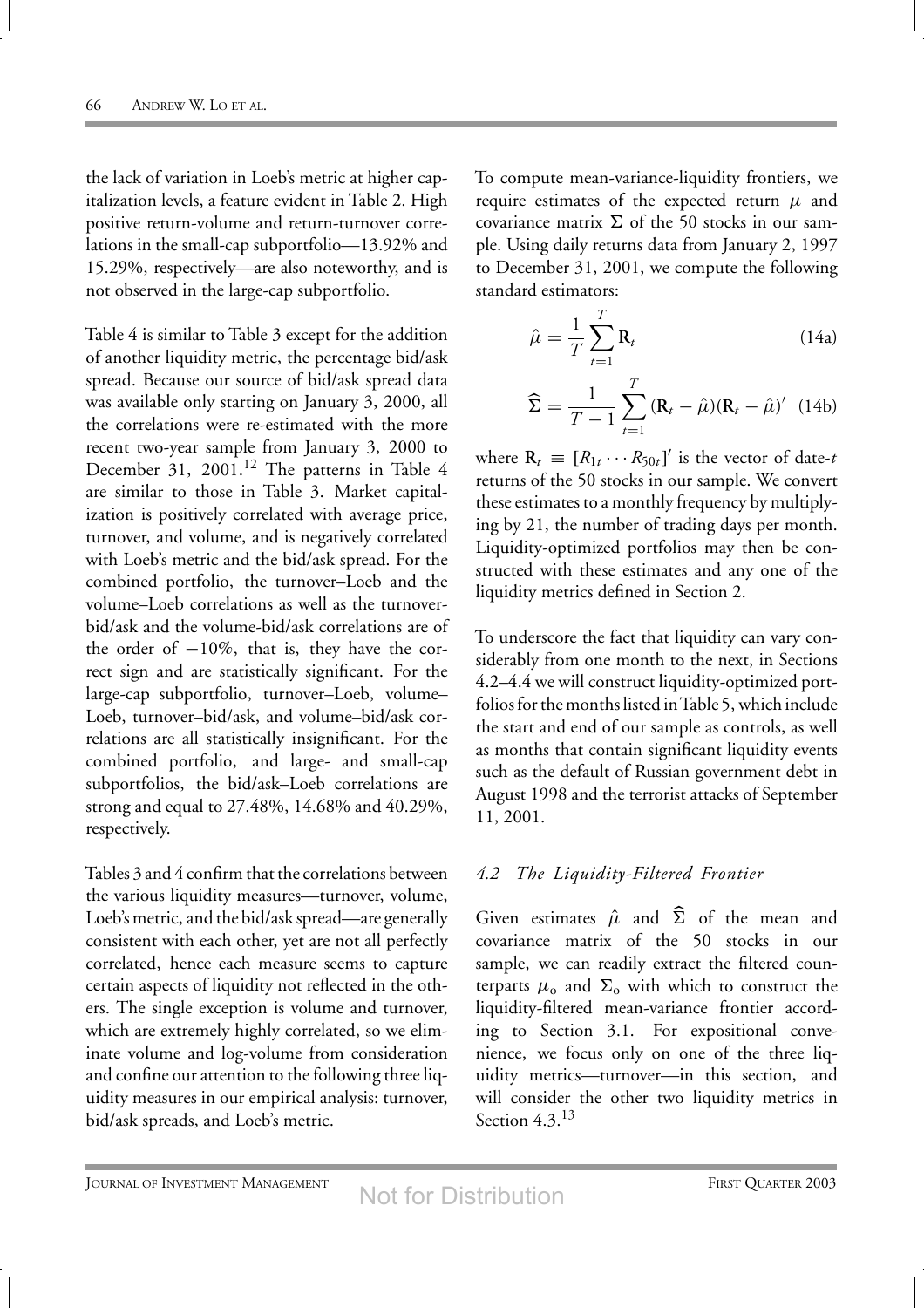the lack of variation in Loeb's metric at higher capitalization levels, a feature evident in Table 2. High positive return-volume and return-turnover correlations in the small-cap subportfolio—13.92% and 15.29%, respectively—are also noteworthy, and is not observed in the large-cap subportfolio.

Table 4 is similar to Table 3 except for the addition of another liquidity metric, the percentage bid/ask spread. Because our source of bid/ask spread data was available only starting on January 3, 2000, all the correlations were re-estimated with the more recent two-year sample from January 3, 2000 to December 31, 2001.<sup>12</sup> The patterns in Table 4 are similar to those in Table 3. Market capitalization is positively correlated with average price, turnover, and volume, and is negatively correlated with Loeb's metric and the bid/ask spread. For the combined portfolio, the turnover–Loeb and the volume–Loeb correlations as well as the turnoverbid/ask and the volume-bid/ask correlations are of the order of  $-10\%$ , that is, they have the correct sign and are statistically significant. For the large-cap subportfolio, turnover–Loeb, volume– Loeb, turnover–bid/ask, and volume–bid/ask correlations are all statistically insignificant. For the combined portfolio, and large- and small-cap subportfolios, the bid/ask–Loeb correlations are strong and equal to 27.48%, 14.68% and 40.29%, respectively.

Tables 3 and 4 confirm that the correlations between the various liquidity measures—turnover, volume, Loeb's metric, and the bid/ask spread—are generally consistent with each other, yet are not all perfectly correlated, hence each measure seems to capture certain aspects of liquidity not reflected in the others. The single exception is volume and turnover, which are extremely highly correlated, so we eliminate volume and log-volume from consideration and confine our attention to the following three liquidity measures in our empirical analysis: turnover, bid/ask spreads, and Loeb's metric.

To compute mean-variance-liquidity frontiers, we require estimates of the expected return  $\mu$  and covariance matrix  $\Sigma$  of the 50 stocks in our sample. Using daily returns data from January 2, 1997 to December 31, 2001, we compute the following standard estimators:

$$
\hat{\mu} = \frac{1}{T} \sum_{t=1}^{T} \mathbf{R}_t
$$
\n(14a)

$$
\widehat{\Sigma} = \frac{1}{T - 1} \sum_{t=1}^{T} (\mathbf{R}_t - \widehat{\mu})(\mathbf{R}_t - \widehat{\mu})' \tag{14b}
$$

where  $\mathbf{R}_t \equiv [R_{1t} \cdots R_{50t}]'$  is the vector of date-*t* returns of the 50 stocks in our sample. We convert these estimates to a monthly frequency by multiplying by 21, the number of trading days per month. Liquidity-optimized portfolios may then be constructed with these estimates and any one of the liquidity metrics defined in Section 2.

To underscore the fact that liquidity can vary considerably from one month to the next, in Sections 4.2–4.4 we will construct liquidity-optimized portfolios for the months listed in Table 5, which include the start and end of our sample as controls, as well as months that contain significant liquidity events such as the default of Russian government debt in August 1998 and the terrorist attacks of September 11, 2001.

#### *4.2 The Liquidity-Filtered Frontier*

Given estimates  $\hat{\mu}$  and  $\hat{\Sigma}$  of the mean and covariance matrix of the 50 stocks in our sample, we can readily extract the filtered counterparts  $\mu_0$  and  $\Sigma_0$  with which to construct the liquidity-filtered mean-variance frontier according to Section 3.1. For expositional convenience, we focus only on one of the three liquidity metrics—turnover—in this section, and will consider the other two liquidity metrics in Section  $4.3^{13}$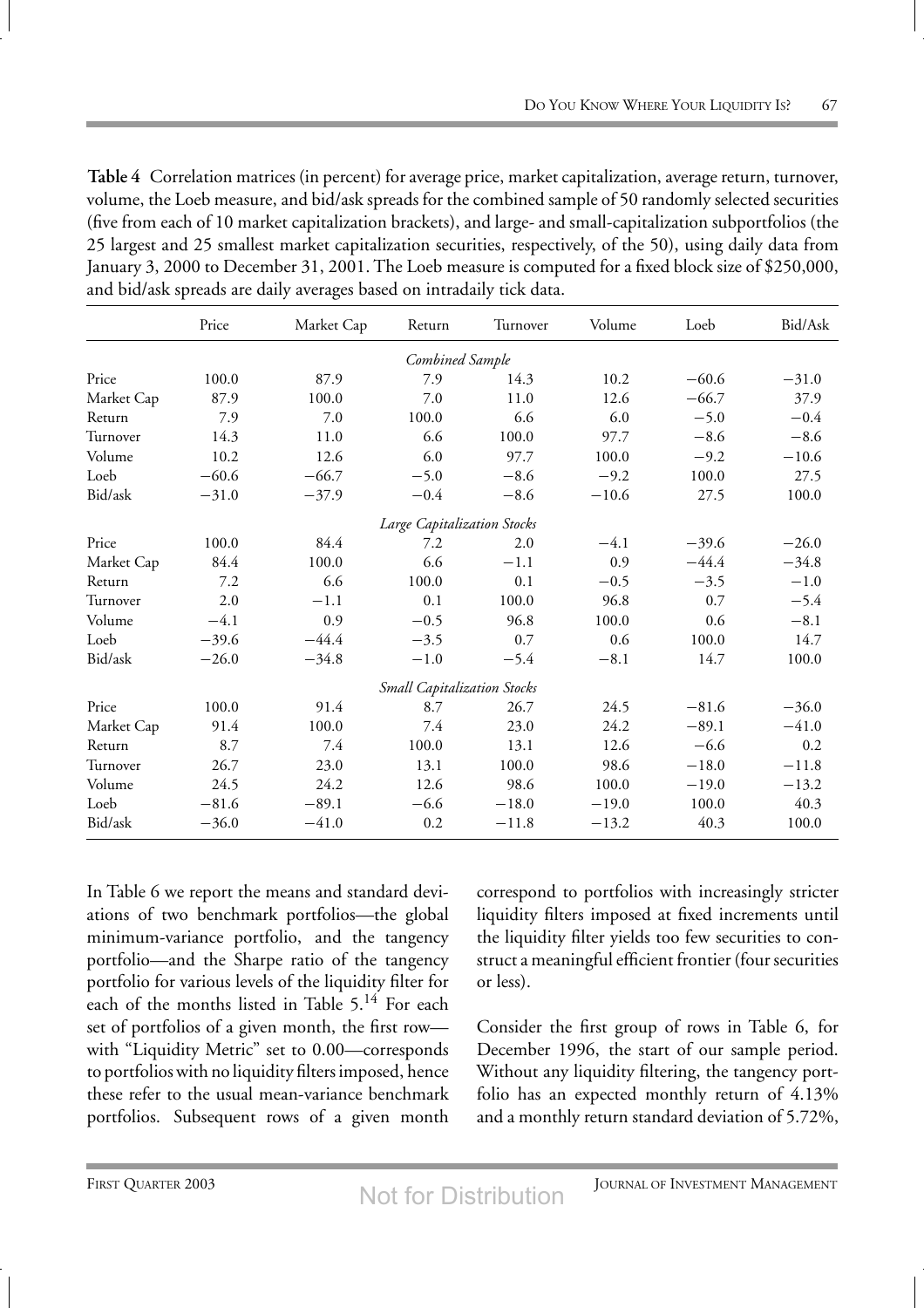**Table 4** Correlation matrices (in percent) for average price, market capitalization, average return, turnover, volume, the Loeb measure, and bid/ask spreads for the combined sample of 50 randomly selected securities (five from each of 10 market capitalization brackets), and large- and small-capitalization subportfolios (the 25 largest and 25 smallest market capitalization securities, respectively, of the 50), using daily data from January 3, 2000 to December 31, 2001. The Loeb measure is computed for a fixed block size of \$250,000, and bid/ask spreads are daily averages based on intradaily tick data.

|                             | Price   | Market Cap | Return                             | Turnover | Volume  | Loeb    | Bid/Ask |
|-----------------------------|---------|------------|------------------------------------|----------|---------|---------|---------|
|                             |         |            | Combined Sample                    |          |         |         |         |
| Price                       | 100.0   | 87.9       | 7.9                                | 14.3     | 10.2    | $-60.6$ | $-31.0$ |
| Market Cap                  | 87.9    | 100.0      | 7.0                                | 11.0     | 12.6    | $-66.7$ | 37.9    |
| Return                      | 7.9     | 7.0        | 100.0                              | 6.6      | 6.0     | $-5.0$  | $-0.4$  |
| Turnover                    | 14.3    | 11.0       | 6.6                                | 100.0    | 97.7    | $-8.6$  | $-8.6$  |
| Volume                      | 10.2    | 12.6       | 6.0                                | 97.7     | 100.0   | $-9.2$  | $-10.6$ |
| Loeb                        | $-60.6$ | $-66.7$    | $-5.0$                             | $-8.6$   | $-9.2$  | 100.0   | 27.5    |
| Bid/ask                     | $-31.0$ | $-37.9$    | $-0.4$                             | $-8.6$   | $-10.6$ | 27.5    | 100.0   |
| Large Capitalization Stocks |         |            |                                    |          |         |         |         |
| Price                       | 100.0   | 84.4       | 7.2                                | 2.0      | $-4.1$  | $-39.6$ | $-26.0$ |
| Market Cap                  | 84.4    | 100.0      | 6.6                                | $-1.1$   | 0.9     | $-44.4$ | $-34.8$ |
| Return                      | 7.2     | 6.6        | 100.0                              | 0.1      | $-0.5$  | $-3.5$  | $-1.0$  |
| Turnover                    | 2.0     | $-1.1$     | 0.1                                | 100.0    | 96.8    | 0.7     | $-5.4$  |
| Volume                      | $-4.1$  | 0.9        | $-0.5$                             | 96.8     | 100.0   | 0.6     | $-8.1$  |
| Loeb                        | $-39.6$ | $-44.4$    | $-3.5$                             | 0.7      | 0.6     | 100.0   | 14.7    |
| Bid/ask                     | $-26.0$ | $-34.8$    | $-1.0$                             | $-5.4$   | $-8.1$  | 14.7    | 100.0   |
|                             |         |            | <b>Small Capitalization Stocks</b> |          |         |         |         |
| Price                       | 100.0   | 91.4       | 8.7                                | 26.7     | 24.5    | $-81.6$ | $-36.0$ |
| Market Cap                  | 91.4    | 100.0      | 7.4                                | 23.0     | 24.2    | $-89.1$ | $-41.0$ |
| Return                      | 8.7     | 7.4        | 100.0                              | 13.1     | 12.6    | $-6.6$  | 0.2     |
| Turnover                    | 26.7    | 23.0       | 13.1                               | 100.0    | 98.6    | $-18.0$ | $-11.8$ |
| Volume                      | 24.5    | 24.2       | 12.6                               | 98.6     | 100.0   | $-19.0$ | $-13.2$ |
| Loeb                        | $-81.6$ | $-89.1$    | $-6.6$                             | $-18.0$  | $-19.0$ | 100.0   | 40.3    |
| Bid/ask                     | $-36.0$ | $-41.0$    | 0.2                                | $-11.8$  | $-13.2$ | 40.3    | 100.0   |

In Table 6 we report the means and standard deviations of two benchmark portfolios—the global minimum-variance portfolio, and the tangency portfolio—and the Sharpe ratio of the tangency portfolio for various levels of the liquidity filter for each of the months listed in Table  $5.^{14}$  For each set of portfolios of a given month, the first row with "Liquidity Metric" set to 0.00—corresponds to portfolios with no liquidity filters imposed, hence these refer to the usual mean-variance benchmark portfolios. Subsequent rows of a given month correspond to portfolios with increasingly stricter liquidity filters imposed at fixed increments until the liquidity filter yields too few securities to construct a meaningful efficient frontier (four securities or less).

Consider the first group of rows in Table 6, for December 1996, the start of our sample period. Without any liquidity filtering, the tangency portfolio has an expected monthly return of 4.13% and a monthly return standard deviation of 5.72%,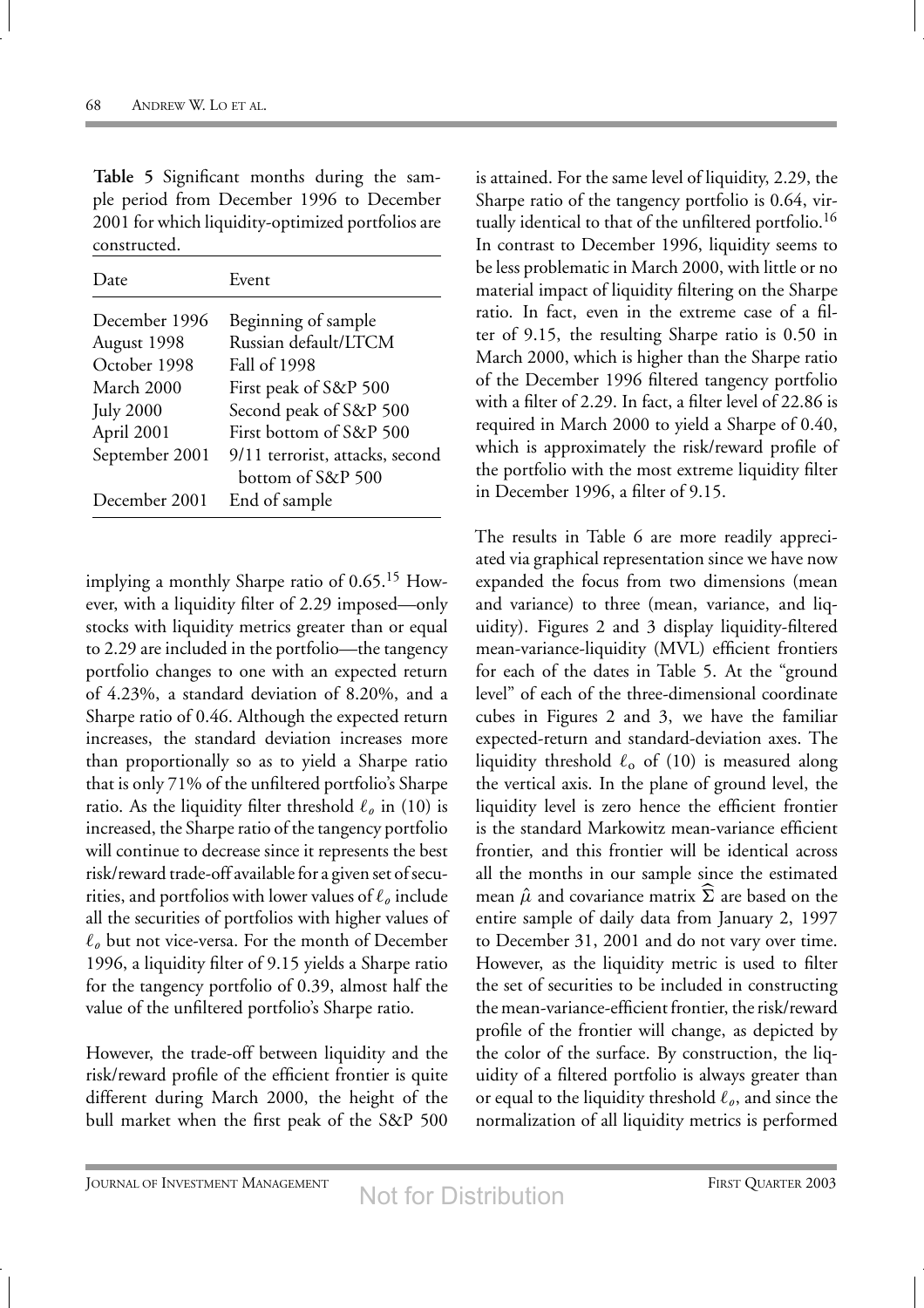| Table 5 Significant months during the sam-        |  |  |  |  |  |
|---------------------------------------------------|--|--|--|--|--|
| ple period from December 1996 to December         |  |  |  |  |  |
| 2001 for which liquidity-optimized portfolios are |  |  |  |  |  |
| constructed.                                      |  |  |  |  |  |

| l )ate           | Event                                                |
|------------------|------------------------------------------------------|
| December 1996    | Beginning of sample                                  |
| August 1998      | Russian default/LTCM                                 |
| October 1998     | Fall of 1998                                         |
| March 2000       | First peak of S&P 500                                |
| <b>July 2000</b> | Second peak of S&P 500                               |
| April 2001       | First bottom of S&P 500                              |
| September 2001   | 9/11 terrorist, attacks, second<br>bottom of S&P 500 |
| December 2001    | End of sample                                        |

implying a monthly Sharpe ratio of  $0.65$ .<sup>15</sup> However, with a liquidity filter of 2.29 imposed—only stocks with liquidity metrics greater than or equal to 2.29 are included in the portfolio—the tangency portfolio changes to one with an expected return of 4.23%, a standard deviation of 8.20%, and a Sharpe ratio of 0.46. Although the expected return increases, the standard deviation increases more than proportionally so as to yield a Sharpe ratio that is only 71% of the unfiltered portfolio's Sharpe ratio. As the liquidity filter threshold  $\ell_o$  in (10) is increased, the Sharpe ratio of the tangency portfolio will continue to decrease since it represents the best risk/reward trade-off available for a given set of securities, and portfolios with lower values of  $\ell_{\varrho}$  include all the securities of portfolios with higher values of  $\ell_{o}$  but not vice-versa. For the month of December 1996, a liquidity filter of 9.15 yields a Sharpe ratio for the tangency portfolio of 0.39, almost half the value of the unfiltered portfolio's Sharpe ratio.

However, the trade-off between liquidity and the risk/reward profile of the efficient frontier is quite different during March 2000, the height of the bull market when the first peak of the S&P 500

is attained. For the same level of liquidity, 2.29, the Sharpe ratio of the tangency portfolio is 0.64, virtually identical to that of the unfiltered portfolio.<sup>16</sup> In contrast to December 1996, liquidity seems to be less problematic in March 2000, with little or no material impact of liquidity filtering on the Sharpe ratio. In fact, even in the extreme case of a filter of 9.15, the resulting Sharpe ratio is 0.50 in March 2000, which is higher than the Sharpe ratio of the December 1996 filtered tangency portfolio with a filter of 2.29. In fact, a filter level of 22.86 is required in March 2000 to yield a Sharpe of 0.40, which is approximately the risk/reward profile of the portfolio with the most extreme liquidity filter in December 1996, a filter of 9.15.

The results in Table 6 are more readily appreciated via graphical representation since we have now expanded the focus from two dimensions (mean and variance) to three (mean, variance, and liquidity). Figures 2 and 3 display liquidity-filtered mean-variance-liquidity (MVL) efficient frontiers for each of the dates in Table 5. At the "ground level" of each of the three-dimensional coordinate cubes in Figures 2 and 3, we have the familiar expected-return and standard-deviation axes. The liquidity threshold  $\ell_0$  of (10) is measured along the vertical axis. In the plane of ground level, the liquidity level is zero hence the efficient frontier is the standard Markowitz mean-variance efficient frontier, and this frontier will be identical across all the months in our sample since the estimated mean  $\hat{\mu}$  and covariance matrix  $\Sigma$  are based on the entire sample of daily data from January 2, 1997 to December 31, 2001 and do not vary over time. However, as the liquidity metric is used to filter the set of securities to be included in constructing the mean-variance-efficient frontier, the risk/reward profile of the frontier will change, as depicted by the color of the surface. By construction, the liquidity of a filtered portfolio is always greater than or equal to the liquidity threshold  $\ell_{o}$ , and since the normalization of all liquidity metrics is performed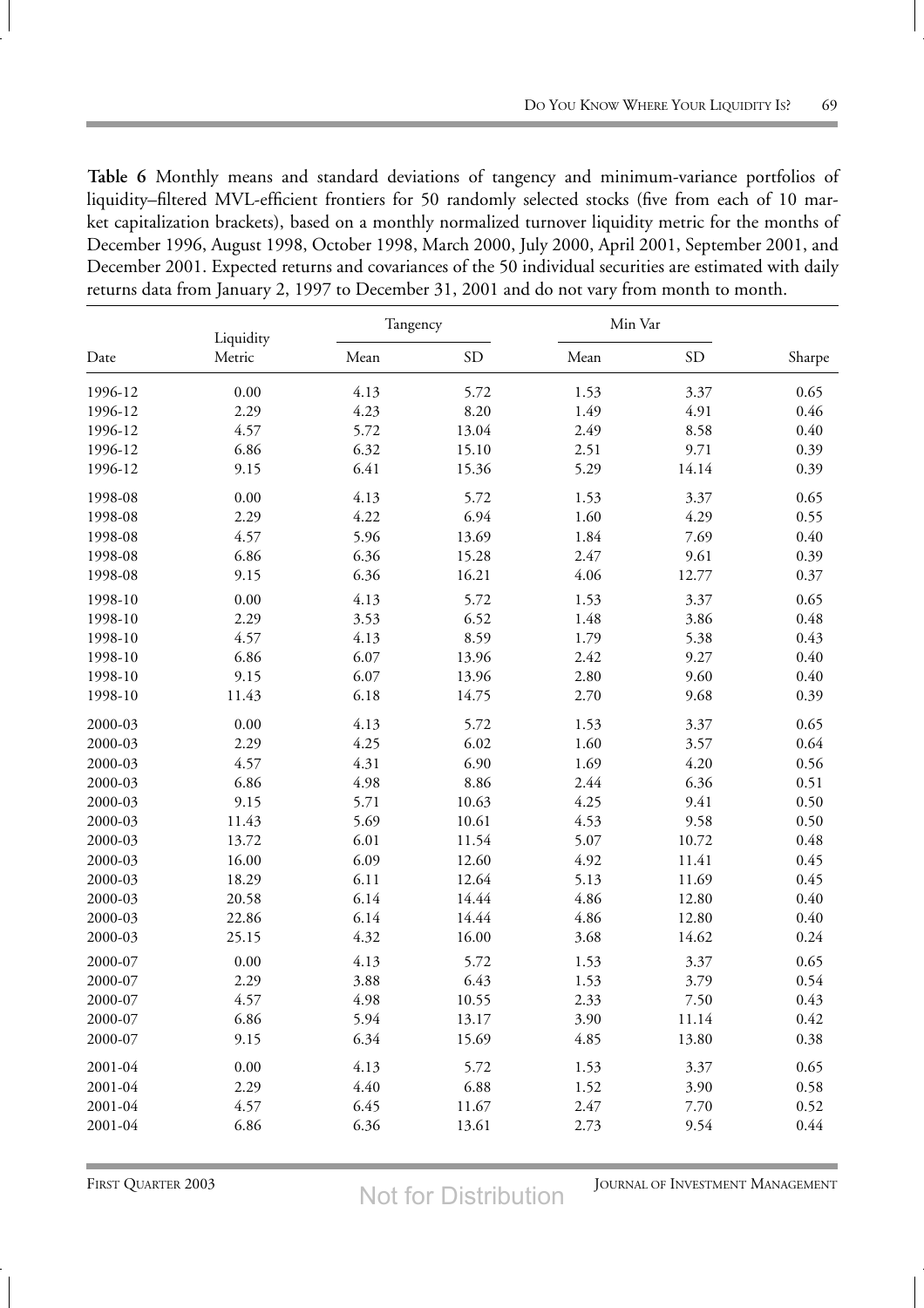**Table 6** Monthly means and standard deviations of tangency and minimum-variance portfolios of liquidity–filtered MVL-efficient frontiers for 50 randomly selected stocks (five from each of 10 market capitalization brackets), based on a monthly normalized turnover liquidity metric for the months of December 1996, August 1998, October 1998, March 2000, July 2000, April 2001, September 2001, and December 2001. Expected returns and covariances of the 50 individual securities are estimated with daily returns data from January 2, 1997 to December 31, 2001 and do not vary from month to month.

|         | Liquidity | Tangency |           | Min Var |           |          |
|---------|-----------|----------|-----------|---------|-----------|----------|
| Date    | Metric    | Mean     | <b>SD</b> | Mean    | <b>SD</b> | Sharpe   |
| 1996-12 | 0.00      | 4.13     | 5.72      | 1.53    | 3.37      | 0.65     |
| 1996-12 | 2.29      | 4.23     | 8.20      | 1.49    | 4.91      | 0.46     |
| 1996-12 | 4.57      | 5.72     | 13.04     | 2.49    | 8.58      | 0.40     |
| 1996-12 | 6.86      | 6.32     | 15.10     | 2.51    | 9.71      | 0.39     |
| 1996-12 | 9.15      | 6.41     | 15.36     | 5.29    | 14.14     | 0.39     |
| 1998-08 | 0.00      | 4.13     | 5.72      | 1.53    | 3.37      | 0.65     |
| 1998-08 | 2.29      | 4.22     | 6.94      | 1.60    | 4.29      | 0.55     |
| 1998-08 | 4.57      | 5.96     | 13.69     | 1.84    | 7.69      | $0.40\,$ |
| 1998-08 | 6.86      | 6.36     | 15.28     | 2.47    | 9.61      | 0.39     |
| 1998-08 | 9.15      | 6.36     | 16.21     | 4.06    | 12.77     | 0.37     |
| 1998-10 | 0.00      | 4.13     | 5.72      | 1.53    | 3.37      | 0.65     |
| 1998-10 | 2.29      | 3.53     | 6.52      | 1.48    | 3.86      | 0.48     |
| 1998-10 | 4.57      | 4.13     | 8.59      | 1.79    | 5.38      | 0.43     |
| 1998-10 | 6.86      | 6.07     | 13.96     | 2.42    | 9.27      | 0.40     |
| 1998-10 | 9.15      | 6.07     | 13.96     | 2.80    | 9.60      | 0.40     |
| 1998-10 | 11.43     | 6.18     | 14.75     | 2.70    | 9.68      | 0.39     |
| 2000-03 | 0.00      | 4.13     | 5.72      | 1.53    | 3.37      | 0.65     |
| 2000-03 | 2.29      | 4.25     | 6.02      | 1.60    | 3.57      | 0.64     |
| 2000-03 | 4.57      | 4.31     | 6.90      | 1.69    | 4.20      | 0.56     |
| 2000-03 | 6.86      | 4.98     | 8.86      | 2.44    | 6.36      | 0.51     |
| 2000-03 | 9.15      | 5.71     | 10.63     | 4.25    | 9.41      | 0.50     |
| 2000-03 | 11.43     | 5.69     | 10.61     | 4.53    | 9.58      | 0.50     |
| 2000-03 | 13.72     | 6.01     | 11.54     | 5.07    | 10.72     | 0.48     |
| 2000-03 | 16.00     | 6.09     | 12.60     | 4.92    | 11.41     | 0.45     |
| 2000-03 | 18.29     | 6.11     | 12.64     | 5.13    | 11.69     | 0.45     |
| 2000-03 | 20.58     | 6.14     | 14.44     | 4.86    | 12.80     | 0.40     |
| 2000-03 | 22.86     | 6.14     | 14.44     | 4.86    | 12.80     | 0.40     |
| 2000-03 | 25.15     | 4.32     | 16.00     | 3.68    | 14.62     | 0.24     |
| 2000-07 | 0.00      | 4.13     | 5.72      | 1.53    | 3.37      | 0.65     |
| 2000-07 | 2.29      | 3.88     | 6.43      | 1.53    | 3.79      | 0.54     |
| 2000-07 | 4.57      | 4.98     | 10.55     | 2.33    | 7.50      | 0.43     |
| 2000-07 | 6.86      | 5.94     | 13.17     | 3.90    | 11.14     | 0.42     |
| 2000-07 | 9.15      | 6.34     | 15.69     | 4.85    | 13.80     | 0.38     |
| 2001-04 | 0.00      | 4.13     | 5.72      | 1.53    | 3.37      | 0.65     |
| 2001-04 | 2.29      | 4.40     | 6.88      | 1.52    | 3.90      | 0.58     |
| 2001-04 | 4.57      | 6.45     | 11.67     | 2.47    | 7.70      | 0.52     |
| 2001-04 | 6.86      | 6.36     | 13.61     | 2.73    | 9.54      | 0.44     |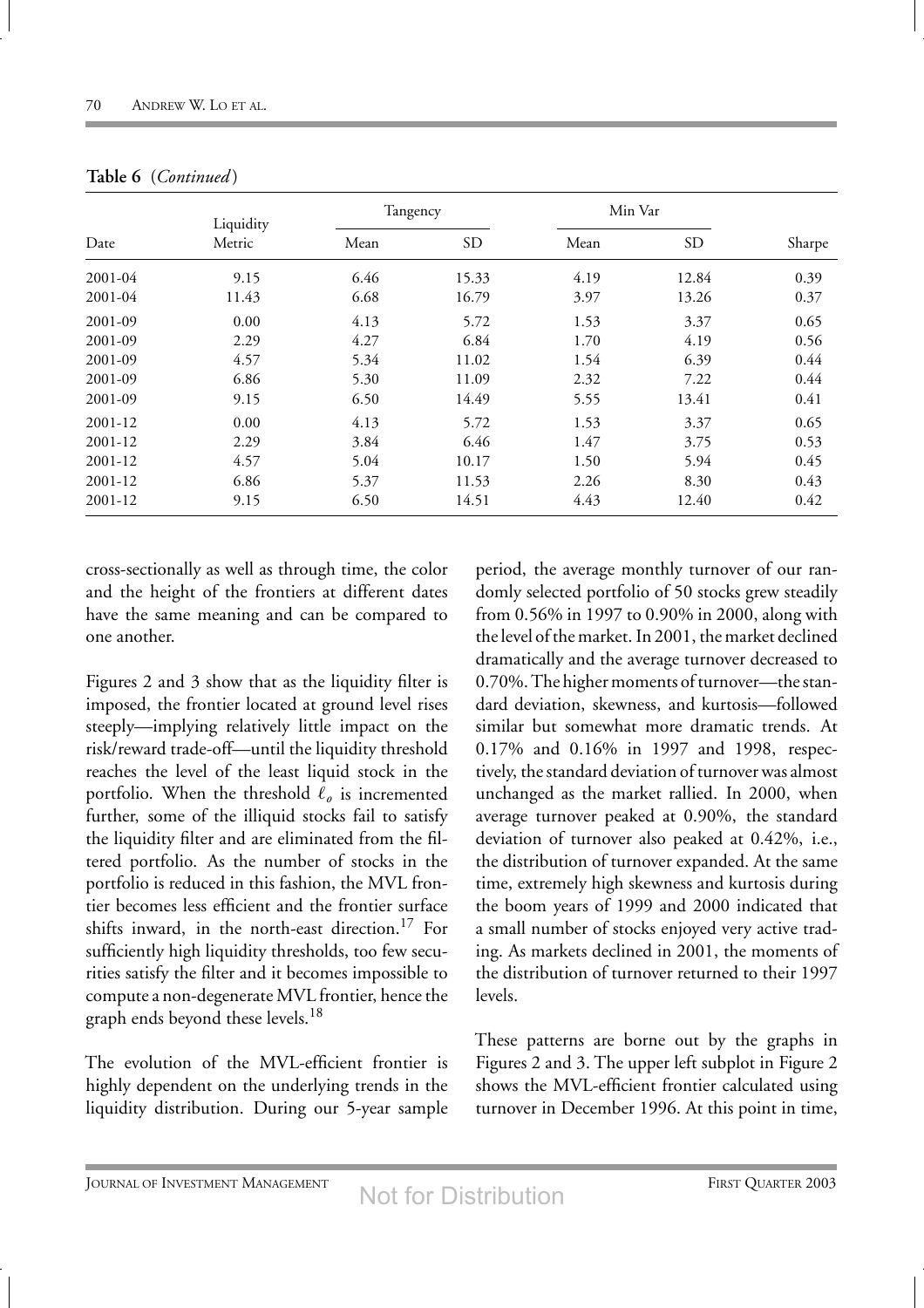|             | Liquidity | Tangency |           | Min Var |           |        |
|-------------|-----------|----------|-----------|---------|-----------|--------|
| Date        | Metric    | Mean     | <b>SD</b> | Mean    | <b>SD</b> | Sharpe |
| $2001 - 04$ | 9.15      | 6.46     | 15.33     | 4.19    | 12.84     | 0.39   |
| $2001 - 04$ | 11.43     | 6.68     | 16.79     | 3.97    | 13.26     | 0.37   |
| 2001-09     | 0.00      | 4.13     | 5.72      | 1.53    | 3.37      | 0.65   |
| 2001-09     | 2.29      | 4.27     | 6.84      | 1.70    | 4.19      | 0.56   |
| 2001-09     | 4.57      | 5.34     | 11.02     | 1.54    | 6.39      | 0.44   |
| 2001-09     | 6.86      | 5.30     | 11.09     | 2.32    | 7.22      | 0.44   |
| 2001-09     | 9.15      | 6.50     | 14.49     | 5.55    | 13.41     | 0.41   |
| 2001-12     | 0.00      | 4.13     | 5.72      | 1.53    | 3.37      | 0.65   |
| 2001-12     | 2.29      | 3.84     | 6.46      | 1.47    | 3.75      | 0.53   |
| 2001-12     | 4.57      | 5.04     | 10.17     | 1.50    | 5.94      | 0.45   |
| 2001-12     | 6.86      | 5.37     | 11.53     | 2.26    | 8.30      | 0.43   |
| 2001-12     | 9.15      | 6.50     | 14.51     | 4.43    | 12.40     | 0.42   |

|  | Table 6 (Continued) |
|--|---------------------|
|--|---------------------|

cross-sectionally as well as through time, the color and the height of the frontiers at different dates have the same meaning and can be compared to one another.

Figures 2 and 3 show that as the liquidity filter is imposed, the frontier located at ground level rises steeply—implying relatively little impact on the risk/reward trade-off—until the liquidity threshold reaches the level of the least liquid stock in the portfolio. When the threshold  $\ell_{o}$  is incremented further, some of the illiquid stocks fail to satisfy the liquidity filter and are eliminated from the filtered portfolio. As the number of stocks in the portfolio is reduced in this fashion, the MVL frontier becomes less efficient and the frontier surface shifts inward, in the north-east direction.<sup>17</sup> For sufficiently high liquidity thresholds, too few securities satisfy the filter and it becomes impossible to compute a non-degenerate MVL frontier, hence the graph ends beyond these levels.<sup>18</sup>

The evolution of the MVL-efficient frontier is highly dependent on the underlying trends in the liquidity distribution. During our 5-year sample

period, the average monthly turnover of our randomly selected portfolio of 50 stocks grew steadily from 0.56% in 1997 to 0.90% in 2000, along with the level of the market. In 2001, the market declined dramatically and the average turnover decreased to 0.70%. The higher moments of turnover—the standard deviation, skewness, and kurtosis—followed similar but somewhat more dramatic trends. At 0.17% and 0.16% in 1997 and 1998, respectively, the standard deviation of turnover was almost unchanged as the market rallied. In 2000, when average turnover peaked at 0.90%, the standard deviation of turnover also peaked at 0.42%, i.e., the distribution of turnover expanded. At the same time, extremely high skewness and kurtosis during the boom years of 1999 and 2000 indicated that a small number of stocks enjoyed very active trading. As markets declined in 2001, the moments of the distribution of turnover returned to their 1997 levels.

These patterns are borne out by the graphs in Figures 2 and 3. The upper left subplot in Figure 2 shows the MVL-efficient frontier calculated using turnover in December 1996. At this point in time,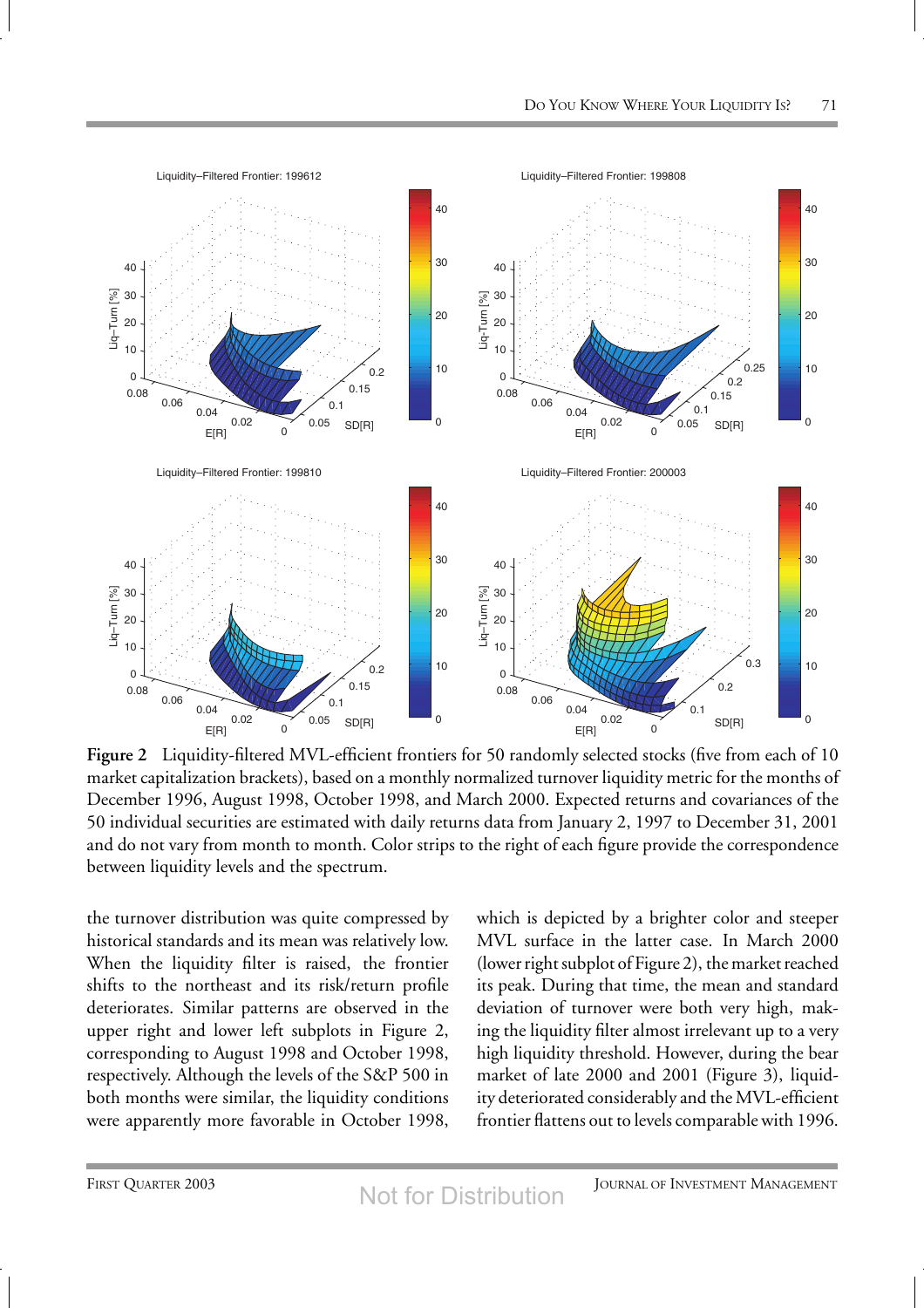

**Figure 2** Liquidity-filtered MVL-efficient frontiers for 50 randomly selected stocks (five from each of 10 market capitalization brackets), based on a monthly normalized turnover liquidity metric for the months of December 1996, August 1998, October 1998, and March 2000. Expected returns and covariances of the 50 individual securities are estimated with daily returns data from January 2, 1997 to December 31, 2001 and do not vary from month to month. Color strips to the right of each figure provide the correspondence between liquidity levels and the spectrum.

the turnover distribution was quite compressed by historical standards and its mean was relatively low. When the liquidity filter is raised, the frontier shifts to the northeast and its risk/return profile deteriorates. Similar patterns are observed in the upper right and lower left subplots in Figure 2, corresponding to August 1998 and October 1998, respectively. Although the levels of the S&P 500 in both months were similar, the liquidity conditions were apparently more favorable in October 1998, which is depicted by a brighter color and steeper MVL surface in the latter case. In March 2000 (lower right subplot of Figure 2), the market reached its peak. During that time, the mean and standard deviation of turnover were both very high, making the liquidity filter almost irrelevant up to a very high liquidity threshold. However, during the bear market of late 2000 and 2001 (Figure 3), liquidity deteriorated considerably and the MVL-efficient frontier flattens out to levels comparable with 1996.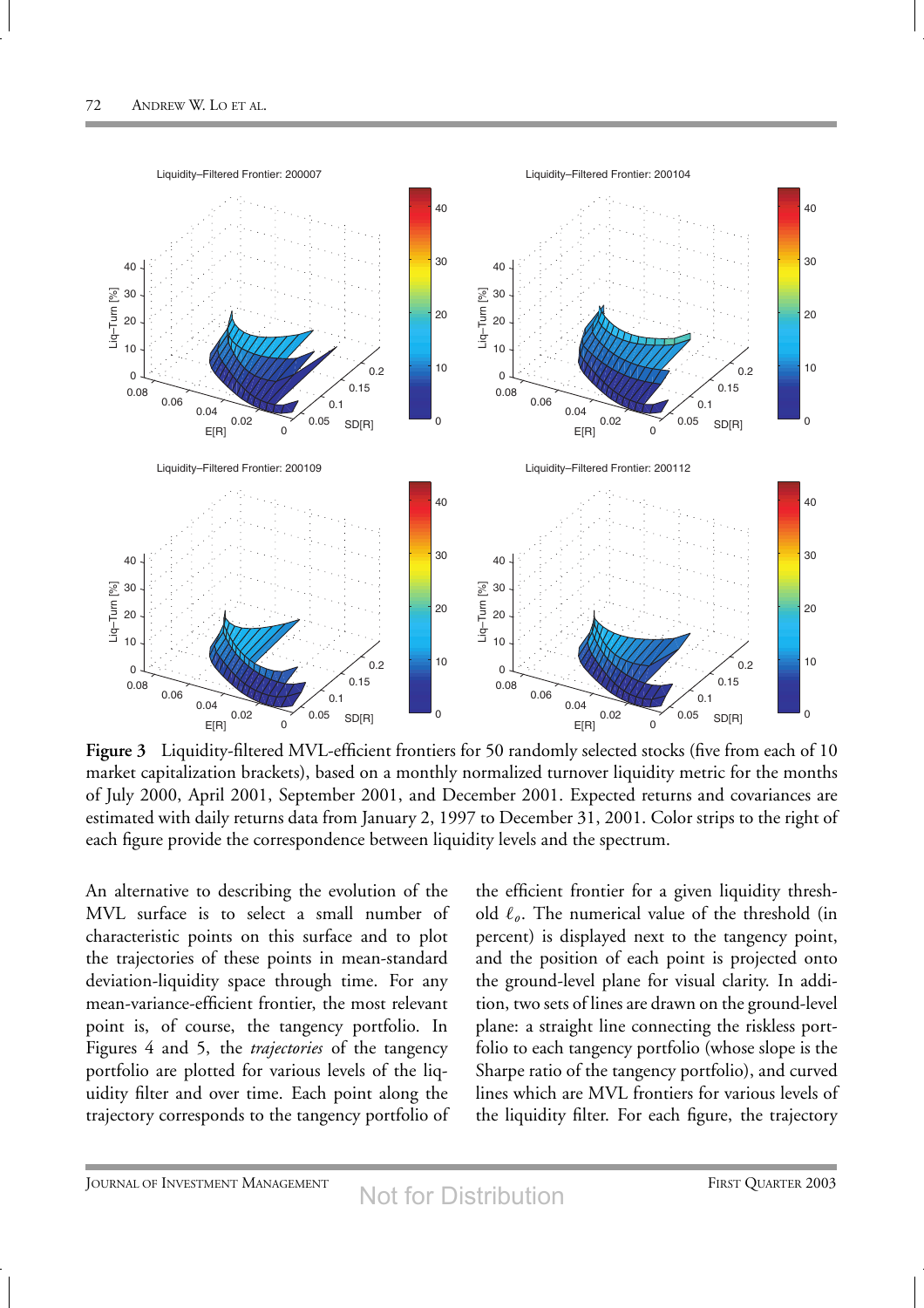

**Figure 3** Liquidity-filtered MVL-efficient frontiers for 50 randomly selected stocks (five from each of 10 market capitalization brackets), based on a monthly normalized turnover liquidity metric for the months of July 2000, April 2001, September 2001, and December 2001. Expected returns and covariances are estimated with daily returns data from January 2, 1997 to December 31, 2001. Color strips to the right of each figure provide the correspondence between liquidity levels and the spectrum.

An alternative to describing the evolution of the MVL surface is to select a small number of characteristic points on this surface and to plot the trajectories of these points in mean-standard deviation-liquidity space through time. For any mean-variance-efficient frontier, the most relevant point is, of course, the tangency portfolio. In Figures 4 and 5, the *trajectories* of the tangency portfolio are plotted for various levels of the liquidity filter and over time. Each point along the trajectory corresponds to the tangency portfolio of

the efficient frontier for a given liquidity threshold  $\ell_{\varrho}$ . The numerical value of the threshold (in percent) is displayed next to the tangency point, and the position of each point is projected onto the ground-level plane for visual clarity. In addition, two sets of lines are drawn on the ground-level plane: a straight line connecting the riskless portfolio to each tangency portfolio (whose slope is the Sharpe ratio of the tangency portfolio), and curved lines which are MVL frontiers for various levels of the liquidity filter. For each figure, the trajectory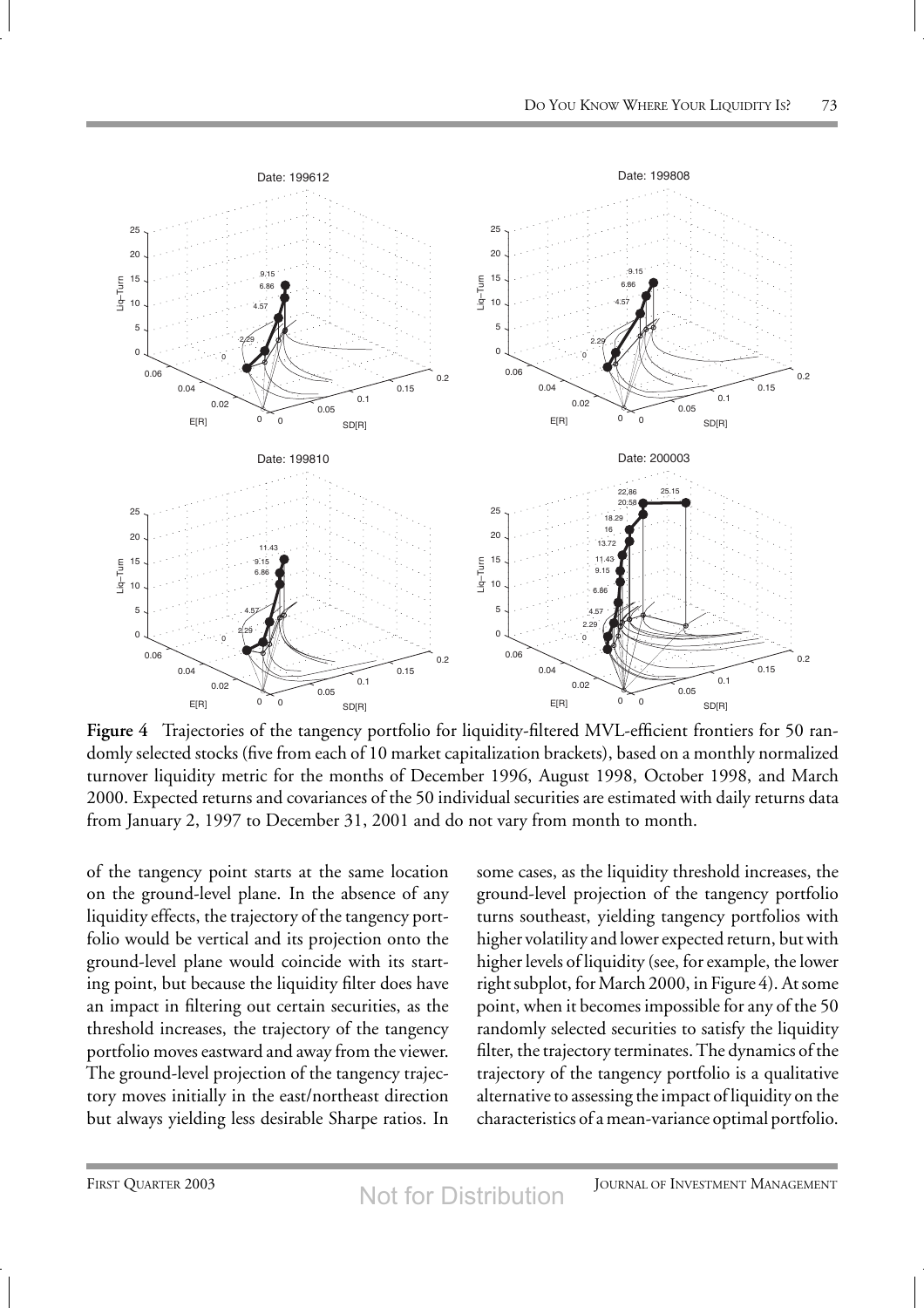

**Figure 4** Trajectories of the tangency portfolio for liquidity-filtered MVL-efficient frontiers for 50 randomly selected stocks (five from each of 10 market capitalization brackets), based on a monthly normalized turnover liquidity metric for the months of December 1996, August 1998, October 1998, and March 2000. Expected returns and covariances of the 50 individual securities are estimated with daily returns data from January 2, 1997 to December 31, 2001 and do not vary from month to month.

of the tangency point starts at the same location on the ground-level plane. In the absence of any liquidity effects, the trajectory of the tangency portfolio would be vertical and its projection onto the ground-level plane would coincide with its starting point, but because the liquidity filter does have an impact in filtering out certain securities, as the threshold increases, the trajectory of the tangency portfolio moves eastward and away from the viewer. The ground-level projection of the tangency trajectory moves initially in the east/northeast direction but always yielding less desirable Sharpe ratios. In some cases, as the liquidity threshold increases, the ground-level projection of the tangency portfolio turns southeast, yielding tangency portfolios with higher volatility and lower expected return, but with higher levels of liquidity (see, for example, the lower right subplot, for March 2000, in Figure 4). At some point, when it becomes impossible for any of the 50 randomly selected securities to satisfy the liquidity filter, the trajectory terminates. The dynamics of the trajectory of the tangency portfolio is a qualitative alternative to assessing the impact of liquidity on the characteristics of a mean-variance optimal portfolio.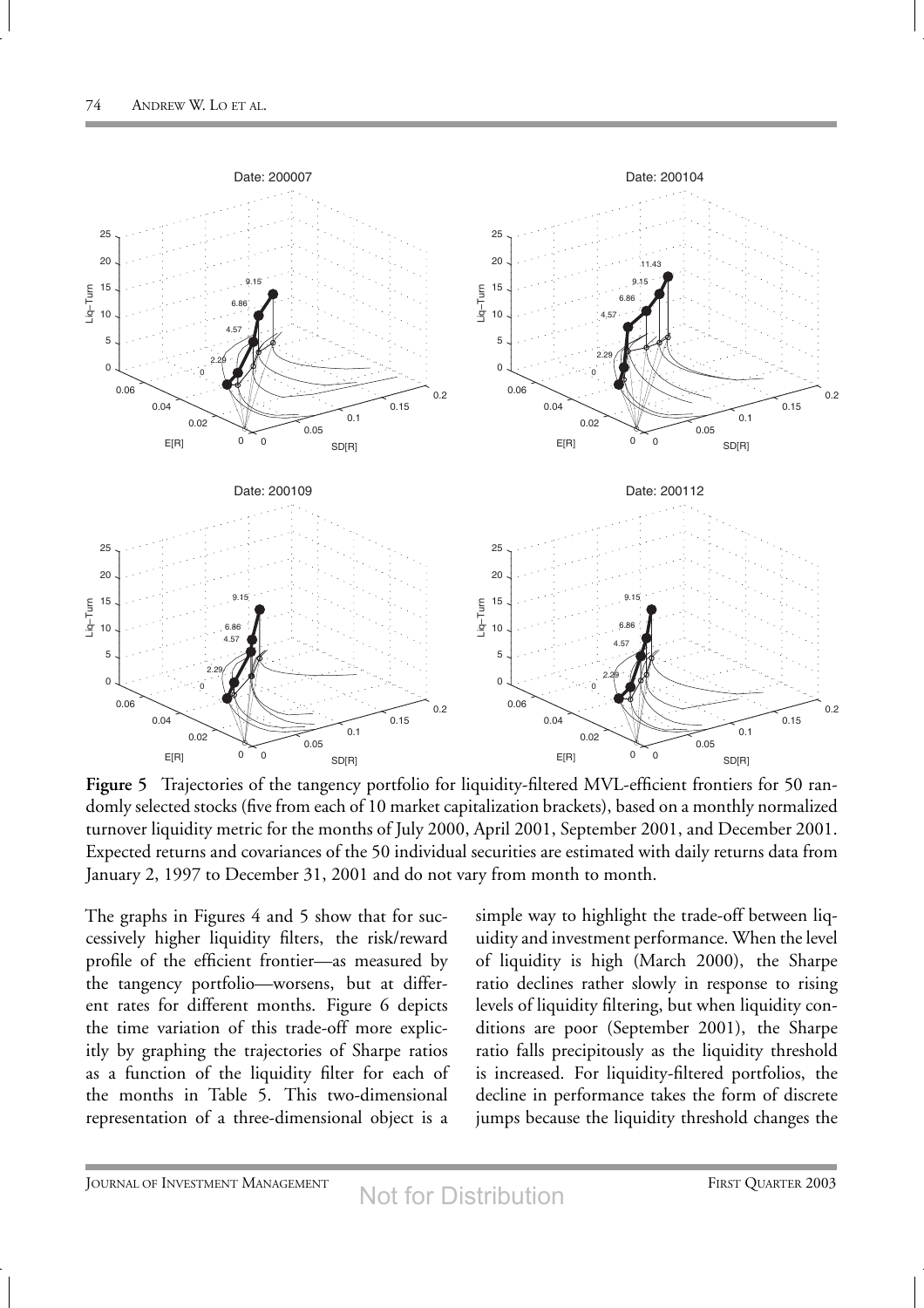

**Figure 5** Trajectories of the tangency portfolio for liquidity-filtered MVL-efficient frontiers for 50 randomly selected stocks (five from each of 10 market capitalization brackets), based on a monthly normalized turnover liquidity metric for the months of July 2000, April 2001, September 2001, and December 2001. Expected returns and covariances of the 50 individual securities are estimated with daily returns data from January 2, 1997 to December 31, 2001 and do not vary from month to month.

The graphs in Figures 4 and 5 show that for successively higher liquidity filters, the risk/reward profile of the efficient frontier—as measured by the tangency portfolio—worsens, but at different rates for different months. Figure 6 depicts the time variation of this trade-off more explicitly by graphing the trajectories of Sharpe ratios as a function of the liquidity filter for each of the months in Table 5. This two-dimensional representation of a three-dimensional object is a

simple way to highlight the trade-off between liquidity and investment performance. When the level of liquidity is high (March 2000), the Sharpe ratio declines rather slowly in response to rising levels of liquidity filtering, but when liquidity conditions are poor (September 2001), the Sharpe ratio falls precipitously as the liquidity threshold is increased. For liquidity-filtered portfolios, the decline in performance takes the form of discrete jumps because the liquidity threshold changes the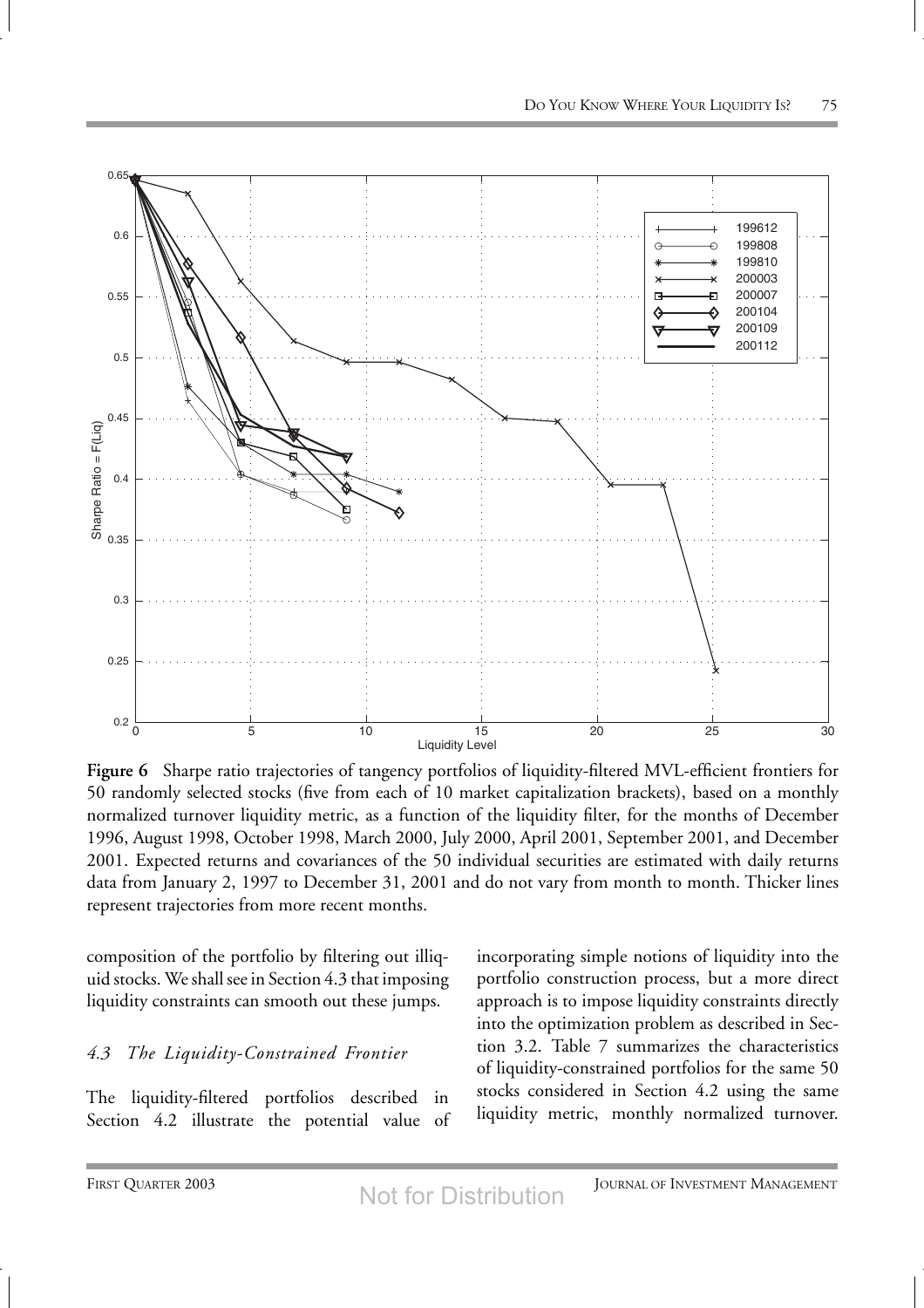

**Figure 6** Sharpe ratio trajectories of tangency portfolios of liquidity-filtered MVL-efficient frontiers for 50 randomly selected stocks (five from each of 10 market capitalization brackets), based on a monthly normalized turnover liquidity metric, as a function of the liquidity filter, for the months of December 1996, August 1998, October 1998, March 2000, July 2000, April 2001, September 2001, and December 2001. Expected returns and covariances of the 50 individual securities are estimated with daily returns data from January 2, 1997 to December 31, 2001 and do not vary from month to month. Thicker lines represent trajectories from more recent months.

composition of the portfolio by filtering out illiquid stocks. We shall see in Section 4.3 that imposing liquidity constraints can smooth out these jumps.

## *4.3 The Liquidity-Constrained Frontier*

The liquidity-filtered portfolios described in Section 4.2 illustrate the potential value of

incorporating simple notions of liquidity into the portfolio construction process, but a more direct approach is to impose liquidity constraints directly into the optimization problem as described in Section 3.2. Table 7 summarizes the characteristics of liquidity-constrained portfolios for the same 50 stocks considered in Section 4.2 using the same liquidity metric, monthly normalized turnover.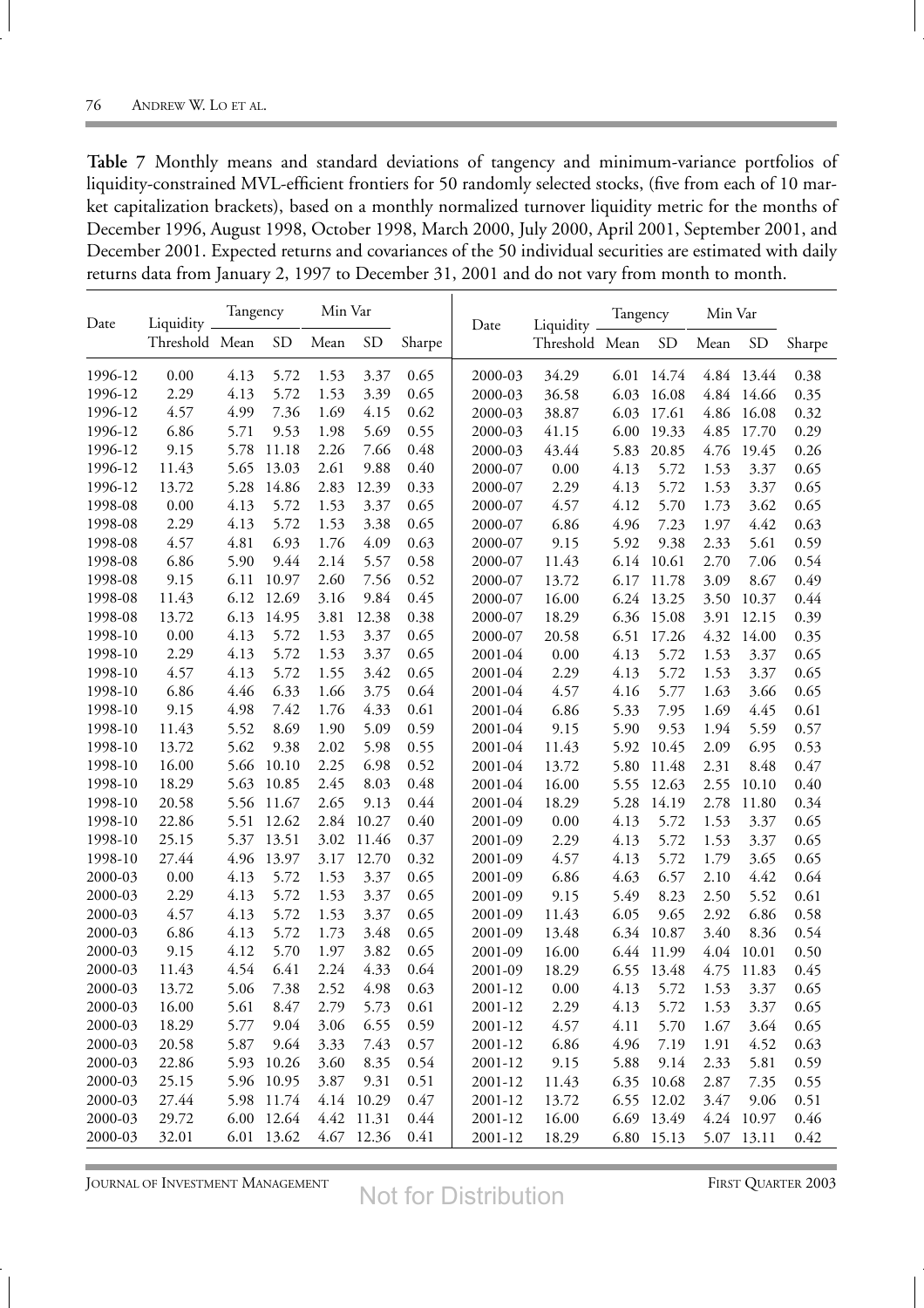m.

| Table 7 Monthly means and standard deviations of tangency and minimum-variance portfolios of              |
|-----------------------------------------------------------------------------------------------------------|
| liquidity-constrained MVL-efficient frontiers for 50 randomly selected stocks, (five from each of 10 mar- |
| ket capitalization brackets), based on a monthly normalized turnover liquidity metric for the months of   |
| December 1996, August 1998, October 1998, March 2000, July 2000, April 2001, September 2001, and          |
| December 2001. Expected returns and covariances of the 50 individual securities are estimated with daily  |
| returns data from January 2, 1997 to December 31, 2001 and do not vary from month to month.               |

| Date    | Liquidity _    | Tangency |            | Min Var |            |        | Date        | Liquidity _    | Tangency |            | Min Var |            |        |
|---------|----------------|----------|------------|---------|------------|--------|-------------|----------------|----------|------------|---------|------------|--------|
|         | Threshold Mean |          | <b>SD</b>  | Mean    | <b>SD</b>  | Sharpe |             | Threshold Mean |          | <b>SD</b>  | Mean    | <b>SD</b>  | Sharpe |
| 1996-12 | 0.00           | 4.13     | 5.72       | 1.53    | 3.37       | 0.65   | 2000-03     | 34.29          |          | 6.01 14.74 |         | 4.84 13.44 | 0.38   |
| 1996-12 | 2.29           | 4.13     | 5.72       | 1.53    | 3.39       | 0.65   | 2000-03     | 36.58          | 6.03     | 16.08      | 4.84    | 14.66      | 0.35   |
| 1996-12 | 4.57           | 4.99     | 7.36       | 1.69    | 4.15       | 0.62   | 2000-03     | 38.87          | 6.03     | 17.61      | 4.86    | 16.08      | 0.32   |
| 1996-12 | 6.86           | 5.71     | 9.53       | 1.98    | 5.69       | 0.55   | 2000-03     | 41.15          | 6.00     | 19.33      | 4.85    | 17.70      | 0.29   |
| 1996-12 | 9.15           | 5.78     | 11.18      | 2.26    | 7.66       | 0.48   | 2000-03     | 43.44          | 5.83     | 20.85      | 4.76    | 19.45      | 0.26   |
| 1996-12 | 11.43          | 5.65     | 13.03      | 2.61    | 9.88       | 0.40   | 2000-07     | 0.00           | 4.13     | 5.72       | 1.53    | 3.37       | 0.65   |
| 1996-12 | 13.72          | 5.28     | 14.86      | 2.83    | 12.39      | 0.33   | 2000-07     | 2.29           | 4.13     | 5.72       | 1.53    | 3.37       | 0.65   |
| 1998-08 | 0.00           | 4.13     | 5.72       | 1.53    | 3.37       | 0.65   | 2000-07     | 4.57           | 4.12     | 5.70       | 1.73    | 3.62       | 0.65   |
| 1998-08 | 2.29           | 4.13     | 5.72       | 1.53    | 3.38       | 0.65   | 2000-07     | 6.86           | 4.96     | 7.23       | 1.97    | 4.42       | 0.63   |
| 1998-08 | 4.57           | 4.81     | 6.93       | 1.76    | 4.09       | 0.63   | 2000-07     | 9.15           | 5.92     | 9.38       | 2.33    | 5.61       | 0.59   |
| 1998-08 | 6.86           | 5.90     | 9.44       | 2.14    | 5.57       | 0.58   | 2000-07     | 11.43          | 6.14     | 10.61      | 2.70    | 7.06       | 0.54   |
| 1998-08 | 9.15           | 6.11     | 10.97      | 2.60    | 7.56       | 0.52   | 2000-07     | 13.72          | 6.17     | 11.78      | 3.09    | 8.67       | 0.49   |
| 1998-08 | 11.43          | 6.12     | 12.69      | 3.16    | 9.84       | 0.45   | 2000-07     | 16.00          | 6.24     | 13.25      | 3.50    | 10.37      | 0.44   |
| 1998-08 | 13.72          | 6.13     | 14.95      | 3.81    | 12.38      | 0.38   | 2000-07     | 18.29          | 6.36     | 15.08      | 3.91    | 12.15      | 0.39   |
| 1998-10 | 0.00           | 4.13     | 5.72       | 1.53    | 3.37       | 0.65   | 2000-07     | 20.58          | 6.51     | 17.26      | 4.32    | 14.00      | 0.35   |
| 1998-10 | 2.29           | 4.13     | 5.72       | 1.53    | 3.37       | 0.65   | 2001-04     | 0.00           | 4.13     | 5.72       | 1.53    | 3.37       | 0.65   |
| 1998-10 | 4.57           | 4.13     | 5.72       | 1.55    | 3.42       | 0.65   | 2001-04     | 2.29           | 4.13     | 5.72       | 1.53    | 3.37       | 0.65   |
| 1998-10 | 6.86           | 4.46     | 6.33       | 1.66    | 3.75       | 0.64   | 2001-04     | 4.57           | 4.16     | 5.77       | 1.63    | 3.66       | 0.65   |
| 1998-10 | 9.15           | 4.98     | 7.42       | 1.76    | 4.33       | 0.61   | 2001-04     | 6.86           | 5.33     | 7.95       | 1.69    | 4.45       | 0.61   |
| 1998-10 | 11.43          | 5.52     | 8.69       | 1.90    | 5.09       | 0.59   | 2001-04     | 9.15           | 5.90     | 9.53       | 1.94    | 5.59       | 0.57   |
| 1998-10 | 13.72          | 5.62     | 9.38       | 2.02    | 5.98       | 0.55   | 2001-04     | 11.43          | 5.92     | 10.45      | 2.09    | 6.95       | 0.53   |
| 1998-10 | 16.00          | 5.66     | 10.10      | 2.25    | 6.98       | 0.52   | 2001-04     | 13.72          | 5.80     | 11.48      | 2.31    | 8.48       | 0.47   |
| 1998-10 | 18.29          | 5.63     | 10.85      | 2.45    | 8.03       | 0.48   | 2001-04     | 16.00          | 5.55     | 12.63      | 2.55    | 10.10      | 0.40   |
| 1998-10 | 20.58          | 5.56     | 11.67      | 2.65    | 9.13       | 0.44   | 2001-04     | 18.29          | 5.28     | 14.19      | 2.78    | 11.80      | 0.34   |
| 1998-10 | 22.86          | 5.51     | 12.62      | 2.84    | 10.27      | 0.40   | 2001-09     | 0.00           | 4.13     | 5.72       | 1.53    | 3.37       | 0.65   |
| 1998-10 | 25.15          | 5.37     | 13.51      | 3.02    | 11.46      | 0.37   | 2001-09     | 2.29           | 4.13     | 5.72       | 1.53    | 3.37       | 0.65   |
| 1998-10 | 27.44          | 4.96     | 13.97      | 3.17    | 12.70      | 0.32   | 2001-09     | 4.57           | 4.13     | 5.72       | 1.79    | 3.65       | 0.65   |
| 2000-03 | 0.00           | 4.13     | 5.72       | 1.53    | 3.37       | 0.65   | 2001-09     | 6.86           | 4.63     | 6.57       | 2.10    | 4.42       | 0.64   |
| 2000-03 | 2.29           | 4.13     | 5.72       | 1.53    | 3.37       | 0.65   | 2001-09     | 9.15           | 5.49     | 8.23       | 2.50    | 5.52       | 0.61   |
| 2000-03 | 4.57           | 4.13     | 5.72       | 1.53    | 3.37       | 0.65   | 2001-09     | 11.43          | 6.05     | 9.65       | 2.92    | 6.86       | 0.58   |
| 2000-03 | 6.86           | 4.13     | 5.72       | 1.73    | 3.48       | 0.65   | 2001-09     | 13.48          | 6.34     | 10.87      | 3.40    | 8.36       | 0.54   |
| 2000-03 | 9.15           | 4.12     | 5.70       | 1.97    | 3.82       | 0.65   | 2001-09     | 16.00          | 6.44     | 11.99      | 4.04    | 10.01      | 0.50   |
| 2000-03 | 11.43          | 4.54     | 6.41       | 2.24    | 4.33       | 0.64   | 2001-09     | 18.29          |          | 6.55 13.48 | 4.75    | 11.83      | 0.45   |
| 2000-03 | 13.72          | 5.06     | 7.38       | 2.52    | 4.98       | 0.63   | $2001 - 12$ | 0.00           | 4.13     | 5.72       | 1.53    | 3.37       | 0.65   |
| 2000-03 | 16.00          | 5.61     | 8.47       | 2.79    | 5.73       | 0.61   | 2001-12     | 2.29           | 4.13     | 5.72       | 1.53    | 3.37       | 0.65   |
| 2000-03 | 18.29          | 5.77     | 9.04       | 3.06    | 6.55       | 0.59   | 2001-12     | 4.57           | 4.11     | 5.70       | 1.67    | 3.64       | 0.65   |
| 2000-03 | 20.58          | 5.87     | 9.64       | 3.33    | 7.43       | 0.57   | 2001-12     | 6.86           | 4.96     | 7.19       | 1.91    | 4.52       | 0.63   |
| 2000-03 | 22.86          | 5.93     | 10.26      | 3.60    | 8.35       | 0.54   | 2001-12     | 9.15           | 5.88     | 9.14       | 2.33    | 5.81       | 0.59   |
| 2000-03 | 25.15          |          | 5.96 10.95 | 3.87    | 9.31       | 0.51   | 2001-12     | 11.43          | 6.35     | 10.68      | 2.87    | 7.35       | 0.55   |
| 2000-03 | 27.44          |          | 5.98 11.74 |         | 4.14 10.29 | 0.47   | 2001-12     | 13.72          |          | 6.55 12.02 | 3.47    | 9.06       | 0.51   |
| 2000-03 | 29.72          |          | 6.00 12.64 |         | 4.42 11.31 | 0.44   | 2001-12     | 16.00          |          | 6.69 13.49 |         | 4.24 10.97 | 0.46   |
| 2000-03 | 32.01          |          | 6.01 13.62 |         | 4.67 12.36 | 0.41   | 2001-12     | 18.29          |          | 6.80 15.13 |         | 5.07 13.11 | 0.42   |

JOURNAL OF INVESTMENT MANAGEMENT **FIRST QUARTER 2003** 

Not for Distribution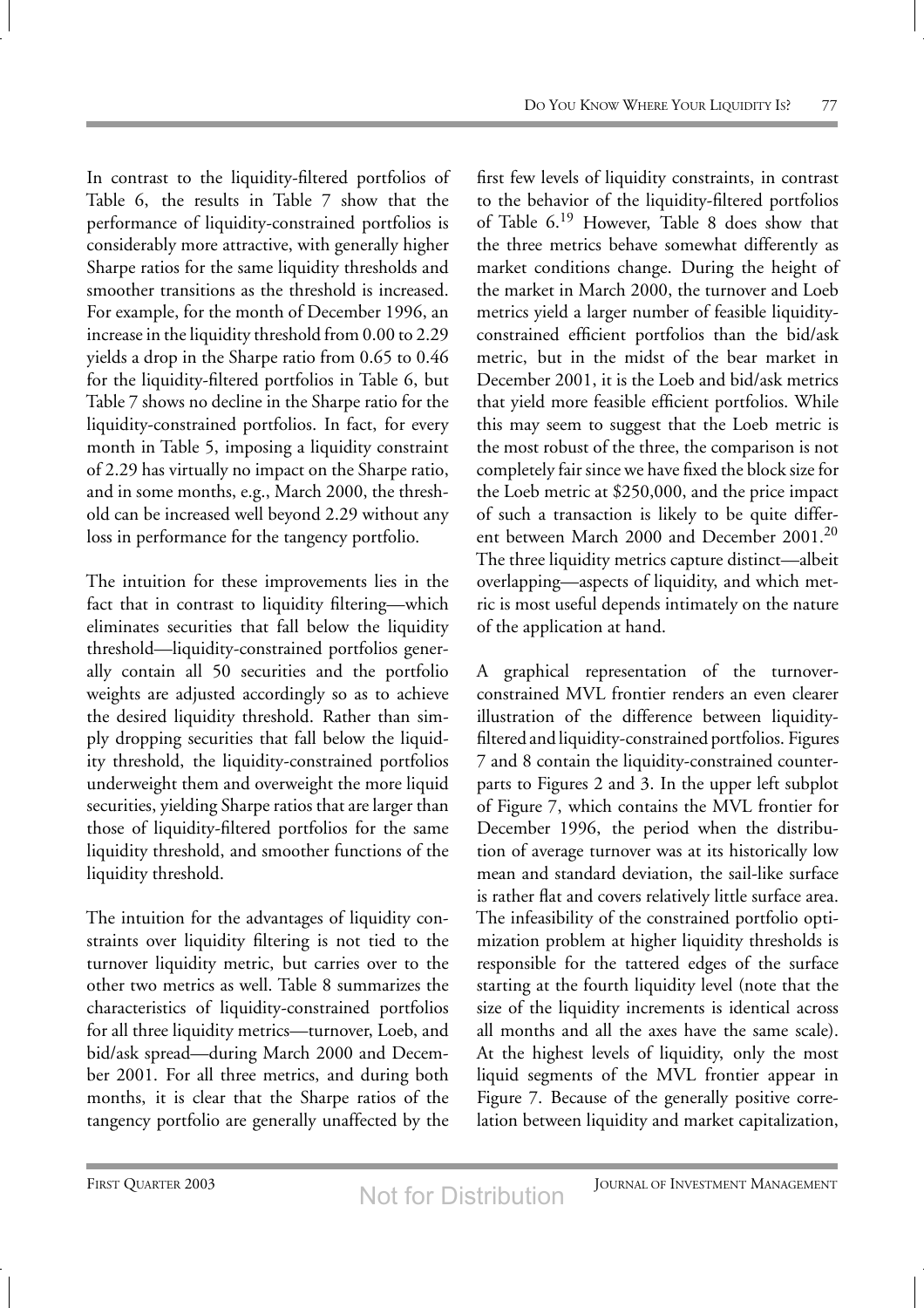In contrast to the liquidity-filtered portfolios of Table 6, the results in Table 7 show that the performance of liquidity-constrained portfolios is considerably more attractive, with generally higher Sharpe ratios for the same liquidity thresholds and smoother transitions as the threshold is increased. For example, for the month of December 1996, an increase in the liquidity threshold from 0.00 to 2.29 yields a drop in the Sharpe ratio from 0.65 to 0.46 for the liquidity-filtered portfolios in Table 6, but Table 7 shows no decline in the Sharpe ratio for the liquidity-constrained portfolios. In fact, for every month in Table 5, imposing a liquidity constraint of 2.29 has virtually no impact on the Sharpe ratio, and in some months, e.g., March 2000, the threshold can be increased well beyond 2.29 without any loss in performance for the tangency portfolio.

The intuition for these improvements lies in the fact that in contrast to liquidity filtering—which eliminates securities that fall below the liquidity threshold—liquidity-constrained portfolios generally contain all 50 securities and the portfolio weights are adjusted accordingly so as to achieve the desired liquidity threshold. Rather than simply dropping securities that fall below the liquidity threshold, the liquidity-constrained portfolios underweight them and overweight the more liquid securities, yielding Sharpe ratios that are larger than those of liquidity-filtered portfolios for the same liquidity threshold, and smoother functions of the liquidity threshold.

The intuition for the advantages of liquidity constraints over liquidity filtering is not tied to the turnover liquidity metric, but carries over to the other two metrics as well. Table 8 summarizes the characteristics of liquidity-constrained portfolios for all three liquidity metrics—turnover, Loeb, and bid/ask spread—during March 2000 and December 2001. For all three metrics, and during both months, it is clear that the Sharpe ratios of the tangency portfolio are generally unaffected by the

first few levels of liquidity constraints, in contrast to the behavior of the liquidity-filtered portfolios of Table 6.<sup>19</sup> However, Table 8 does show that the three metrics behave somewhat differently as market conditions change. During the height of the market in March 2000, the turnover and Loeb metrics yield a larger number of feasible liquidityconstrained efficient portfolios than the bid/ask metric, but in the midst of the bear market in December 2001, it is the Loeb and bid/ask metrics that yield more feasible efficient portfolios. While this may seem to suggest that the Loeb metric is the most robust of the three, the comparison is not completely fair since we have fixed the block size for the Loeb metric at \$250,000, and the price impact of such a transaction is likely to be quite different between March 2000 and December 2001.<sup>20</sup> The three liquidity metrics capture distinct—albeit overlapping—aspects of liquidity, and which metric is most useful depends intimately on the nature of the application at hand.

A graphical representation of the turnoverconstrained MVL frontier renders an even clearer illustration of the difference between liquidityfiltered and liquidity-constrained portfolios. Figures 7 and 8 contain the liquidity-constrained counterparts to Figures 2 and 3. In the upper left subplot of Figure 7, which contains the MVL frontier for December 1996, the period when the distribution of average turnover was at its historically low mean and standard deviation, the sail-like surface is rather flat and covers relatively little surface area. The infeasibility of the constrained portfolio optimization problem at higher liquidity thresholds is responsible for the tattered edges of the surface starting at the fourth liquidity level (note that the size of the liquidity increments is identical across all months and all the axes have the same scale). At the highest levels of liquidity, only the most liquid segments of the MVL frontier appear in Figure 7. Because of the generally positive correlation between liquidity and market capitalization,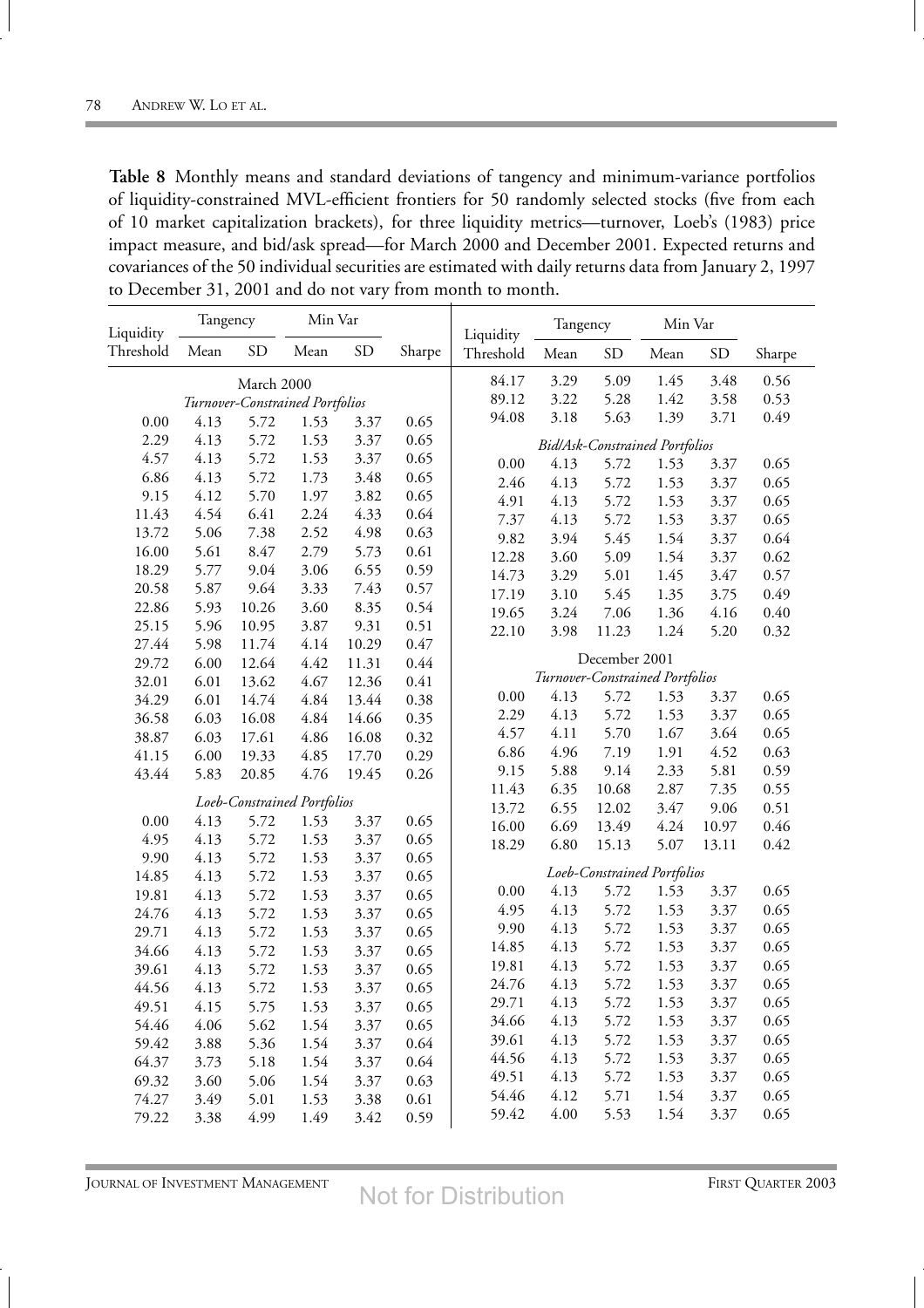**Table 8** Monthly means and standard deviations of tangency and minimum-variance portfolios of liquidity-constrained MVL-efficient frontiers for 50 randomly selected stocks (five from each of 10 market capitalization brackets), for three liquidity metrics—turnover, Loeb's (1983) price impact measure, and bid/ask spread—for March 2000 and December 2001. Expected returns and covariances of the 50 individual securities are estimated with daily returns data from January 2, 1997 to December 31, 2001 and do not vary from month to month.

| Liquidity | Tangency                    |            | Min Var                         |           |        | Liquidity                   | Tangency                        |               | Min Var                               |           |        |
|-----------|-----------------------------|------------|---------------------------------|-----------|--------|-----------------------------|---------------------------------|---------------|---------------------------------------|-----------|--------|
| Threshold | Mean                        | <b>SD</b>  | Mean                            | <b>SD</b> | Sharpe | Threshold                   | Mean                            | <b>SD</b>     | Mean                                  | <b>SD</b> | Sharpe |
|           |                             | March 2000 |                                 |           |        | 84.17                       | 3.29                            | 5.09          | 1.45                                  | 3.48      | 0.56   |
|           |                             |            | Turnover-Constrained Portfolios |           |        | 89.12                       | 3.22                            | 5.28          | 1.42                                  | 3.58      | 0.53   |
| 0.00      | 4.13                        | 5.72       | 1.53                            | 3.37      | 0.65   | 94.08                       | 3.18                            | 5.63          | 1.39                                  | 3.71      | 0.49   |
| 2.29      | 4.13                        | 5.72       | 1.53                            | 3.37      | 0.65   |                             |                                 |               | <b>Bid/Ask-Constrained Portfolios</b> |           |        |
| 4.57      | 4.13                        | 5.72       | 1.53                            | 3.37      | 0.65   | 0.00                        | 4.13                            | 5.72          | 1.53                                  | 3.37      | 0.65   |
| 6.86      | 4.13                        | 5.72       | 1.73                            | 3.48      | 0.65   | 2.46                        | 4.13                            | 5.72          | 1.53                                  | 3.37      | 0.65   |
| 9.15      | 4.12                        | 5.70       | 1.97                            | 3.82      | 0.65   | 4.91                        | 4.13                            | 5.72          | 1.53                                  | 3.37      | 0.65   |
| 11.43     | 4.54                        | 6.41       | 2.24                            | 4.33      | 0.64   | 7.37                        | 4.13                            | 5.72          | 1.53                                  | 3.37      | 0.65   |
| 13.72     | 5.06                        | 7.38       | 2.52                            | 4.98      | 0.63   | 9.82                        | 3.94                            | 5.45          | 1.54                                  | 3.37      | 0.64   |
| 16.00     | 5.61                        | 8.47       | 2.79                            | 5.73      | 0.61   | 12.28                       | 3.60                            | 5.09          | 1.54                                  | 3.37      | 0.62   |
| 18.29     | 5.77                        | 9.04       | 3.06                            | 6.55      | 0.59   | 14.73                       | 3.29                            | 5.01          | 1.45                                  | 3.47      | 0.57   |
| 20.58     | 5.87                        | 9.64       | 3.33                            | 7.43      | 0.57   | 17.19                       | 3.10                            | 5.45          | 1.35                                  | 3.75      | 0.49   |
| 22.86     | 5.93                        | 10.26      | 3.60                            | 8.35      | 0.54   | 19.65                       | 3.24                            | 7.06          | 1.36                                  | 4.16      | 0.40   |
| 25.15     | 5.96                        | 10.95      | 3.87                            | 9.31      | 0.51   | 22.10                       | 3.98                            | 11.23         | 1.24                                  | 5.20      | 0.32   |
| 27.44     | 5.98                        | 11.74      | 4.14                            | 10.29     | 0.47   |                             |                                 |               |                                       |           |        |
| 29.72     | 6.00                        | 12.64      | 4.42                            | 11.31     | 0.44   |                             |                                 | December 2001 |                                       |           |        |
| 32.01     | 6.01                        | 13.62      | 4.67                            | 12.36     | 0.41   |                             | Turnover-Constrained Portfolios |               |                                       |           |        |
| 34.29     | 6.01                        | 14.74      | 4.84                            | 13.44     | 0.38   | 0.00                        | 4.13                            | 5.72          | 1.53                                  | 3.37      | 0.65   |
| 36.58     | 6.03                        | 16.08      | 4.84                            | 14.66     | 0.35   | 2.29                        | 4.13                            | 5.72          | 1.53                                  | 3.37      | 0.65   |
| 38.87     | 6.03                        | 17.61      | 4.86                            | 16.08     | 0.32   | 4.57                        | 4.11                            | 5.70          | 1.67                                  | 3.64      | 0.65   |
| 41.15     | 6.00                        | 19.33      | 4.85                            | 17.70     | 0.29   | 6.86                        | 4.96                            | 7.19          | 1.91                                  | 4.52      | 0.63   |
| 43.44     | 5.83                        | 20.85      | 4.76                            | 19.45     | 0.26   | 9.15                        | 5.88                            | 9.14          | 2.33                                  | 5.81      | 0.59   |
|           | Loeb-Constrained Portfolios |            |                                 |           | 11.43  | 6.35                        | 10.68                           | 2.87          | 7.35                                  | 0.55      |        |
| 0.00      | 4.13                        | 5.72       | 1.53                            | 3.37      | 0.65   | 13.72                       | 6.55                            | 12.02         | 3.47                                  | 9.06      | 0.51   |
| 4.95      | 4.13                        | 5.72       | 1.53                            | 3.37      | 0.65   | 16.00                       | 6.69                            | 13.49         | 4.24                                  | 10.97     | 0.46   |
| 9.90      | 4.13                        | 5.72       | 1.53                            | 3.37      | 0.65   | 18.29                       | 6.80                            | 15.13         | 5.07                                  | 13.11     | 0.42   |
| 14.85     | 4.13                        | 5.72       | 1.53                            | 3.37      | 0.65   | Loeb-Constrained Portfolios |                                 |               |                                       |           |        |
| 19.81     | 4.13                        | 5.72       | 1.53                            | 3.37      | 0.65   | 0.00                        | 4.13                            | 5.72          | 1.53                                  | 3.37      | 0.65   |
| 24.76     | 4.13                        | 5.72       | 1.53                            | 3.37      | 0.65   | 4.95                        | 4.13                            | 5.72          | 1.53                                  | 3.37      | 0.65   |
| 29.71     | 4.13                        | 5.72       | 1.53                            | 3.37      | 0.65   | 9.90                        | 4.13                            | 5.72          | 1.53                                  | 3.37      | 0.65   |
| 34.66     | 4.13                        | 5.72       | 1.53                            | 3.37      | 0.65   | 14.85                       | 4.13                            | 5.72          | 1.53                                  | 3.37      | 0.65   |
| 39.61     | 4.13                        | 5.72       | 1.53                            | 3.37      | 0.65   | 19.81                       | 4.13                            | 5.72          | 1.53                                  | 3.37      | 0.65   |
| 44.56     | 4.13                        | 5.72       | 1.53                            | 3.37      | 0.65   | 24.76                       | 4.13                            | 5.72          | 1.53                                  | 3.37      | 0.65   |
| 49.51     | 4.15                        | 5.75       | 1.53                            | 3.37      | 0.65   | 29.71                       | 4.13                            | 5.72          | 1.53                                  | 3.37      | 0.65   |
| 54.46     | 4.06                        | 5.62       | 1.54                            | 3.37      | 0.65   | 34.66                       | 4.13                            | 5.72          | 1.53                                  | 3.37      | 0.65   |
| 59.42     | 3.88                        | 5.36       | 1.54                            | 3.37      | 0.64   | 39.61                       | 4.13                            | 5.72          | 1.53                                  | 3.37      | 0.65   |
| 64.37     | 3.73                        | 5.18       | 1.54                            | 3.37      | 0.64   | 44.56                       | 4.13                            | 5.72          | 1.53                                  | 3.37      | 0.65   |
| 69.32     | 3.60                        | 5.06       | 1.54                            | 3.37      | 0.63   | 49.51                       | 4.13                            | 5.72          | 1.53                                  | 3.37      | 0.65   |
| 74.27     | 3.49                        | 5.01       | 1.53                            | 3.38      | 0.61   | 54.46                       | 4.12                            | 5.71          | 1.54                                  | 3.37      | 0.65   |
| 79.22     | 3.38                        | 4.99       | 1.49                            | 3.42      | 0.59   | 59.42                       | 4.00                            | 5.53          | 1.54                                  | 3.37      | 0.65   |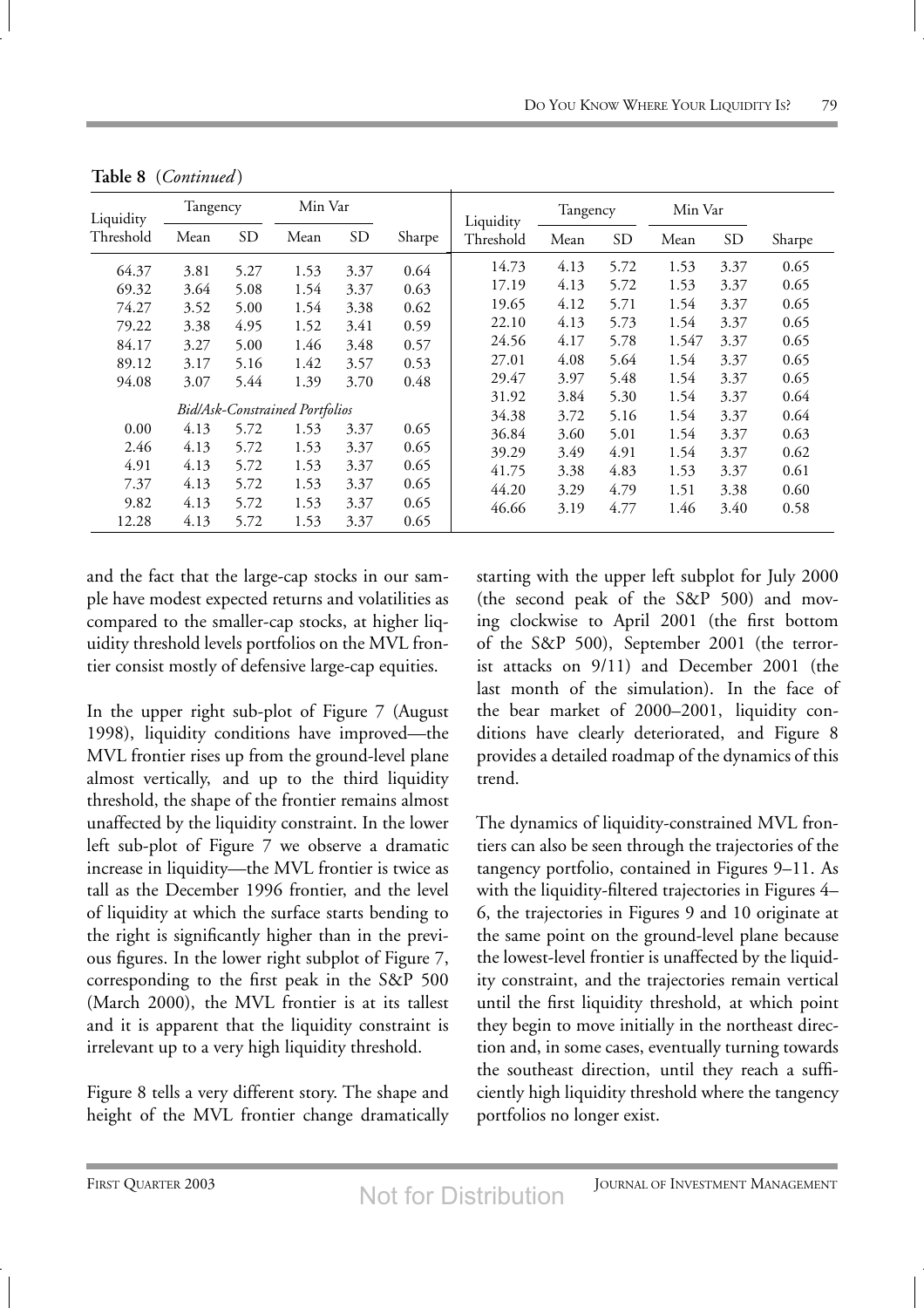| Liquidity | Tangency |           |                                       | Min Var |        | Liquidity | Tangency |           | Min Var |                |        |
|-----------|----------|-----------|---------------------------------------|---------|--------|-----------|----------|-----------|---------|----------------|--------|
| Threshold | Mean     | <b>SD</b> | Mean                                  | SD      | Sharpe | Threshold | Mean     | <b>SD</b> | Mean    | SD <sub></sub> | Sharpe |
| 64.37     | 3.81     | 5.27      | 1.53                                  | 3.37    | 0.64   | 14.73     | 4.13     | 5.72      | 1.53    | 3.37           | 0.65   |
| 69.32     | 3.64     | 5.08      | 1.54                                  | 3.37    | 0.63   | 17.19     | 4.13     | 5.72      | 1.53    | 3.37           | 0.65   |
| 74.27     | 3.52     | 5.00      | 1.54                                  | 3.38    | 0.62   | 19.65     | 4.12     | 5.71      | 1.54    | 3.37           | 0.65   |
| 79.22     | 3.38     | 4.95      | 1.52                                  | 3.41    | 0.59   | 22.10     | 4.13     | 5.73      | 1.54    | 3.37           | 0.65   |
| 84.17     | 3.27     | 5.00      | 1.46                                  | 3.48    | 0.57   | 24.56     | 4.17     | 5.78      | 1.547   | 3.37           | 0.65   |
| 89.12     | 3.17     | 5.16      | 1.42                                  | 3.57    | 0.53   | 27.01     | 4.08     | 5.64      | 1.54    | 3.37           | 0.65   |
| 94.08     | 3.07     | 5.44      | 1.39                                  | 3.70    | 0.48   | 29.47     | 3.97     | 5.48      | 1.54    | 3.37           | 0.65   |
|           |          |           |                                       |         |        | 31.92     | 3.84     | 5.30      | 1.54    | 3.37           | 0.64   |
|           |          |           | <b>Bid/Ask-Constrained Portfolios</b> |         |        | 34.38     | 3.72     | 5.16      | 1.54    | 3.37           | 0.64   |
| 0.00      | 4.13     | 5.72      | 1.53                                  | 3.37    | 0.65   | 36.84     | 3.60     | 5.01      | 1.54    | 3.37           | 0.63   |
| 2.46      | 4.13     | 5.72      | 1.53                                  | 3.37    | 0.65   | 39.29     | 3.49     | 4.91      | 1.54    | 3.37           | 0.62   |
| 4.91      | 4.13     | 5.72      | 1.53                                  | 3.37    | 0.65   | 41.75     | 3.38     | 4.83      | 1.53    | 3.37           | 0.61   |
| 7.37      | 4.13     | 5.72      | 1.53                                  | 3.37    | 0.65   | 44.20     | 3.29     | 4.79      | 1.51    | 3.38           | 0.60   |
| 9.82      | 4.13     | 5.72      | 1.53                                  | 3.37    | 0.65   | 46.66     | 3.19     | 4.77      | 1.46    | 3.40           | 0.58   |
| 12.28     | 4.13     | 5.72      | 1.53                                  | 3.37    | 0.65   |           |          |           |         |                |        |

**Table 8** (*Continued* )

and the fact that the large-cap stocks in our sample have modest expected returns and volatilities as compared to the smaller-cap stocks, at higher liquidity threshold levels portfolios on the MVL frontier consist mostly of defensive large-cap equities.

In the upper right sub-plot of Figure 7 (August 1998), liquidity conditions have improved—the MVL frontier rises up from the ground-level plane almost vertically, and up to the third liquidity threshold, the shape of the frontier remains almost unaffected by the liquidity constraint. In the lower left sub-plot of Figure 7 we observe a dramatic increase in liquidity—the MVL frontier is twice as tall as the December 1996 frontier, and the level of liquidity at which the surface starts bending to the right is significantly higher than in the previous figures. In the lower right subplot of Figure 7, corresponding to the first peak in the S&P 500 (March 2000), the MVL frontier is at its tallest and it is apparent that the liquidity constraint is irrelevant up to a very high liquidity threshold.

Figure 8 tells a very different story. The shape and height of the MVL frontier change dramatically starting with the upper left subplot for July 2000 (the second peak of the S&P 500) and moving clockwise to April 2001 (the first bottom of the S&P 500), September 2001 (the terrorist attacks on 9/11) and December 2001 (the last month of the simulation). In the face of the bear market of 2000–2001, liquidity conditions have clearly deteriorated, and Figure 8 provides a detailed roadmap of the dynamics of this trend.

The dynamics of liquidity-constrained MVL frontiers can also be seen through the trajectories of the tangency portfolio, contained in Figures 9–11. As with the liquidity-filtered trajectories in Figures 4– 6, the trajectories in Figures 9 and 10 originate at the same point on the ground-level plane because the lowest-level frontier is unaffected by the liquidity constraint, and the trajectories remain vertical until the first liquidity threshold, at which point they begin to move initially in the northeast direction and, in some cases, eventually turning towards the southeast direction, until they reach a sufficiently high liquidity threshold where the tangency portfolios no longer exist.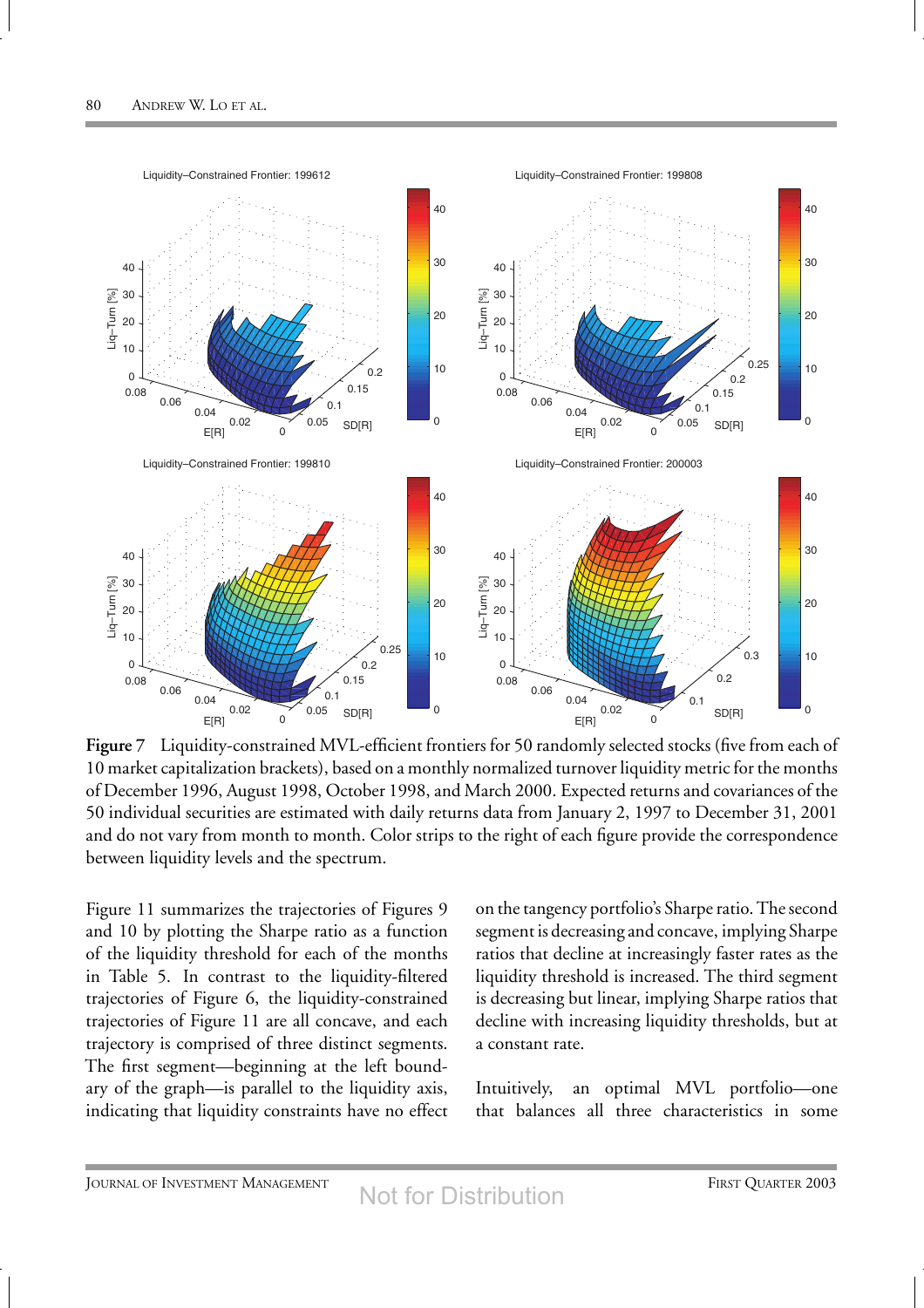

**Figure 7** Liquidity-constrained MVL-efficient frontiers for 50 randomly selected stocks (five from each of 10 market capitalization brackets), based on a monthly normalized turnover liquidity metric for the months of December 1996, August 1998, October 1998, and March 2000. Expected returns and covariances of the 50 individual securities are estimated with daily returns data from January 2, 1997 to December 31, 2001 and do not vary from month to month. Color strips to the right of each figure provide the correspondence between liquidity levels and the spectrum.

Figure 11 summarizes the trajectories of Figures 9 and 10 by plotting the Sharpe ratio as a function of the liquidity threshold for each of the months in Table 5. In contrast to the liquidity-filtered trajectories of Figure 6, the liquidity-constrained trajectories of Figure 11 are all concave, and each trajectory is comprised of three distinct segments. The first segment—beginning at the left boundary of the graph—is parallel to the liquidity axis, indicating that liquidity constraints have no effect on the tangency portfolio's Sharpe ratio. The second segment is decreasing and concave, implying Sharpe ratios that decline at increasingly faster rates as the liquidity threshold is increased. The third segment is decreasing but linear, implying Sharpe ratios that decline with increasing liquidity thresholds, but at a constant rate.

Intuitively, an optimal MVL portfolio—one that balances all three characteristics in some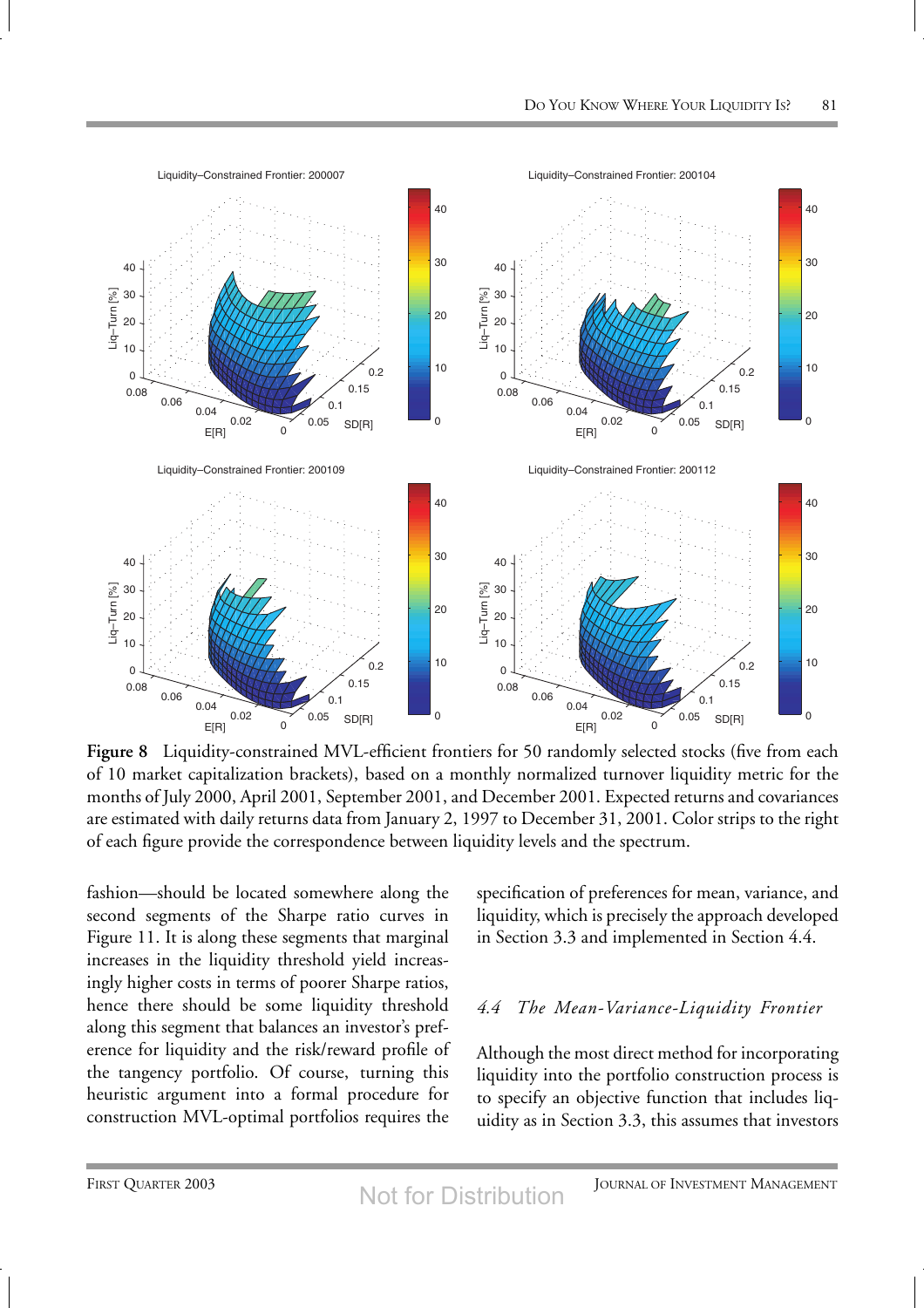

**Figure 8** Liquidity-constrained MVL-efficient frontiers for 50 randomly selected stocks (five from each of 10 market capitalization brackets), based on a monthly normalized turnover liquidity metric for the months of July 2000, April 2001, September 2001, and December 2001. Expected returns and covariances are estimated with daily returns data from January 2, 1997 to December 31, 2001. Color strips to the right of each figure provide the correspondence between liquidity levels and the spectrum.

fashion—should be located somewhere along the second segments of the Sharpe ratio curves in Figure 11. It is along these segments that marginal increases in the liquidity threshold yield increasingly higher costs in terms of poorer Sharpe ratios, hence there should be some liquidity threshold along this segment that balances an investor's preference for liquidity and the risk/reward profile of the tangency portfolio. Of course, turning this heuristic argument into a formal procedure for construction MVL-optimal portfolios requires the specification of preferences for mean, variance, and liquidity, which is precisely the approach developed in Section 3.3 and implemented in Section 4.4.

## *4.4 The Mean-Variance-Liquidity Frontier*

Although the most direct method for incorporating liquidity into the portfolio construction process is to specify an objective function that includes liquidity as in Section 3.3, this assumes that investors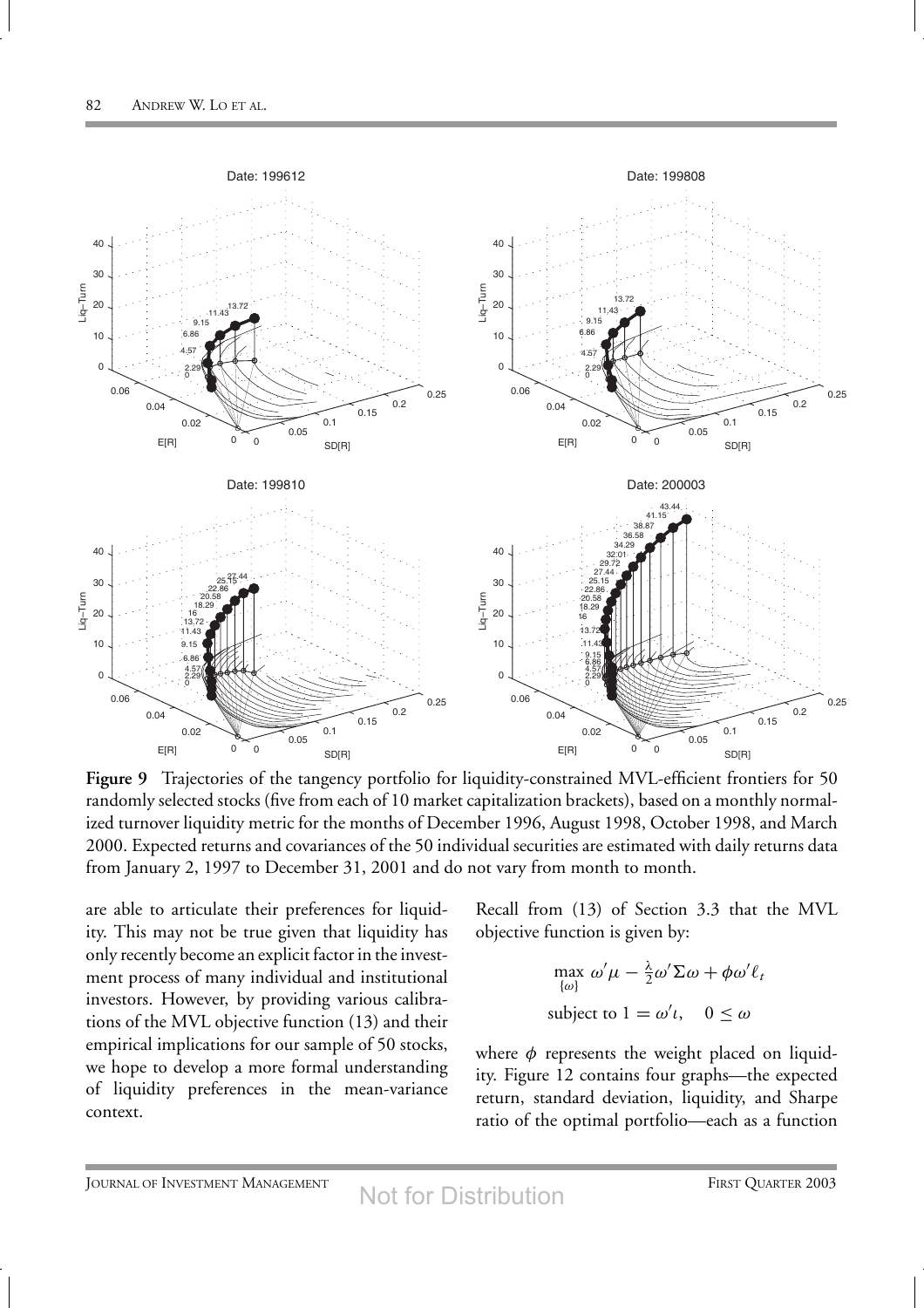

Figure 9 Trajectories of the tangency portfolio for liquidity-constrained MVL-efficient frontiers for 50 randomly selected stocks (five from each of 10 market capitalization brackets), based on a monthly normalized turnover liquidity metric for the months of December 1996, August 1998, October 1998, and March 2000. Expected returns and covariances of the 50 individual securities are estimated with daily returns data from January 2, 1997 to December 31, 2001 and do not vary from month to month.

are able to articulate their preferences for liquidity. This may not be true given that liquidity has only recently become an explicit factor in the investment process of many individual and institutional investors. However, by providing various calibrations of the MVL objective function (13) and their empirical implications for our sample of 50 stocks, we hope to develop a more formal understanding of liquidity preferences in the mean-variance context.

Recall from (13) of Section 3.3 that the MVL objective function is given by:

$$
\max_{\{\omega\}} \omega' \mu - \frac{\lambda}{2} \omega' \Sigma \omega + \phi \omega' \ell_t
$$
  
subject to  $1 = \omega' \ell, \quad 0 \le \omega$ 

where *φ* represents the weight placed on liquidity. Figure 12 contains four graphs—the expected return, standard deviation, liquidity, and Sharpe ratio of the optimal portfolio—each as a function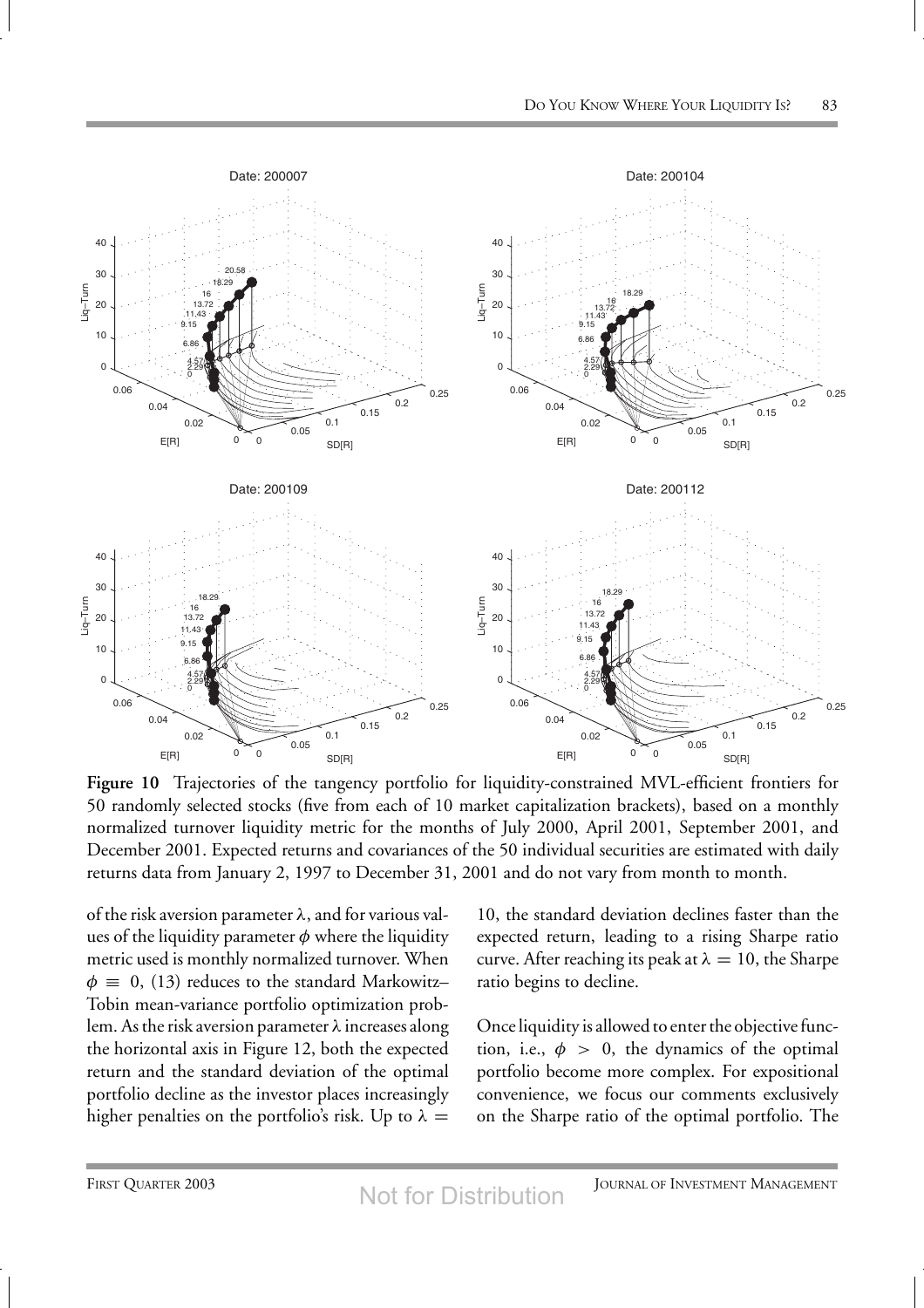

**Figure 10** Trajectories of the tangency portfolio for liquidity-constrained MVL-efficient frontiers for 50 randomly selected stocks (five from each of 10 market capitalization brackets), based on a monthly normalized turnover liquidity metric for the months of July 2000, April 2001, September 2001, and December 2001. Expected returns and covariances of the 50 individual securities are estimated with daily returns data from January 2, 1997 to December 31, 2001 and do not vary from month to month.

of the risk aversion parameter *λ*, and for various values of the liquidity parameter *φ* where the liquidity metric used is monthly normalized turnover. When  $\phi \equiv 0$ , (13) reduces to the standard Markowitz– Tobin mean-variance portfolio optimization problem. As the risk aversion parameter *λ* increases along the horizontal axis in Figure 12, both the expected return and the standard deviation of the optimal portfolio decline as the investor places increasingly higher penalties on the portfolio's risk. Up to  $\lambda =$ 

10, the standard deviation declines faster than the expected return, leading to a rising Sharpe ratio curve. After reaching its peak at  $\lambda = 10$ , the Sharpe ratio begins to decline.

Once liquidity is allowed to enter the objective function, i.e.,  $\phi > 0$ , the dynamics of the optimal portfolio become more complex. For expositional convenience, we focus our comments exclusively on the Sharpe ratio of the optimal portfolio. The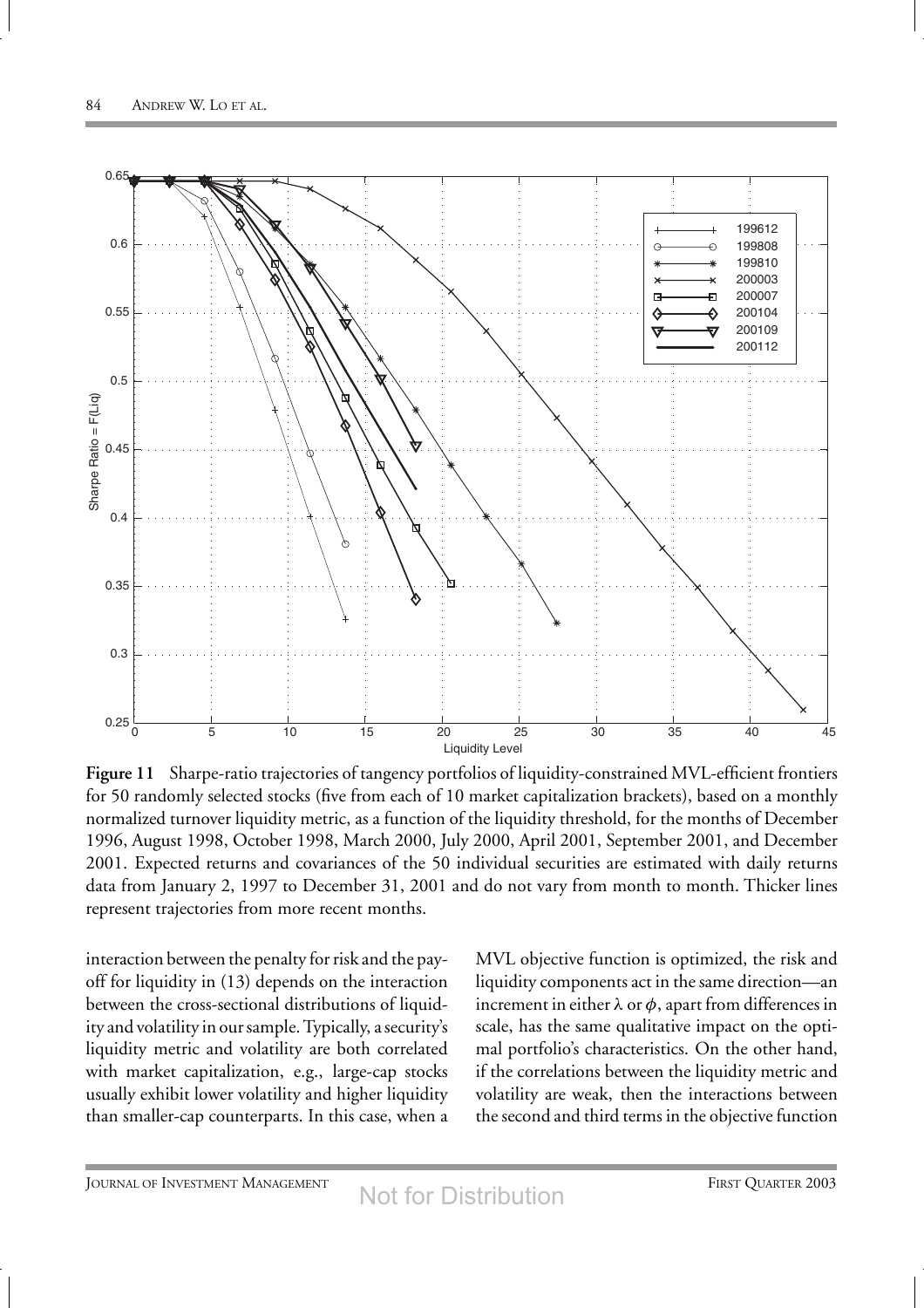

**Figure 11** Sharpe-ratio trajectories of tangency portfolios of liquidity-constrained MVL-efficient frontiers for 50 randomly selected stocks (five from each of 10 market capitalization brackets), based on a monthly normalized turnover liquidity metric, as a function of the liquidity threshold, for the months of December 1996, August 1998, October 1998, March 2000, July 2000, April 2001, September 2001, and December 2001. Expected returns and covariances of the 50 individual securities are estimated with daily returns data from January 2, 1997 to December 31, 2001 and do not vary from month to month. Thicker lines represent trajectories from more recent months.

interaction between the penalty for risk and the payoff for liquidity in (13) depends on the interaction between the cross-sectional distributions of liquidity and volatility in our sample. Typically, a security's liquidity metric and volatility are both correlated with market capitalization, e.g., large-cap stocks usually exhibit lower volatility and higher liquidity than smaller-cap counterparts. In this case, when a

MVL objective function is optimized, the risk and liquidity components act in the same direction—an increment in either  $\lambda$  or  $\phi$ , apart from differences in scale, has the same qualitative impact on the optimal portfolio's characteristics. On the other hand, if the correlations between the liquidity metric and volatility are weak, then the interactions between the second and third terms in the objective function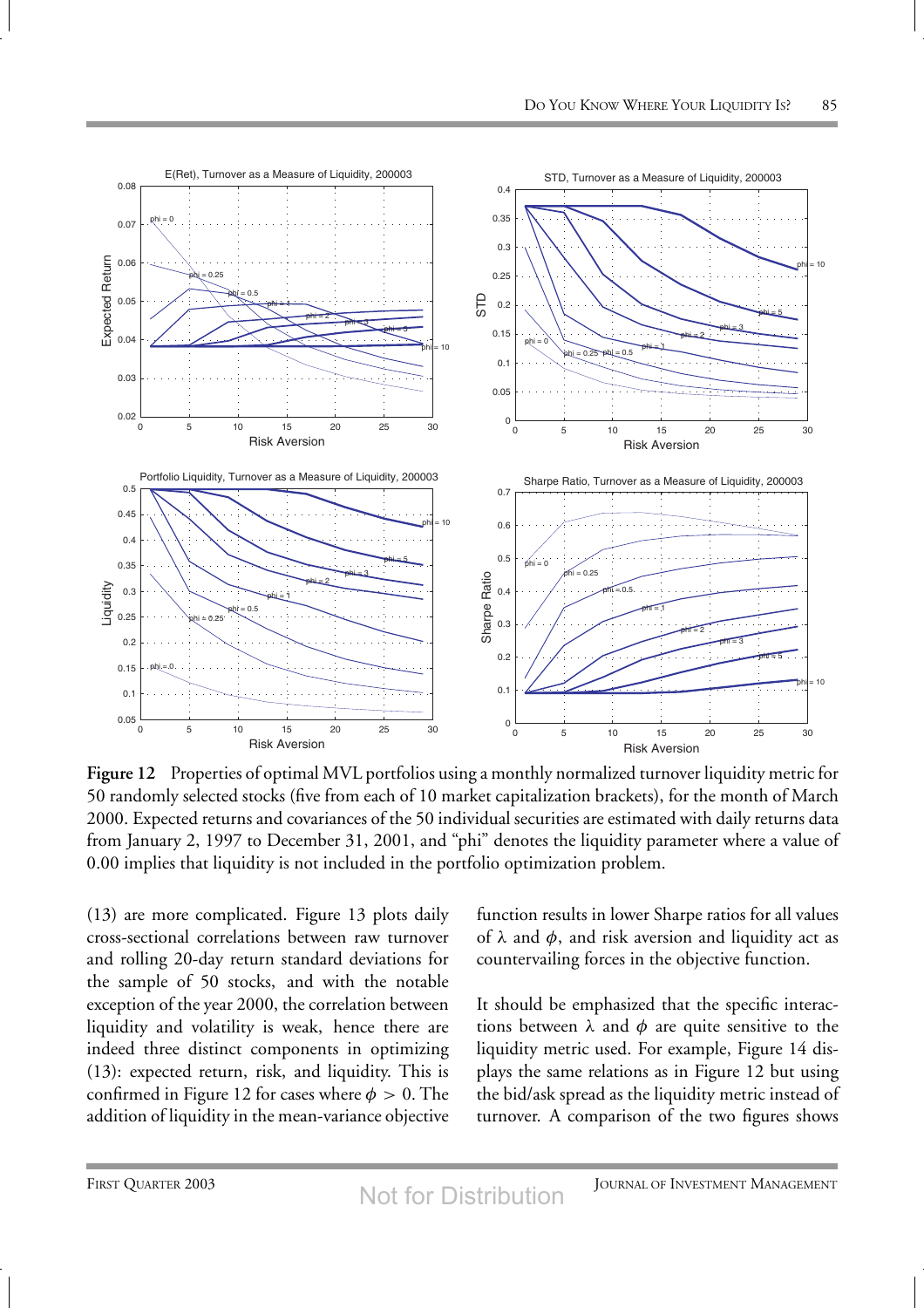

**Figure 12** Properties of optimal MVL portfolios using a monthly normalized turnover liquidity metric for 50 randomly selected stocks (five from each of 10 market capitalization brackets), for the month of March 2000. Expected returns and covariances of the 50 individual securities are estimated with daily returns data from January 2, 1997 to December 31, 2001, and "phi" denotes the liquidity parameter where a value of 0.00 implies that liquidity is not included in the portfolio optimization problem.

(13) are more complicated. Figure 13 plots daily cross-sectional correlations between raw turnover and rolling 20-day return standard deviations for the sample of 50 stocks, and with the notable exception of the year 2000, the correlation between liquidity and volatility is weak, hence there are indeed three distinct components in optimizing (13): expected return, risk, and liquidity. This is confirmed in Figure 12 for cases where  $\phi > 0$ . The addition of liquidity in the mean-variance objective function results in lower Sharpe ratios for all values of  $\lambda$  and  $\phi$ , and risk aversion and liquidity act as countervailing forces in the objective function.

It should be emphasized that the specific interactions between  $\lambda$  and  $\phi$  are quite sensitive to the liquidity metric used. For example, Figure 14 displays the same relations as in Figure 12 but using the bid/ask spread as the liquidity metric instead of turnover. A comparison of the two figures shows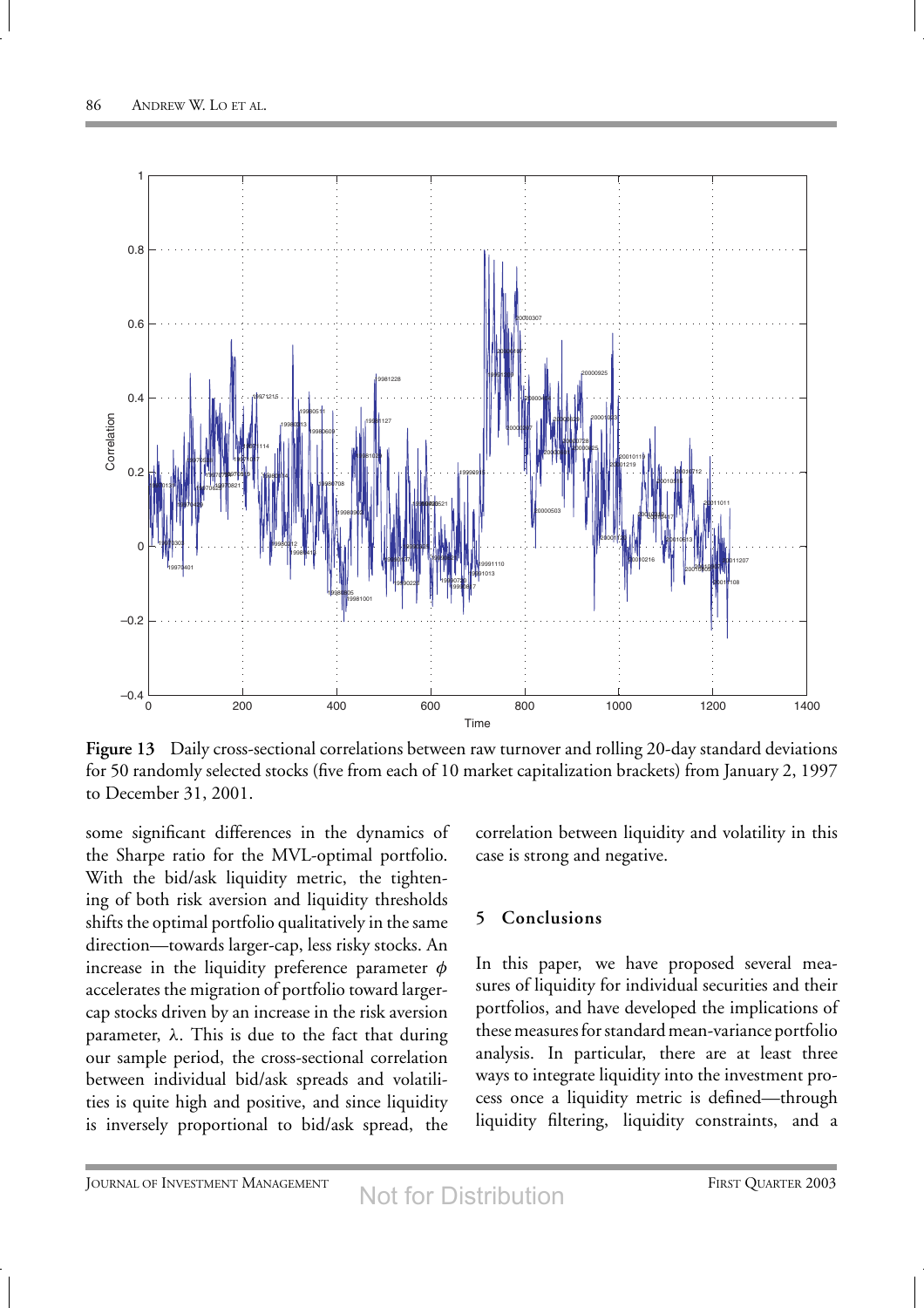

**Figure 13** Daily cross-sectional correlations between raw turnover and rolling 20-day standard deviations for 50 randomly selected stocks (five from each of 10 market capitalization brackets) from January 2, 1997 to December 31, 2001.

some significant differences in the dynamics of the Sharpe ratio for the MVL-optimal portfolio. With the bid/ask liquidity metric, the tightening of both risk aversion and liquidity thresholds shifts the optimal portfolio qualitatively in the same direction—towards larger-cap, less risky stocks. An increase in the liquidity preference parameter *φ* accelerates the migration of portfolio toward largercap stocks driven by an increase in the risk aversion parameter, *λ*. This is due to the fact that during our sample period, the cross-sectional correlation between individual bid/ask spreads and volatilities is quite high and positive, and since liquidity is inversely proportional to bid/ask spread, the correlation between liquidity and volatility in this case is strong and negative.

## **5 Conclusions**

In this paper, we have proposed several measures of liquidity for individual securities and their portfolios, and have developed the implications of these measures for standard mean-variance portfolio analysis. In particular, there are at least three ways to integrate liquidity into the investment process once a liquidity metric is defined—through liquidity filtering, liquidity constraints, and a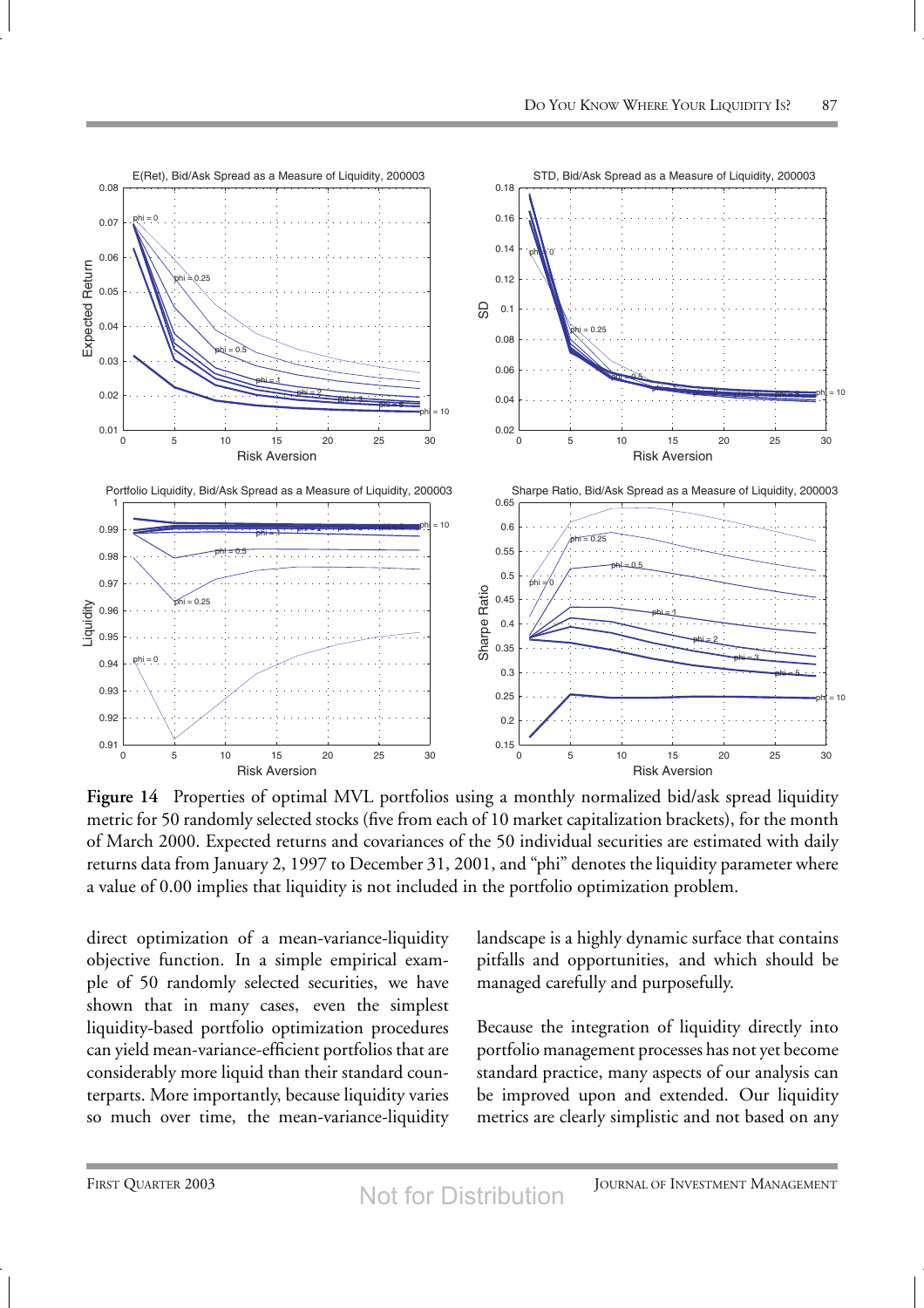

**Figure 14** Properties of optimal MVL portfolios using a monthly normalized bid/ask spread liquidity metric for 50 randomly selected stocks (five from each of 10 market capitalization brackets), for the month of March 2000. Expected returns and covariances of the 50 individual securities are estimated with daily returns data from January 2, 1997 to December 31, 2001, and "phi" denotes the liquidity parameter where a value of 0.00 implies that liquidity is not included in the portfolio optimization problem.

direct optimization of a mean-variance-liquidity objective function. In a simple empirical example of 50 randomly selected securities, we have shown that in many cases, even the simplest liquidity-based portfolio optimization procedures can yield mean-variance-efficient portfolios that are considerably more liquid than their standard counterparts. More importantly, because liquidity varies so much over time, the mean-variance-liquidity

landscape is a highly dynamic surface that contains pitfalls and opportunities, and which should be managed carefully and purposefully.

Because the integration of liquidity directly into portfolio management processes has not yet become standard practice, many aspects of our analysis can be improved upon and extended. Our liquidity metrics are clearly simplistic and not based on any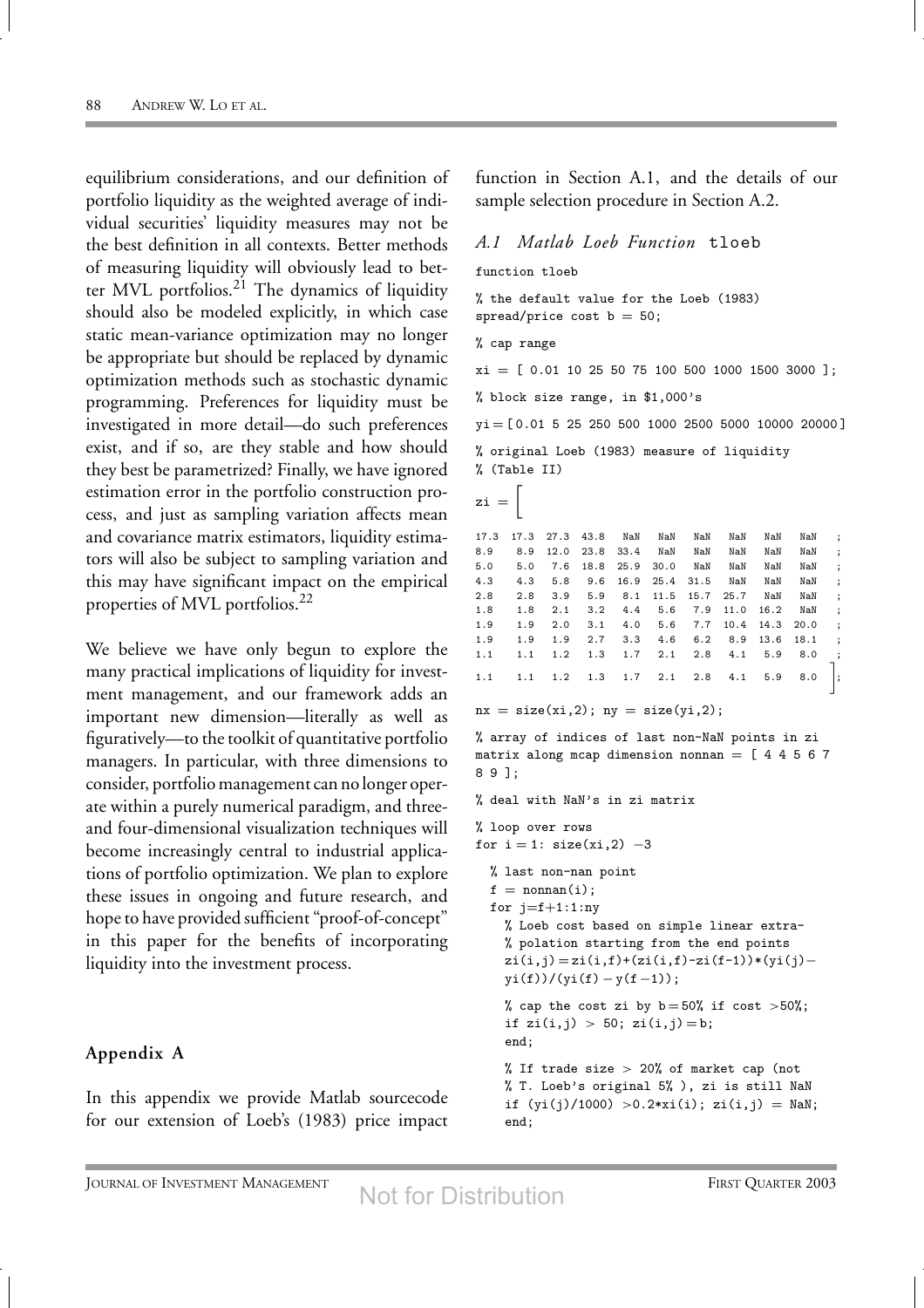equilibrium considerations, and our definition of portfolio liquidity as the weighted average of individual securities' liquidity measures may not be the best definition in all contexts. Better methods of measuring liquidity will obviously lead to better MVL portfolios.<sup>21</sup> The dynamics of liquidity should also be modeled explicitly, in which case static mean-variance optimization may no longer be appropriate but should be replaced by dynamic optimization methods such as stochastic dynamic programming. Preferences for liquidity must be investigated in more detail—do such preferences exist, and if so, are they stable and how should they best be parametrized? Finally, we have ignored estimation error in the portfolio construction process, and just as sampling variation affects mean and covariance matrix estimators, liquidity estimators will also be subject to sampling variation and this may have significant impact on the empirical properties of MVL portfolios.<sup>22</sup>

We believe we have only begun to explore the many practical implications of liquidity for investment management, and our framework adds an important new dimension—literally as well as figuratively—to the toolkit of quantitative portfolio managers. In particular, with three dimensions to consider, portfolio management can no longer operate within a purely numerical paradigm, and threeand four-dimensional visualization techniques will become increasingly central to industrial applications of portfolio optimization. We plan to explore these issues in ongoing and future research, and hope to have provided sufficient "proof-of-concept" in this paper for the benefits of incorporating liquidity into the investment process.

#### **Appendix A**

In this appendix we provide Matlab sourcecode for our extension of Loeb's (1983) price impact

function in Section A.1, and the details of our sample selection procedure in Section A.2.

#### *A.1 Matlab Loeb Function* tloeb

function tloeb

% the default value for the Loeb (1983) spread/price cost  $b = 50$ ;

% cap range

 $xi = [ 0.01 10 25 50 75 100 500 1000 1500 3000 ]$ ;

% block size range, in \$1,000's

yi = [ 0.01 5 25 250 500 1000 2500 5000 10000 20000 ] % original Loeb (1983) measure of liquidity

% (Table II)

```
z_i = \left\lceil
```

| $\ddot{\phantom{a}}$ | NaN       | NaN  | NaN      | NaN            | NaN            | NaN       |           | 17.3 27.3 43.8 |     | 17.3 |
|----------------------|-----------|------|----------|----------------|----------------|-----------|-----------|----------------|-----|------|
| $\cdot$              | NaN       | NaN  | NaN      | NaN            | NaN            |           | 23.8 33.4 | 12.0           | 8.9 | 8.9  |
| $\cdot$ :            | NaN       | NaN  | NaN      | NaN            | 30.0           | 18.8 25.9 |           | 7.6            | 5.0 | 5.0  |
| $\cdot$              | NaN       | NaN  | NaN      |                | 16.9 25.4 31.5 |           | 9.6       | 5.8            | 4.3 | 4.3  |
| $\cdot$              | NaN       | NaN  |          | 11.5 15.7 25.7 |                | 8.1       | 5.9       | 3.9            | 2.8 | 2.8  |
| $\cdot$              | NaN       | 16.2 | 7.9 11.0 |                | 5.6            | 4.4       | 3.2       | 2.1            | 1.8 | 1.8  |
| $\cdot$ :            | 14.3 20.0 |      | 10.4     | 7.7            | 4.0 5.6        |           | 3.1       | 2.0            | 1.9 | 1.9  |
| $\ddot{\cdot}$       | 13.6 18.1 |      | 8.9      | 6.2            | 4.6            | 3.3       | 2.7       | 1.9            | 1.9 | 1.9  |
| $\cdot$ ;            | 8.0       | 5.9  | 4.1      | 2.8            | 2.1            | 1.7       | 1.3       | 1.2            | 1.1 | 1.1  |
| $\Big]$              | 8.0       | 5.9  | 4.1      | $2.1$ 2.8      |                | 1.7       | 1.3       | 1.2            | 1.1 | 1.1  |

```
nx = size(xi,2); ny = size(yi,2);
```
% array of indices of last non-NaN points in zi matrix along mcap dimension nonnan =  $[4 4 5 6 7]$ 8 9 ];

% deal with NaN's in zi matrix

```
% loop over rows
for i = 1: size(xi,2) -3
  % last non-nan point
  f = \text{nonnan}(i);for j=f+1:1:ny% Loeb cost based on simple linear extra-
```

```
% polation starting from the end points
zi(i,j) = zi(i,f) + (zi(i,f) - zi(f-1)) * (yi(j) - j(i)yi(f))/(yi(f) - y(f-1));
```

```
% cap the cost zi by b = 50% if cost >50%;
if zi(i,j) > 50; zi(i,j) = b;
end;
```

```
% If trade size > 20% of market cap (not
% T. Loeb's original 5% ), zi is still NaN
if (yi(j)/1000) >0.2*xi(i); zi(i,j) = NaN;
end;
```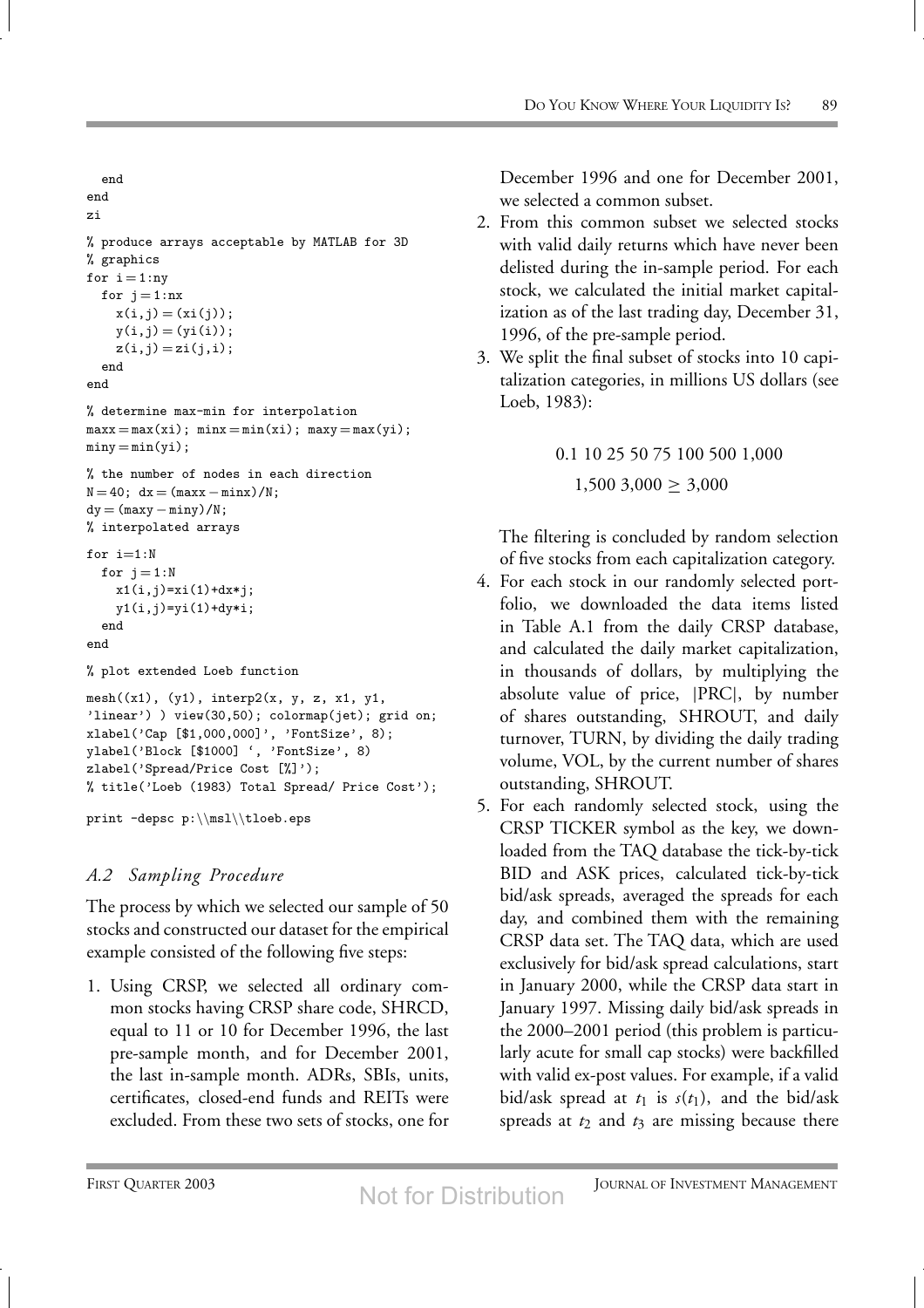```
end
end
zi
% produce arrays acceptable by MATLAB for 3D
% graphics
for i = 1:nyfor j = 1:nxx(i, j) = (xi(j));y(i, j) = (yi(i));z(i,j) = zi(j,i);end
end
% determine max-min for interpolation
maxx = max(xi); minx = min(xi); maxy = max(yi);miny = min(yi);% the number of nodes in each direction
N = 40; dx = (maxx - minx)/N;
dy = (maxy - miny)/N;
% interpolated arrays
for i=1:N
 for j = 1:Nx1(i,j)=x1(1)+dx* j;y1(i,j)=yi(1)+dy*i;
  end
end
% plot extended Loeb function
mesh((x1), (y1), interp2(x, y, z, x1, y1,
'linear') ) view(30,50); colormap(jet); grid on;
xlabel('Cap [$1,000,000]', 'FontSize', 8);
ylabel('Block [$1000] ', 'FontSize', 8)
zlabel('Spread/Price Cost [%]');
% title('Loeb (1983) Total Spread/ Price Cost');
print -depsc p:\\msl\\tloeb.eps
```
# *A.2 Sampling Procedure*

The process by which we selected our sample of 50 stocks and constructed our dataset for the empirical example consisted of the following five steps:

1. Using CRSP, we selected all ordinary common stocks having CRSP share code, SHRCD, equal to 11 or 10 for December 1996, the last pre-sample month, and for December 2001, the last in-sample month. ADRs, SBIs, units, certificates, closed-end funds and REITs were excluded. From these two sets of stocks, one for December 1996 and one for December 2001, we selected a common subset.

- 2. From this common subset we selected stocks with valid daily returns which have never been delisted during the in-sample period. For each stock, we calculated the initial market capitalization as of the last trading day, December 31, 1996, of the pre-sample period.
- 3. We split the final subset of stocks into 10 capitalization categories, in millions US dollars (see Loeb, 1983):

0.1 10 25 50 75 100 500 1,000  $1,500$   $3,000 \geq 3,000$ 

The filtering is concluded by random selection of five stocks from each capitalization category.

- 4. For each stock in our randomly selected portfolio, we downloaded the data items listed in Table A.1 from the daily CRSP database, and calculated the daily market capitalization, in thousands of dollars, by multiplying the absolute value of price, |PRC|, by number of shares outstanding, SHROUT, and daily turnover, TURN, by dividing the daily trading volume, VOL, by the current number of shares outstanding, SHROUT.
- 5. For each randomly selected stock, using the CRSP TICKER symbol as the key, we downloaded from the TAQ database the tick-by-tick BID and ASK prices, calculated tick-by-tick bid/ask spreads, averaged the spreads for each day, and combined them with the remaining CRSP data set. The TAQ data, which are used exclusively for bid/ask spread calculations, start in January 2000, while the CRSP data start in January 1997. Missing daily bid/ask spreads in the 2000–2001 period (this problem is particularly acute for small cap stocks) were backfilled with valid ex-post values. For example, if a valid bid/ask spread at  $t_1$  is  $s(t_1)$ , and the bid/ask spreads at  $t_2$  and  $t_3$  are missing because there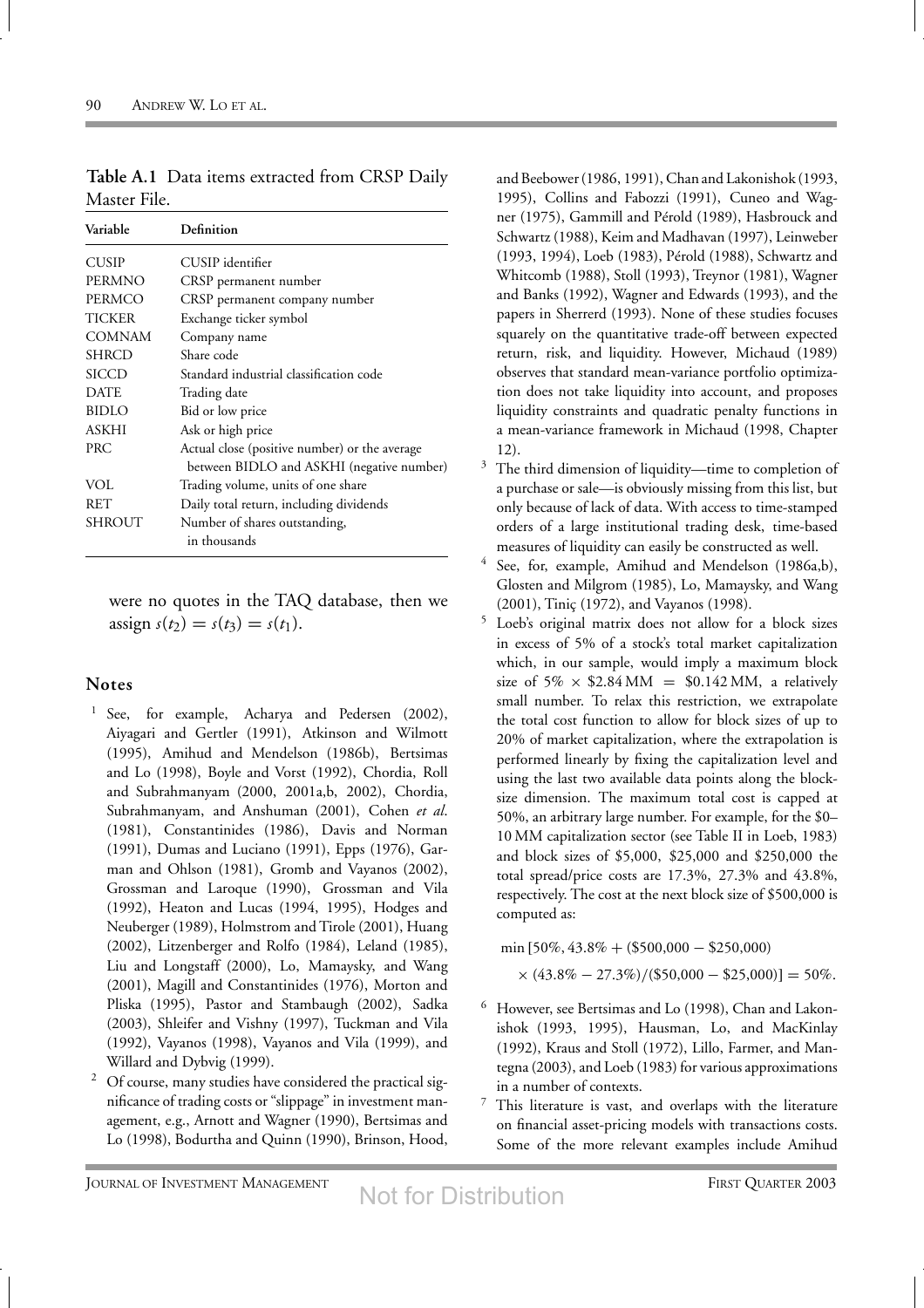| Variable      | Definition                                                                                 |
|---------------|--------------------------------------------------------------------------------------------|
| <b>CUSIP</b>  | CUSIP identifier                                                                           |
| PERMNO        | CRSP permanent number                                                                      |
| PERMCO        | CRSP permanent company number                                                              |
| <b>TICKER</b> | Exchange ticker symbol                                                                     |
| COMNAM        | Company name                                                                               |
| <b>SHRCD</b>  | Share code                                                                                 |
| SICCD         | Standard industrial classification code                                                    |
| <b>DATE</b>   | Trading date                                                                               |
| <b>BIDLO</b>  | Bid or low price                                                                           |
| <b>ASKHI</b>  | Ask or high price                                                                          |
| <b>PRC</b>    | Actual close (positive number) or the average<br>between BIDLO and ASKHI (negative number) |
| VOL           | Trading volume, units of one share                                                         |
| RET           | Daily total return, including dividends                                                    |
| SHROUT        | Number of shares outstanding,<br>in thousands                                              |

**Table A.1** Data items extracted from CRSP Daily Master File.

were no quotes in the TAQ database, then we  $\text{assign } s(t_2) = s(t_3) = s(t_1).$ 

#### **Notes**

- <sup>1</sup> See, for example, Acharya and Pedersen (2002), Aiyagari and Gertler (1991), Atkinson and Wilmott (1995), Amihud and Mendelson (1986b), Bertsimas and Lo (1998), Boyle and Vorst (1992), Chordia, Roll and Subrahmanyam (2000, 2001a,b, 2002), Chordia, Subrahmanyam, and Anshuman (2001), Cohen *et al*. (1981), Constantinides (1986), Davis and Norman (1991), Dumas and Luciano (1991), Epps (1976), Garman and Ohlson (1981), Gromb and Vayanos (2002), Grossman and Laroque (1990), Grossman and Vila (1992), Heaton and Lucas (1994, 1995), Hodges and Neuberger (1989), Holmstrom and Tirole (2001), Huang (2002), Litzenberger and Rolfo (1984), Leland (1985), Liu and Longstaff (2000), Lo, Mamaysky, and Wang (2001), Magill and Constantinides (1976), Morton and Pliska (1995), Pastor and Stambaugh (2002), Sadka (2003), Shleifer and Vishny (1997), Tuckman and Vila (1992), Vayanos (1998), Vayanos and Vila (1999), and Willard and Dybvig (1999).
- <sup>2</sup> Of course, many studies have considered the practical significance of trading costs or "slippage" in investment management, e.g., Arnott and Wagner (1990), Bertsimas and Lo (1998), Bodurtha and Quinn (1990), Brinson, Hood,

and Beebower (1986, 1991), Chan and Lakonishok (1993, 1995), Collins and Fabozzi (1991), Cuneo and Wagner (1975), Gammill and Pérold (1989), Hasbrouck and Schwartz (1988), Keim and Madhavan (1997), Leinweber (1993, 1994), Loeb (1983), Pérold (1988), Schwartz and Whitcomb (1988), Stoll (1993), Treynor (1981), Wagner and Banks (1992), Wagner and Edwards (1993), and the papers in Sherrerd (1993). None of these studies focuses squarely on the quantitative trade-off between expected return, risk, and liquidity. However, Michaud (1989) observes that standard mean-variance portfolio optimization does not take liquidity into account, and proposes liquidity constraints and quadratic penalty functions in a mean-variance framework in Michaud (1998, Chapter 12).

- $3$  The third dimension of liquidity—time to completion of a purchase or sale—is obviously missing from this list, but only because of lack of data. With access to time-stamped orders of a large institutional trading desk, time-based measures of liquidity can easily be constructed as well.
- See, for, example, Amihud and Mendelson (1986a,b), Glosten and Milgrom (1985), Lo, Mamaysky, and Wang (2001), Tiniç (1972), and Vayanos (1998).
- <sup>5</sup> Loeb's original matrix does not allow for a block sizes in excess of 5% of a stock's total market capitalization which, in our sample, would imply a maximum block size of 5%  $\times$  \$2.84 MM = \$0.142 MM, a relatively small number. To relax this restriction, we extrapolate the total cost function to allow for block sizes of up to 20% of market capitalization, where the extrapolation is performed linearly by fixing the capitalization level and using the last two available data points along the blocksize dimension. The maximum total cost is capped at 50%, an arbitrary large number. For example, for the \$0– 10 MM capitalization sector (see Table II in Loeb, 1983) and block sizes of \$5,000, \$25,000 and \$250,000 the total spread/price costs are 17.3%, 27.3% and 43.8%, respectively. The cost at the next block size of \$500,000 is computed as:

min [50%, 43.8% + (\$500,000 − \$250,000)

$$
\times (43.8\% - 27.3\%)/(\$50,000 - \$25,000)] = 50\%.
$$

- <sup>6</sup> However, see Bertsimas and Lo (1998), Chan and Lakonishok (1993, 1995), Hausman, Lo, and MacKinlay (1992), Kraus and Stoll (1972), Lillo, Farmer, and Mantegna (2003), and Loeb (1983) for various approximations in a number of contexts.
- $7$  This literature is vast, and overlaps with the literature on financial asset-pricing models with transactions costs. Some of the more relevant examples include Amihud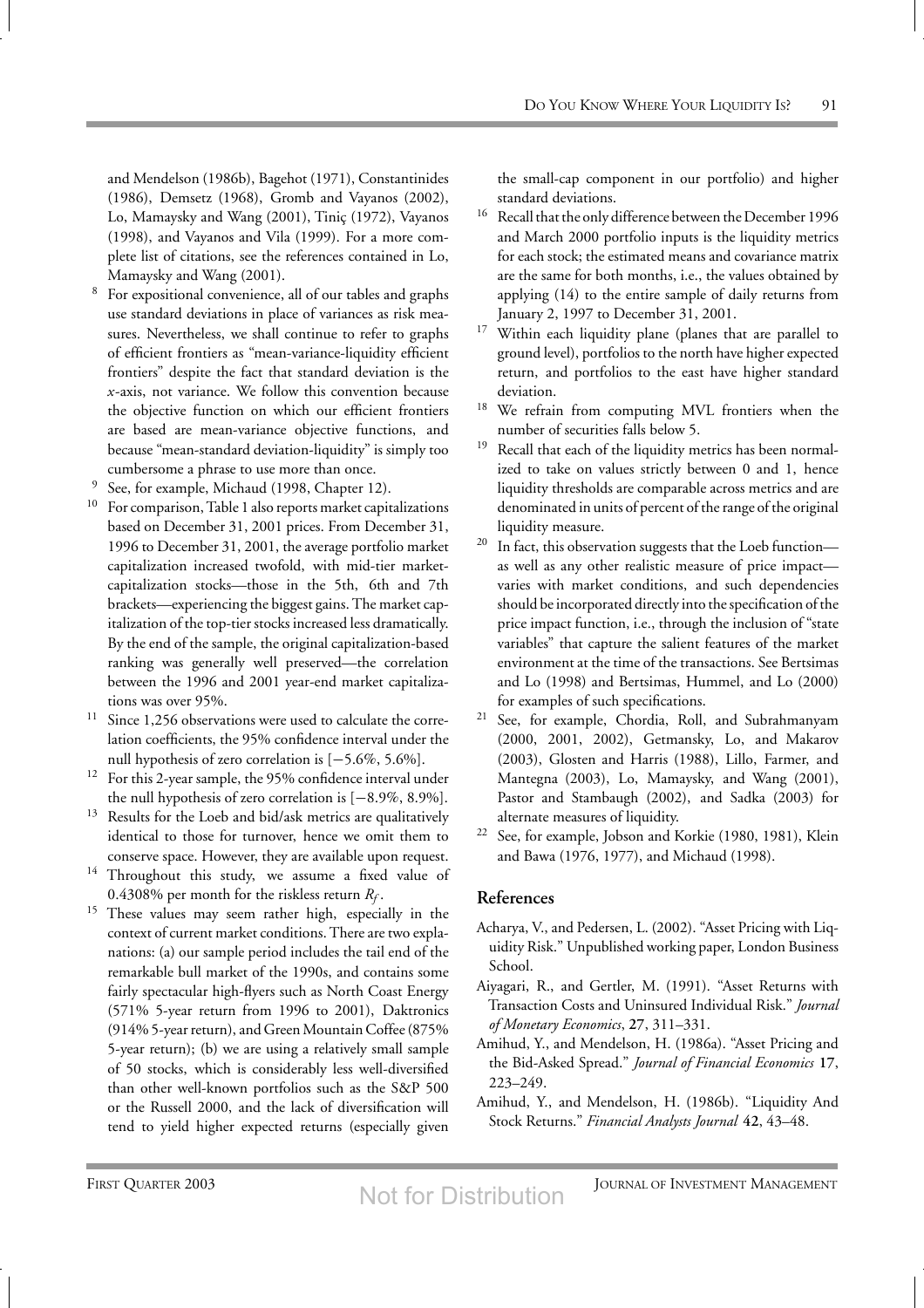and Mendelson (1986b), Bagehot (1971), Constantinides (1986), Demsetz (1968), Gromb and Vayanos (2002), Lo, Mamaysky and Wang (2001), Tiniç (1972), Vayanos (1998), and Vayanos and Vila (1999). For a more complete list of citations, see the references contained in Lo, Mamaysky and Wang (2001).

- For expositional convenience, all of our tables and graphs use standard deviations in place of variances as risk measures. Nevertheless, we shall continue to refer to graphs of efficient frontiers as "mean-variance-liquidity efficient frontiers" despite the fact that standard deviation is the *x*-axis, not variance. We follow this convention because the objective function on which our efficient frontiers are based are mean-variance objective functions, and because "mean-standard deviation-liquidity" is simply too cumbersome a phrase to use more than once.
- <sup>9</sup> See, for example, Michaud (1998, Chapter 12).
- <sup>10</sup> For comparison, Table 1 also reports market capitalizations based on December 31, 2001 prices. From December 31, 1996 to December 31, 2001, the average portfolio market capitalization increased twofold, with mid-tier marketcapitalization stocks—those in the 5th, 6th and 7th brackets—experiencing the biggest gains. The market capitalization of the top-tier stocks increased less dramatically. By the end of the sample, the original capitalization-based ranking was generally well preserved—the correlation between the 1996 and 2001 year-end market capitalizations was over 95%.
- Since 1,256 observations were used to calculate the correlation coefficients, the 95% confidence interval under the null hypothesis of zero correlation is [−5.6%, 5.6%].
- <sup>12</sup> For this 2-year sample, the 95% confidence interval under the null hypothesis of zero correlation is [−8.9%, 8.9%].
- Results for the Loeb and bid/ask metrics are qualitatively identical to those for turnover, hence we omit them to conserve space. However, they are available upon request.
- <sup>14</sup> Throughout this study, we assume a fixed value of 0.4308% per month for the riskless return *Rf* .
- <sup>15</sup> These values may seem rather high, especially in the context of current market conditions. There are two explanations: (a) our sample period includes the tail end of the remarkable bull market of the 1990s, and contains some fairly spectacular high-flyers such as North Coast Energy (571% 5-year return from 1996 to 2001), Daktronics (914% 5-year return), and Green Mountain Coffee (875% 5-year return); (b) we are using a relatively small sample of 50 stocks, which is considerably less well-diversified than other well-known portfolios such as the S&P 500 or the Russell 2000, and the lack of diversification will tend to yield higher expected returns (especially given

the small-cap component in our portfolio) and higher standard deviations.

- $^{16}\,$  Recall that the only difference between the December 1996 and March 2000 portfolio inputs is the liquidity metrics for each stock; the estimated means and covariance matrix are the same for both months, i.e., the values obtained by applying (14) to the entire sample of daily returns from January 2, 1997 to December 31, 2001.
- <sup>17</sup> Within each liquidity plane (planes that are parallel to ground level), portfolios to the north have higher expected return, and portfolios to the east have higher standard deviation.
- <sup>18</sup> We refrain from computing MVL frontiers when the number of securities falls below 5.
- <sup>19</sup> Recall that each of the liquidity metrics has been normalized to take on values strictly between 0 and 1, hence liquidity thresholds are comparable across metrics and are denominated in units of percent of the range of the original liquidity measure.
- <sup>20</sup> In fact, this observation suggests that the Loeb function as well as any other realistic measure of price impact varies with market conditions, and such dependencies should be incorporated directly into the specification of the price impact function, i.e., through the inclusion of "state variables" that capture the salient features of the market environment at the time of the transactions. See Bertsimas and Lo (1998) and Bertsimas, Hummel, and Lo (2000) for examples of such specifications.
- <sup>21</sup> See, for example, Chordia, Roll, and Subrahmanyam (2000, 2001, 2002), Getmansky, Lo, and Makarov (2003), Glosten and Harris (1988), Lillo, Farmer, and Mantegna (2003), Lo, Mamaysky, and Wang (2001), Pastor and Stambaugh (2002), and Sadka (2003) for alternate measures of liquidity.
- <sup>22</sup> See, for example, Jobson and Korkie (1980, 1981), Klein and Bawa (1976, 1977), and Michaud (1998).

#### **References**

- Acharya, V., and Pedersen, L. (2002). "Asset Pricing with Liquidity Risk." Unpublished working paper, London Business School.
- Aiyagari, R., and Gertler, M. (1991). "Asset Returns with Transaction Costs and Uninsured Individual Risk." *Journal of Monetary Economics*, **27**, 311–331.
- Amihud, Y., and Mendelson, H. (1986a). "Asset Pricing and the Bid-Asked Spread." *Journal of Financial Economics* **17**, 223–249.
- Amihud, Y., and Mendelson, H. (1986b). "Liquidity And Stock Returns." *Financial Analysts Journal* **42**, 43–48.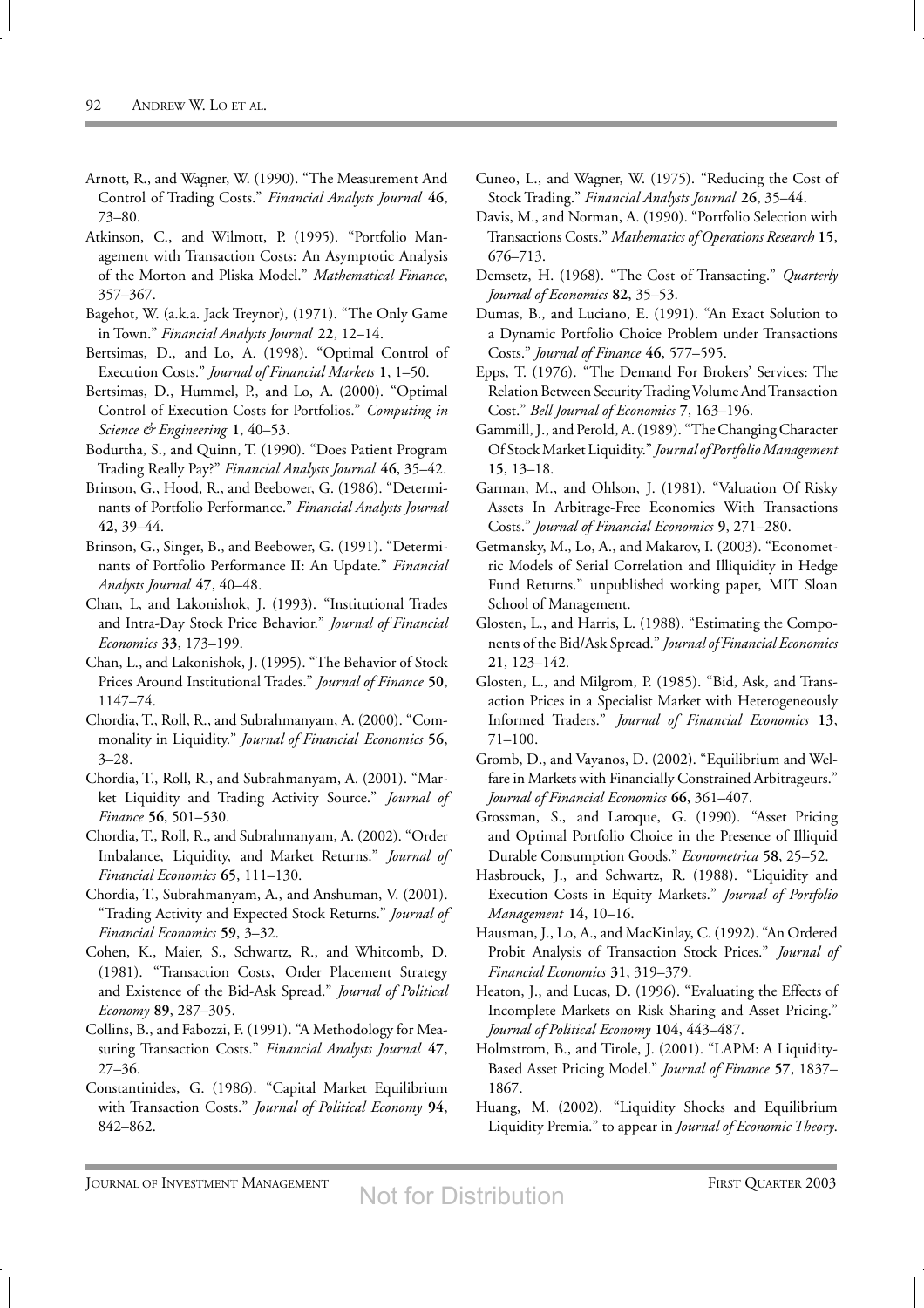- Arnott, R., and Wagner, W. (1990). "The Measurement And Control of Trading Costs." *Financial Analysts Journal* **46**, 73–80.
- Atkinson, C., and Wilmott, P. (1995). "Portfolio Management with Transaction Costs: An Asymptotic Analysis of the Morton and Pliska Model." *Mathematical Finance*, 357–367.
- Bagehot, W. (a.k.a. Jack Treynor), (1971). "The Only Game in Town." *Financial Analysts Journal* **22**, 12–14.
- Bertsimas, D., and Lo, A. (1998). "Optimal Control of Execution Costs." *Journal of Financial Markets* **1**, 1–50.
- Bertsimas, D., Hummel, P., and Lo, A. (2000). "Optimal Control of Execution Costs for Portfolios." *Computing in Science & Engineering* **1**, 40–53.
- Bodurtha, S., and Quinn, T. (1990). "Does Patient Program Trading Really Pay?" *Financial Analysts Journal* **46**, 35–42.
- Brinson, G., Hood, R., and Beebower, G. (1986). "Determinants of Portfolio Performance." *Financial Analysts Journal* **42**, 39–44.
- Brinson, G., Singer, B., and Beebower, G. (1991). "Determinants of Portfolio Performance II: An Update." *Financial Analysts Journal* **47**, 40–48.
- Chan, L, and Lakonishok, J. (1993). "Institutional Trades and Intra-Day Stock Price Behavior." *Journal of Financial Economics* **33**, 173–199.
- Chan, L., and Lakonishok, J. (1995). "The Behavior of Stock Prices Around Institutional Trades." *Journal of Finance* **50**, 1147–74.
- Chordia, T., Roll, R., and Subrahmanyam, A. (2000). "Commonality in Liquidity." *Journal of Financial Economics* **56**, 3–28.
- Chordia, T., Roll, R., and Subrahmanyam, A. (2001). "Market Liquidity and Trading Activity Source." *Journal of Finance* **56**, 501–530.
- Chordia, T., Roll, R., and Subrahmanyam, A. (2002). "Order Imbalance, Liquidity, and Market Returns." *Journal of Financial Economics* **65**, 111–130.
- Chordia, T., Subrahmanyam, A., and Anshuman, V. (2001). "Trading Activity and Expected Stock Returns." *Journal of Financial Economics* **59**, 3–32.
- Cohen, K., Maier, S., Schwartz, R., and Whitcomb, D. (1981). "Transaction Costs, Order Placement Strategy and Existence of the Bid-Ask Spread." *Journal of Political Economy* **89**, 287–305.
- Collins, B., and Fabozzi, F. (1991). "A Methodology for Measuring Transaction Costs." *Financial Analysts Journal* **47**, 27–36.
- Constantinides, G. (1986). "Capital Market Equilibrium with Transaction Costs." *Journal of Political Economy* **94**, 842–862.
- Cuneo, L., and Wagner, W. (1975). "Reducing the Cost of Stock Trading." *Financial Analysts Journal* **26**, 35–44.
- Davis, M., and Norman, A. (1990). "Portfolio Selection with Transactions Costs." *Mathematics of Operations Research* **15**, 676–713.
- Demsetz, H. (1968). "The Cost of Transacting." *Quarterly Journal of Economics* **82**, 35–53.
- Dumas, B., and Luciano, E. (1991). "An Exact Solution to a Dynamic Portfolio Choice Problem under Transactions Costs." *Journal of Finance* **46**, 577–595.
- Epps, T. (1976). "The Demand For Brokers' Services: The Relation Between SecurityTradingVolume AndTransaction Cost." *Bell Journal of Economics* **7**, 163–196.
- Gammill, J., and Perold, A. (1989). "The Changing Character Of StockMarket Liquidity." *Journal of PortfolioManagement* **15**, 13–18.
- Garman, M., and Ohlson, J. (1981). "Valuation Of Risky Assets In Arbitrage-Free Economies With Transactions Costs." *Journal of Financial Economics* **9**, 271–280.
- Getmansky, M., Lo, A., and Makarov, I. (2003). "Econometric Models of Serial Correlation and Illiquidity in Hedge Fund Returns." unpublished working paper, MIT Sloan School of Management.
- Glosten, L., and Harris, L. (1988). "Estimating the Components of the Bid/Ask Spread." *Journal of Financial Economics* **21**, 123–142.
- Glosten, L., and Milgrom, P. (1985). "Bid, Ask, and Transaction Prices in a Specialist Market with Heterogeneously Informed Traders." *Journal of Financial Economics* **13**, 71–100.
- Gromb, D., and Vayanos, D. (2002). "Equilibrium and Welfare in Markets with Financially Constrained Arbitrageurs." *Journal of Financial Economics* **66**, 361–407.
- Grossman, S., and Laroque, G. (1990). "Asset Pricing and Optimal Portfolio Choice in the Presence of Illiquid Durable Consumption Goods." *Econometrica* **58**, 25–52.
- Hasbrouck, J., and Schwartz, R. (1988). "Liquidity and Execution Costs in Equity Markets." *Journal of Portfolio Management* **14**, 10–16.
- Hausman, J., Lo, A., and MacKinlay, C. (1992). "An Ordered Probit Analysis of Transaction Stock Prices." *Journal of Financial Economics* **31**, 319–379.
- Heaton, J., and Lucas, D. (1996). "Evaluating the Effects of Incomplete Markets on Risk Sharing and Asset Pricing." *Journal of Political Economy* **104**, 443–487.
- Holmstrom, B., and Tirole, J. (2001). "LAPM: A Liquidity-Based Asset Pricing Model." *Journal of Finance* **57**, 1837– 1867.
- Huang, M. (2002). "Liquidity Shocks and Equilibrium Liquidity Premia." to appear in *Journal of Economic Theory*.